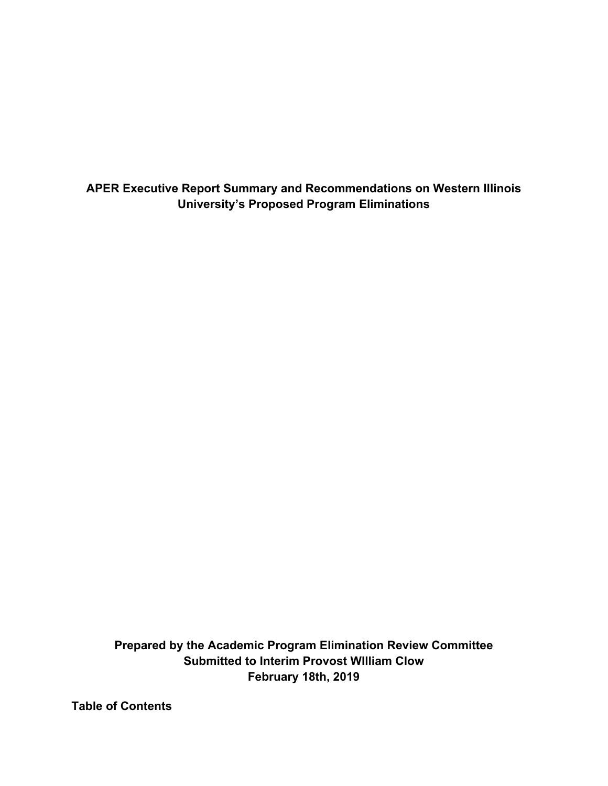**APER Executive Report Summary and Recommendations on Western Illinois University's Proposed Program Eliminations** 

 **Prepared by the Academic Program Elimination Review Committee Submitted to Interim Provost WIlliam Clow February 18th, 2019** 

**Table of Contents**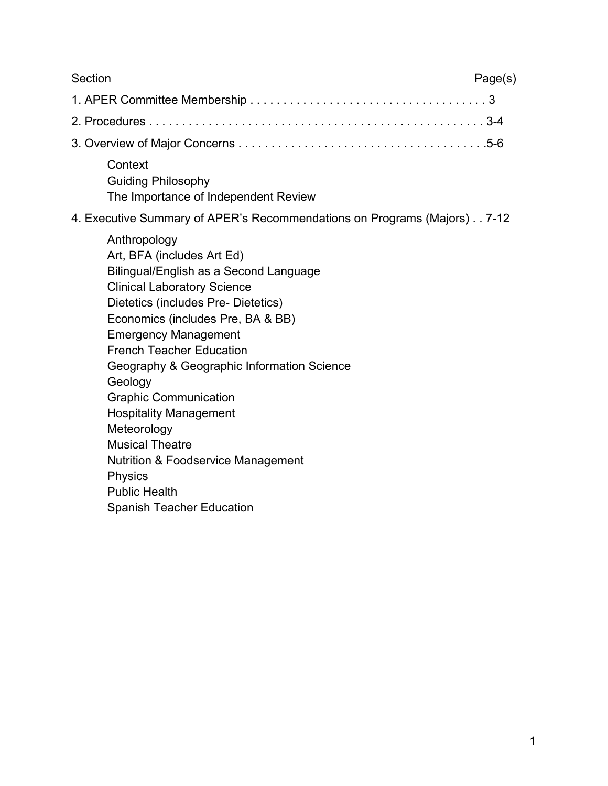| Section<br>Page(s)                                                                                                                                                                                                                                                                                                                                                                                                                                                                                                                                                         |
|----------------------------------------------------------------------------------------------------------------------------------------------------------------------------------------------------------------------------------------------------------------------------------------------------------------------------------------------------------------------------------------------------------------------------------------------------------------------------------------------------------------------------------------------------------------------------|
|                                                                                                                                                                                                                                                                                                                                                                                                                                                                                                                                                                            |
|                                                                                                                                                                                                                                                                                                                                                                                                                                                                                                                                                                            |
|                                                                                                                                                                                                                                                                                                                                                                                                                                                                                                                                                                            |
| Context<br><b>Guiding Philosophy</b><br>The Importance of Independent Review                                                                                                                                                                                                                                                                                                                                                                                                                                                                                               |
| 4. Executive Summary of APER's Recommendations on Programs (Majors) 7-12                                                                                                                                                                                                                                                                                                                                                                                                                                                                                                   |
| Anthropology<br>Art, BFA (includes Art Ed)<br>Bilingual/English as a Second Language<br><b>Clinical Laboratory Science</b><br>Dietetics (includes Pre- Dietetics)<br>Economics (includes Pre, BA & BB)<br><b>Emergency Management</b><br><b>French Teacher Education</b><br>Geography & Geographic Information Science<br>Geology<br><b>Graphic Communication</b><br><b>Hospitality Management</b><br>Meteorology<br><b>Musical Theatre</b><br><b>Nutrition &amp; Foodservice Management</b><br><b>Physics</b><br><b>Public Health</b><br><b>Spanish Teacher Education</b> |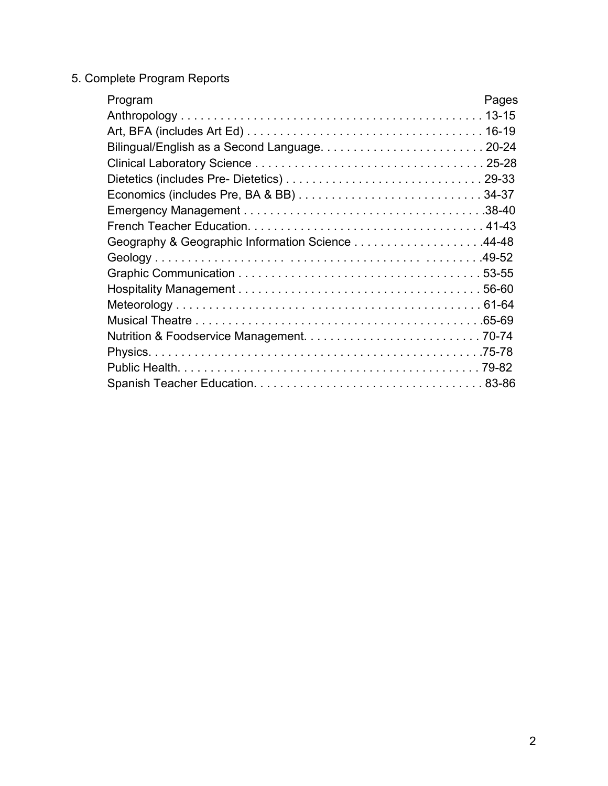#### 5. Complete Program Reports

| Program                                          | Pages |
|--------------------------------------------------|-------|
|                                                  |       |
|                                                  |       |
|                                                  |       |
|                                                  |       |
|                                                  |       |
|                                                  |       |
|                                                  |       |
|                                                  |       |
| Geography & Geographic Information Science 44-48 |       |
|                                                  |       |
|                                                  |       |
|                                                  |       |
|                                                  |       |
|                                                  |       |
|                                                  |       |
|                                                  |       |
|                                                  |       |
|                                                  |       |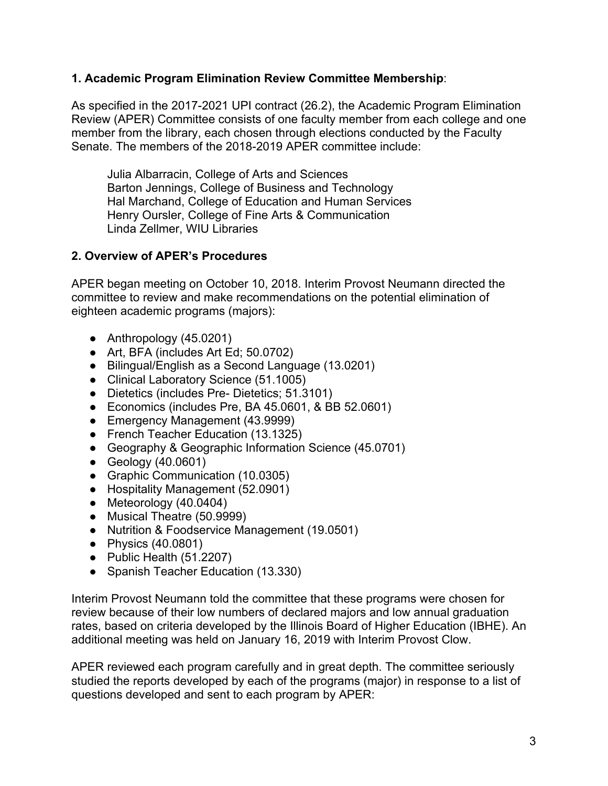### **1. Academic Program Elimination Review Committee Membership**:

 As specified in the 2017-2021 UPI contract (26.2), the Academic Program Elimination Review (APER) Committee consists of one faculty member from each college and one member from the library, each chosen through elections conducted by the Faculty Senate. The members of the 2018-2019 APER committee include:

 Julia Albarracin, College of Arts and Sciences Barton Jennings, College of Business and Technology Hal Marchand, College of Education and Human Services Henry Oursler, College of Fine Arts & Communication Linda Zellmer, WIU Libraries

# **2. Overview of APER's Procedures**

 APER began meeting on October 10, 2018. Interim Provost Neumann directed the committee to review and make recommendations on the potential elimination of eighteen academic programs (majors):

- Anthropology (45.0201)
- Art, BFA (includes Art Ed; 50.0702)
- Bilingual/English as a Second Language (13.0201)
- Clinical Laboratory Science (51.1005)
- Dietetics (includes Pre- Dietetics; 51.3101)
- Economics (includes Pre, BA 45.0601, & BB 52.0601)
- Emergency Management (43.9999)
- French Teacher Education (13.1325)
- Geography & Geographic Information Science (45.0701)
- Geology (40.0601)
- Graphic Communication (10.0305)
- Hospitality Management (52.0901)
- Meteorology (40.0404)
- Musical Theatre (50.9999)
- Nutrition & Foodservice Management (19.0501)
- Physics (40.0801)
- Public Health (51.2207)
- Spanish Teacher Education (13.330)

 Interim Provost Neumann told the committee that these programs were chosen for review because of their low numbers of declared majors and low annual graduation rates, based on criteria developed by the Illinois Board of Higher Education (IBHE). An additional meeting was held on January 16, 2019 with Interim Provost Clow.

 APER reviewed each program carefully and in great depth. The committee seriously studied the reports developed by each of the programs (major) in response to a list of questions developed and sent to each program by APER: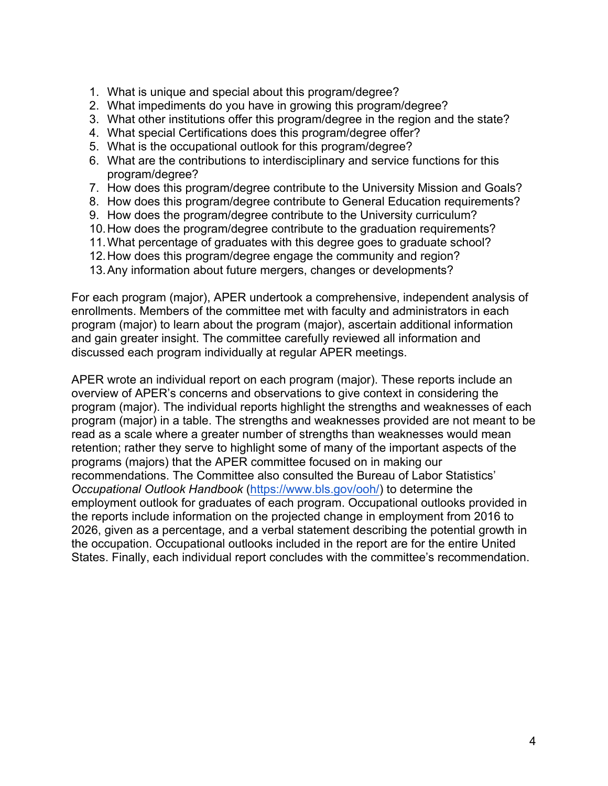- 1. What is unique and special about this program/degree?
- 2. What impediments do you have in growing this program/degree?
- 3. What other institutions offer this program/degree in the region and the state?
- 4. What special Certifications does this program/degree offer?
- 5. What is the occupational outlook for this program/degree?
- 6. What are the contributions to interdisciplinary and service functions for this program/degree?
- 7. How does this program/degree contribute to the University Mission and Goals?
- 8. How does this program/degree contribute to General Education requirements?
- 9. How does the program/degree contribute to the University curriculum?
- 10.How does the program/degree contribute to the graduation requirements?
- 11.What percentage of graduates with this degree goes to graduate school?
- 12.How does this program/degree engage the community and region?
- 13.Any information about future mergers, changes or developments?

 For each program (major), APER undertook a comprehensive, independent analysis of enrollments. Members of the committee met with faculty and administrators in each program (major) to learn about the program (major), ascertain additional information and gain greater insight. The committee carefully reviewed all information and discussed each program individually at regular APER meetings.

 APER wrote an individual report on each program (major). These reports include an overview of APER's concerns and observations to give context in considering the program (major). The individual reports highlight the strengths and weaknesses of each program (major) in a table. The strengths and weaknesses provided are not meant to be read as a scale where a greater number of strengths than weaknesses would mean retention; rather they serve to highlight some of many of the important aspects of the programs (majors) that the APER committee focused on in making our recommendations. The Committee also consulted the Bureau of Labor Statistics' *Occupational Outlook Handbook* [\(https://www.bls.gov/ooh/](https://www.bls.gov/ooh)) to determine the employment outlook for graduates of each program. Occupational outlooks provided in the reports include information on the projected change in employment from 2016 to 2026, given as a percentage, and a verbal statement describing the potential growth in the occupation. Occupational outlooks included in the report are for the entire United States. Finally, each individual report concludes with the committee's recommendation.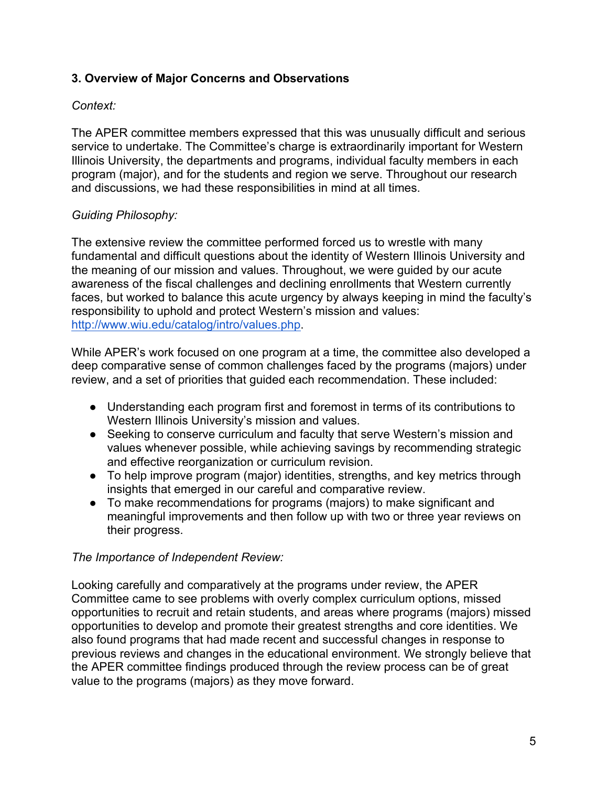# **3. Overview of Major Concerns and Observations**

# *Context:*

 The APER committee members expressed that this was unusually difficult and serious service to undertake. The Committee's charge is extraordinarily important for Western Illinois University, the departments and programs, individual faculty members in each program (major), and for the students and region we serve. Throughout our research and discussions, we had these responsibilities in mind at all times.

### *Guiding Philosophy:*

 The extensive review the committee performed forced us to wrestle with many fundamental and difficult questions about the identity of Western Illinois University and the meaning of our mission and values. Throughout, we were guided by our acute awareness of the fiscal challenges and declining enrollments that Western currently faces, but worked to balance this acute urgency by always keeping in mind the faculty's responsibility to uphold and protect Western's mission and values: [http://www.wiu.edu/catalog/intro/values.php.](http://www.wiu.edu/catalog/intro/values.php)

 While APER's work focused on one program at a time, the committee also developed a deep comparative sense of common challenges faced by the programs (majors) under review, and a set of priorities that guided each recommendation. These included:

- ● Understanding each program first and foremost in terms of its contributions to Western Illinois University's mission and values.
- ● Seeking to conserve curriculum and faculty that serve Western's mission and values whenever possible, while achieving savings by recommending strategic and effective reorganization or curriculum revision.
- ● To help improve program (major) identities, strengths, and key metrics through insights that emerged in our careful and comparative review.
- ● To make recommendations for programs (majors) to make significant and meaningful improvements and then follow up with two or three year reviews on their progress.

#### *The Importance of Independent Review:*

 Looking carefully and comparatively at the programs under review, the APER Committee came to see problems with overly complex curriculum options, missed opportunities to recruit and retain students, and areas where programs (majors) missed opportunities to develop and promote their greatest strengths and core identities. We also found programs that had made recent and successful changes in response to previous reviews and changes in the educational environment. We strongly believe that the APER committee findings produced through the review process can be of great value to the programs (majors) as they move forward.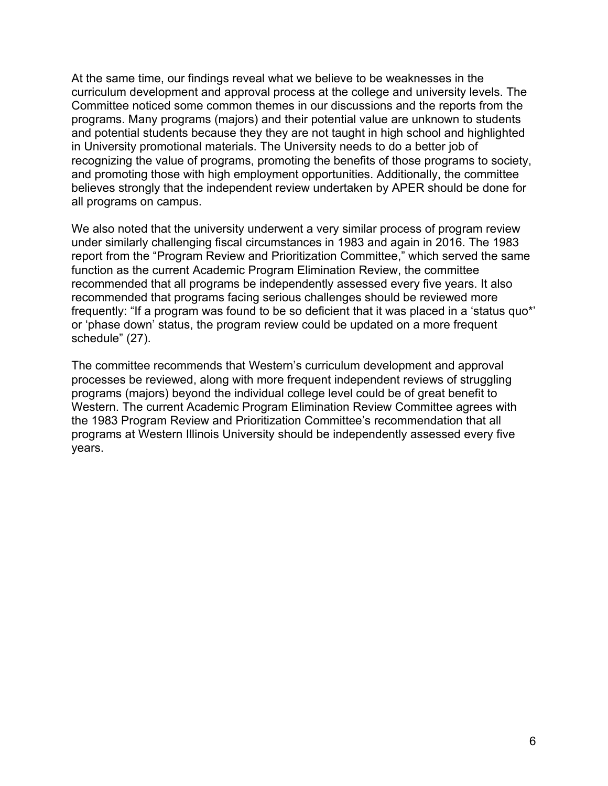At the same time, our findings reveal what we believe to be weaknesses in the curriculum development and approval process at the college and university levels. The Committee noticed some common themes in our discussions and the reports from the programs. Many programs (majors) and their potential value are unknown to students and potential students because they they are not taught in high school and highlighted in University promotional materials. The University needs to do a better job of recognizing the value of programs, promoting the benefits of those programs to society, and promoting those with high employment opportunities. Additionally, the committee believes strongly that the independent review undertaken by APER should be done for all programs on campus.

 We also noted that the university underwent a very similar process of program review under similarly challenging fiscal circumstances in 1983 and again in 2016. The 1983 report from the "Program Review and Prioritization Committee," which served the same function as the current Academic Program Elimination Review, the committee recommended that all programs be independently assessed every five years. It also recommended that programs facing serious challenges should be reviewed more frequently: "If a program was found to be so deficient that it was placed in a 'status quo\*' or 'phase down' status, the program review could be updated on a more frequent schedule" (27).

 The committee recommends that Western's curriculum development and approval processes be reviewed, along with more frequent independent reviews of struggling programs (majors) beyond the individual college level could be of great benefit to Western. The current Academic Program Elimination Review Committee agrees with the 1983 Program Review and Prioritization Committee's recommendation that all programs at Western Illinois University should be independently assessed every five years.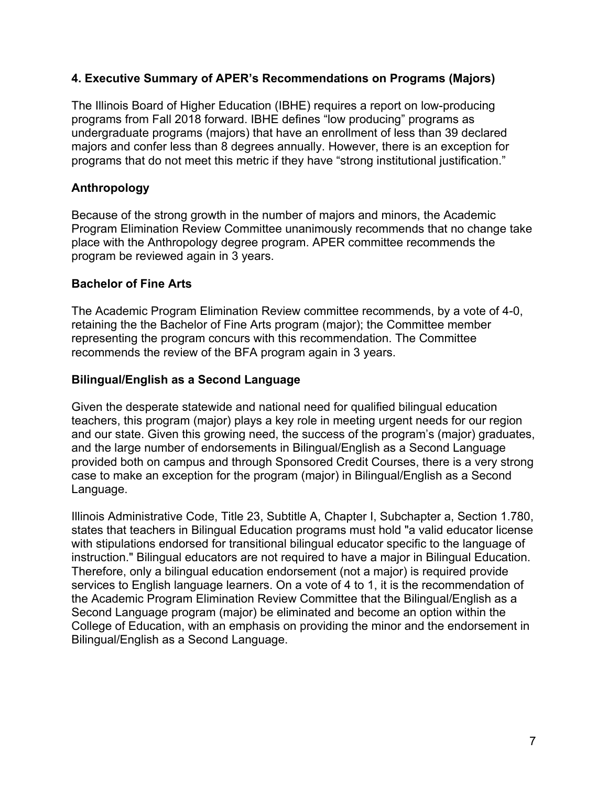### **4. Executive Summary of APER's Recommendations on Programs (Majors)**

 The Illinois Board of Higher Education (IBHE) requires a report on low-producing programs from Fall 2018 forward. IBHE defines "low producing" programs as undergraduate programs (majors) that have an enrollment of less than 39 declared majors and confer less than 8 degrees annually. However, there is an exception for programs that do not meet this metric if they have "strong institutional justification."

### **Anthropology**

 Because of the strong growth in the number of majors and minors, the Academic Program Elimination Review Committee unanimously recommends that no change take place with the Anthropology degree program. APER committee recommends the program be reviewed again in 3 years.

#### **Bachelor of Fine Arts**

 The Academic Program Elimination Review committee recommends, by a vote of 4-0, retaining the the Bachelor of Fine Arts program (major); the Committee member representing the program concurs with this recommendation. The Committee recommends the review of the BFA program again in 3 years.

### **Bilingual/English as a Second Language**

 Given the desperate statewide and national need for qualified bilingual education teachers, this program (major) plays a key role in meeting urgent needs for our region and our state. Given this growing need, the success of the program's (major) graduates, and the large number of endorsements in Bilingual/English as a Second Language provided both on campus and through Sponsored Credit Courses, there is a very strong case to make an exception for the program (major) in Bilingual/English as a Second Language.

 Illinois Administrative Code, Title 23, Subtitle A, Chapter I, Subchapter a, Section 1.780, states that teachers in Bilingual Education programs must hold "a valid educator license with stipulations endorsed for transitional bilingual educator specific to the language of instruction." Bilingual educators are not required to have a major in Bilingual Education. Therefore, only a bilingual education endorsement (not a major) is required provide services to English language learners. On a vote of 4 to 1, it is the recommendation of the Academic Program Elimination Review Committee that the Bilingual/English as a Second Language program (major) be eliminated and become an option within the College of Education, with an emphasis on providing the minor and the endorsement in Bilingual/English as a Second Language.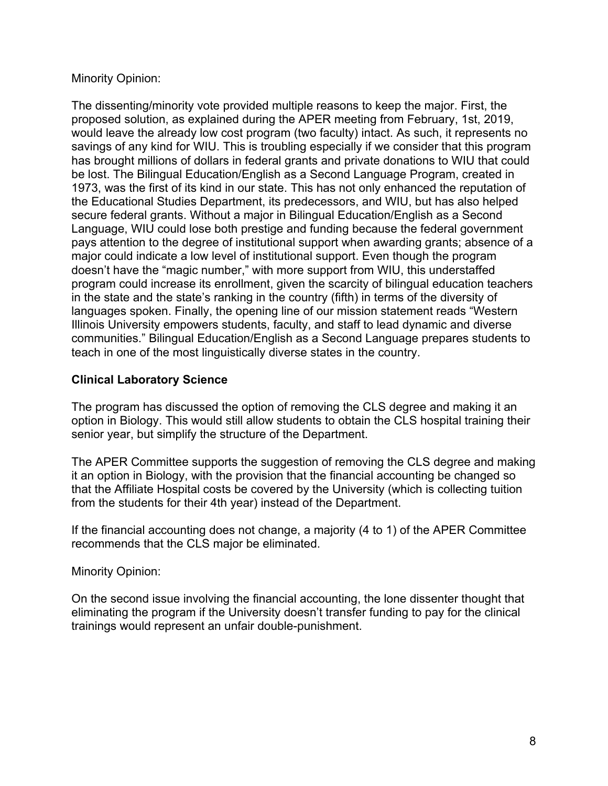### Minority Opinion:

 The dissenting/minority vote provided multiple reasons to keep the major. First, the proposed solution, as explained during the APER meeting from February, 1st, 2019, would leave the already low cost program (two faculty) intact. As such, it represents no savings of any kind for WIU. This is troubling especially if we consider that this program has brought millions of dollars in federal grants and private donations to WIU that could be lost. The Bilingual Education/English as a Second Language Program, created in 1973, was the first of its kind in our state. This has not only enhanced the reputation of the Educational Studies Department, its predecessors, and WIU, but has also helped secure federal grants. Without a major in Bilingual Education/English as a Second Language, WIU could lose both prestige and funding because the federal government pays attention to the degree of institutional support when awarding grants; absence of a major could indicate a low level of institutional support. Even though the program doesn't have the "magic number," with more support from WIU, this understaffed program could increase its enrollment, given the scarcity of bilingual education teachers in the state and the state's ranking in the country (fifth) in terms of the diversity of languages spoken. Finally, the opening line of our mission statement reads "Western Illinois University empowers students, faculty, and staff to lead dynamic and diverse communities." Bilingual Education/English as a Second Language prepares students to teach in one of the most linguistically diverse states in the country.

### **Clinical Laboratory Science**

 The program has discussed the option of removing the CLS degree and making it an option in Biology. This would still allow students to obtain the CLS hospital training their senior year, but simplify the structure of the Department.

 The APER Committee supports the suggestion of removing the CLS degree and making it an option in Biology, with the provision that the financial accounting be changed so that the Affiliate Hospital costs be covered by the University (which is collecting tuition from the students for their 4th year) instead of the Department.

 If the financial accounting does not change, a majority (4 to 1) of the APER Committee recommends that the CLS major be eliminated.

Minority Opinion:

 On the second issue involving the financial accounting, the lone dissenter thought that eliminating the program if the University doesn't transfer funding to pay for the clinical trainings would represent an unfair double-punishment.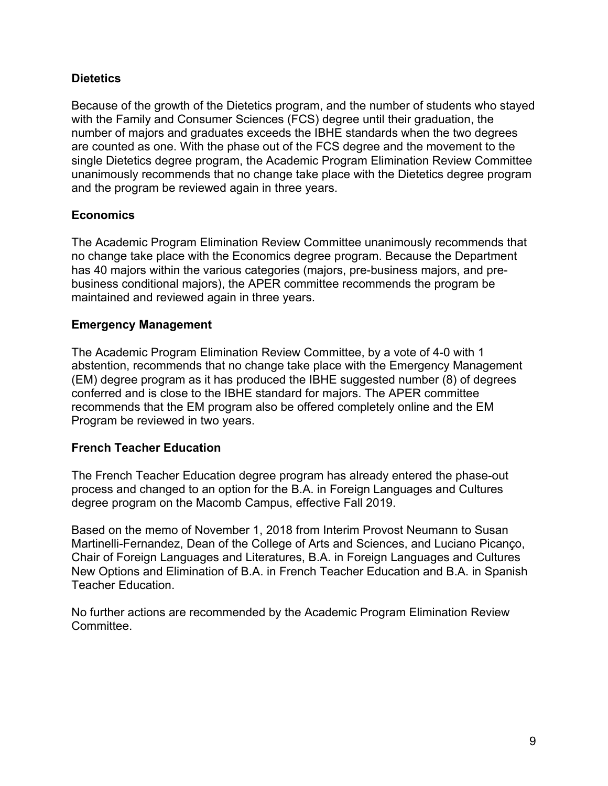# **Dietetics**

 Because of the growth of the Dietetics program, and the number of students who stayed with the Family and Consumer Sciences (FCS) degree until their graduation, the number of majors and graduates exceeds the IBHE standards when the two degrees are counted as one. With the phase out of the FCS degree and the movement to the single Dietetics degree program, the Academic Program Elimination Review Committee unanimously recommends that no change take place with the Dietetics degree program and the program be reviewed again in three years.

### **Economics**

 The Academic Program Elimination Review Committee unanimously recommends that no change take place with the Economics degree program. Because the Department has 40 majors within the various categories (majors, pre-business majors, and pre- business conditional majors), the APER committee recommends the program be maintained and reviewed again in three years.

#### **Emergency Management**

 The Academic Program Elimination Review Committee, by a vote of 4-0 with 1 abstention, recommends that no change take place with the Emergency Management (EM) degree program as it has produced the IBHE suggested number (8) of degrees conferred and is close to the IBHE standard for majors. The APER committee recommends that the EM program also be offered completely online and the EM Program be reviewed in two years.

# **French Teacher Education**

 The French Teacher Education degree program has already entered the phase-out process and changed to an option for the B.A. in Foreign Languages and Cultures degree program on the Macomb Campus, effective Fall 2019.

 Based on the memo of November 1, 2018 from Interim Provost Neumann to Susan Martinelli-Fernandez, Dean of the College of Arts and Sciences, and Luciano Picanço, Chair of Foreign Languages and Literatures, B.A. in Foreign Languages and Cultures New Options and Elimination of B.A. in French Teacher Education and B.A. in Spanish Teacher Education.

 No further actions are recommended by the Academic Program Elimination Review Committee.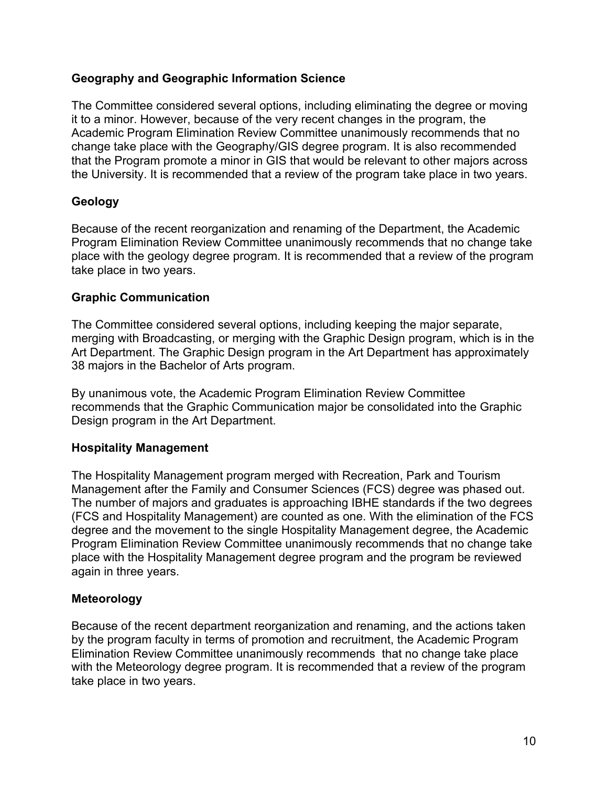### **Geography and Geographic Information Science**

 The Committee considered several options, including eliminating the degree or moving it to a minor. However, because of the very recent changes in the program, the Academic Program Elimination Review Committee unanimously recommends that no change take place with the Geography/GIS degree program. It is also recommended that the Program promote a minor in GIS that would be relevant to other majors across the University. It is recommended that a review of the program take place in two years.

### **Geology**

 Because of the recent reorganization and renaming of the Department, the Academic Program Elimination Review Committee unanimously recommends that no change take place with the geology degree program. It is recommended that a review of the program take place in two years.

### **Graphic Communication**

 The Committee considered several options, including keeping the major separate, merging with Broadcasting, or merging with the Graphic Design program, which is in the Art Department. The Graphic Design program in the Art Department has approximately 38 majors in the Bachelor of Arts program.

 By unanimous vote, the Academic Program Elimination Review Committee recommends that the Graphic Communication major be consolidated into the Graphic Design program in the Art Department.

#### **Hospitality Management**

 The Hospitality Management program merged with Recreation, Park and Tourism Management after the Family and Consumer Sciences (FCS) degree was phased out. The number of majors and graduates is approaching IBHE standards if the two degrees (FCS and Hospitality Management) are counted as one. With the elimination of the FCS degree and the movement to the single Hospitality Management degree, the Academic Program Elimination Review Committee unanimously recommends that no change take place with the Hospitality Management degree program and the program be reviewed again in three years.

#### **Meteorology**

 Because of the recent department reorganization and renaming, and the actions taken by the program faculty in terms of promotion and recruitment, the Academic Program Elimination Review Committee unanimously recommends that no change take place with the Meteorology degree program. It is recommended that a review of the program take place in two years.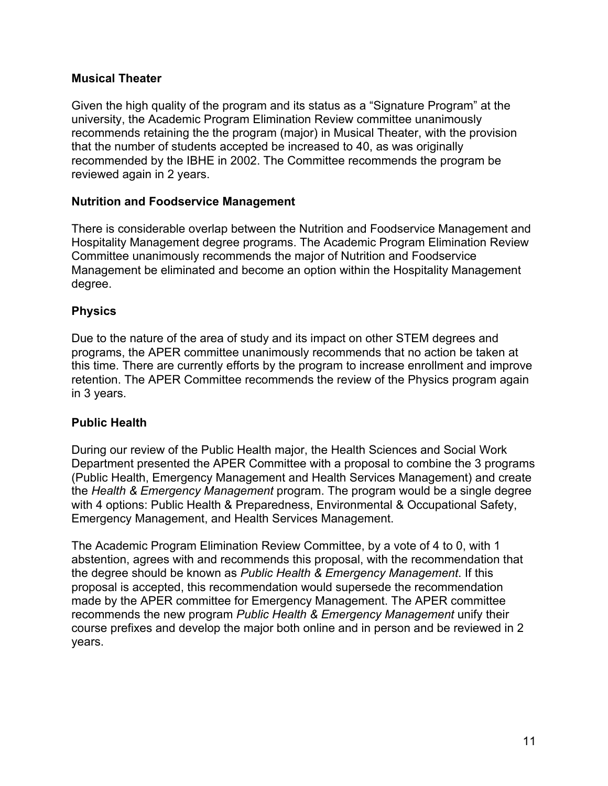### **Musical Theater**

 Given the high quality of the program and its status as a "Signature Program" at the university, the Academic Program Elimination Review committee unanimously recommends retaining the the program (major) in Musical Theater, with the provision that the number of students accepted be increased to 40, as was originally recommended by the IBHE in 2002. The Committee recommends the program be reviewed again in 2 years.

#### **Nutrition and Foodservice Management**

 There is considerable overlap between the Nutrition and Foodservice Management and Hospitality Management degree programs. The Academic Program Elimination Review Committee unanimously recommends the major of Nutrition and Foodservice Management be eliminated and become an option within the Hospitality Management degree.

### **Physics**

 Due to the nature of the area of study and its impact on other STEM degrees and programs, the APER committee unanimously recommends that no action be taken at this time. There are currently efforts by the program to increase enrollment and improve retention. The APER Committee recommends the review of the Physics program again in 3 years.

# **Public Health**

 During our review of the Public Health major, the Health Sciences and Social Work Department presented the APER Committee with a proposal to combine the 3 programs (Public Health, Emergency Management and Health Services Management) and create the *Health & Emergency Management* program. The program would be a single degree with 4 options: Public Health & Preparedness, Environmental & Occupational Safety, Emergency Management, and Health Services Management.

 The Academic Program Elimination Review Committee, by a vote of 4 to 0, with 1 abstention, agrees with and recommends this proposal, with the recommendation that the degree should be known as *Public Health & Emergency Management*. If this proposal is accepted, this recommendation would supersede the recommendation made by the APER committee for Emergency Management. The APER committee recommends the new program *Public Health & Emergency Management* unify their course prefixes and develop the major both online and in person and be reviewed in 2 years.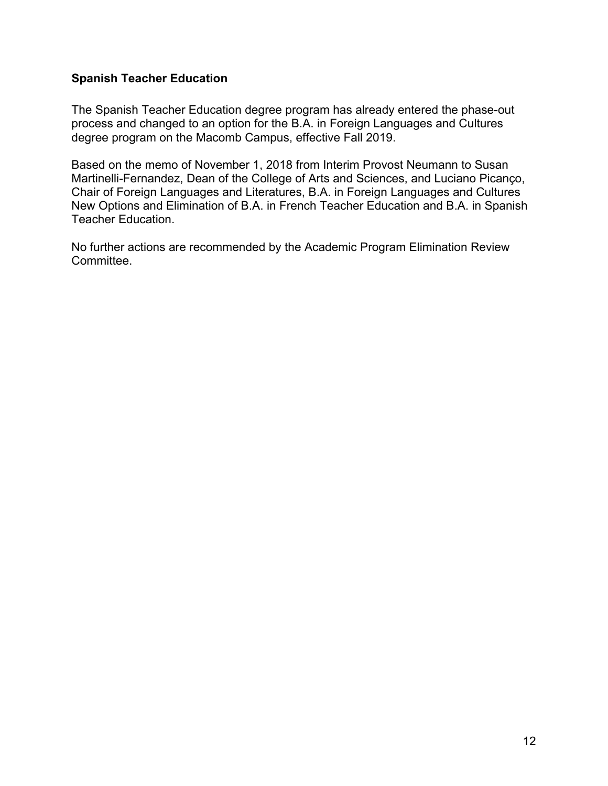### **Spanish Teacher Education**

 The Spanish Teacher Education degree program has already entered the phase-out process and changed to an option for the B.A. in Foreign Languages and Cultures degree program on the Macomb Campus, effective Fall 2019.

 Based on the memo of November 1, 2018 from Interim Provost Neumann to Susan Martinelli-Fernandez, Dean of the College of Arts and Sciences, and Luciano Picanço, Chair of Foreign Languages and Literatures, B.A. in Foreign Languages and Cultures New Options and Elimination of B.A. in French Teacher Education and B.A. in Spanish Teacher Education.

 No further actions are recommended by the Academic Program Elimination Review Committee.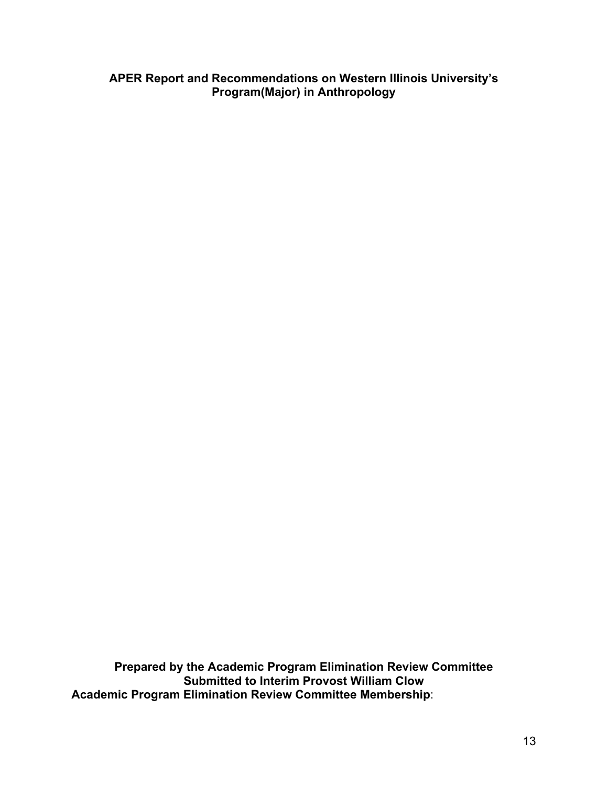**APER Report and Recommendations on Western Illinois University's Program(Major) in Anthropology** 

 **Prepared by the Academic Program Elimination Review Committee Submitted to Interim Provost William Clow Academic Program Elimination Review Committee Membership**: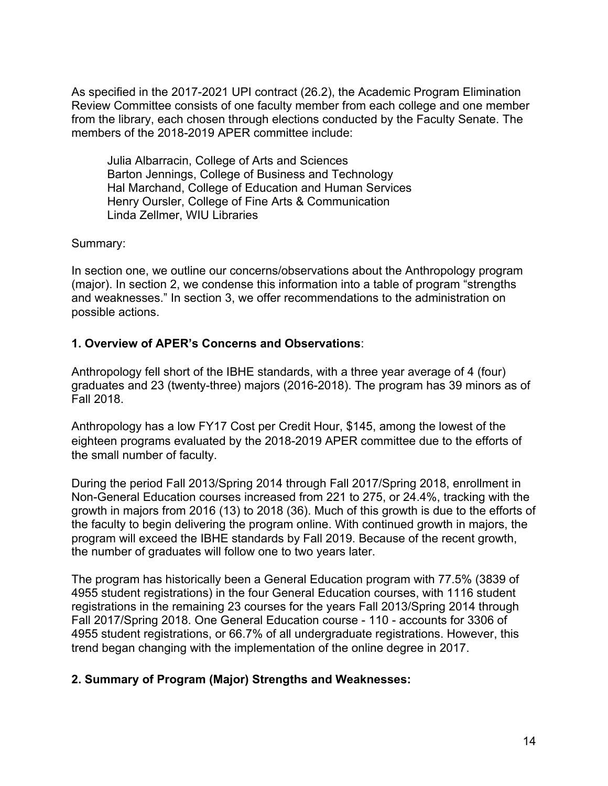As specified in the 2017-2021 UPI contract (26.2), the Academic Program Elimination Review Committee consists of one faculty member from each college and one member from the library, each chosen through elections conducted by the Faculty Senate. The members of the 2018-2019 APER committee include:

 Julia Albarracin, College of Arts and Sciences Barton Jennings, College of Business and Technology Hal Marchand, College of Education and Human Services Henry Oursler, College of Fine Arts & Communication Linda Zellmer, WIU Libraries

Summary:

 In section one, we outline our concerns/observations about the Anthropology program (major). In section 2, we condense this information into a table of program "strengths and weaknesses." In section 3, we offer recommendations to the administration on possible actions.

# **1. Overview of APER's Concerns and Observations**:

 Anthropology fell short of the IBHE standards, with a three year average of 4 (four) graduates and 23 (twenty-three) majors (2016-2018). The program has 39 minors as of Fall 2018.

 Anthropology has a low FY17 Cost per Credit Hour, \$145, among the lowest of the eighteen programs evaluated by the 2018-2019 APER committee due to the efforts of the small number of faculty.

 During the period Fall 2013/Spring 2014 through Fall 2017/Spring 2018, enrollment in Non-General Education courses increased from 221 to 275, or 24.4%, tracking with the growth in majors from 2016 (13) to 2018 (36). Much of this growth is due to the efforts of the faculty to begin delivering the program online. With continued growth in majors, the program will exceed the IBHE standards by Fall 2019. Because of the recent growth, the number of graduates will follow one to two years later.

 The program has historically been a General Education program with 77.5% (3839 of 4955 student registrations) in the four General Education courses, with 1116 student registrations in the remaining 23 courses for the years Fall 2013/Spring 2014 through Fall 2017/Spring 2018. One General Education course - 110 - accounts for 3306 of 4955 student registrations, or 66.7% of all undergraduate registrations. However, this trend began changing with the implementation of the online degree in 2017.

# **2. Summary of Program (Major) Strengths and Weaknesses:**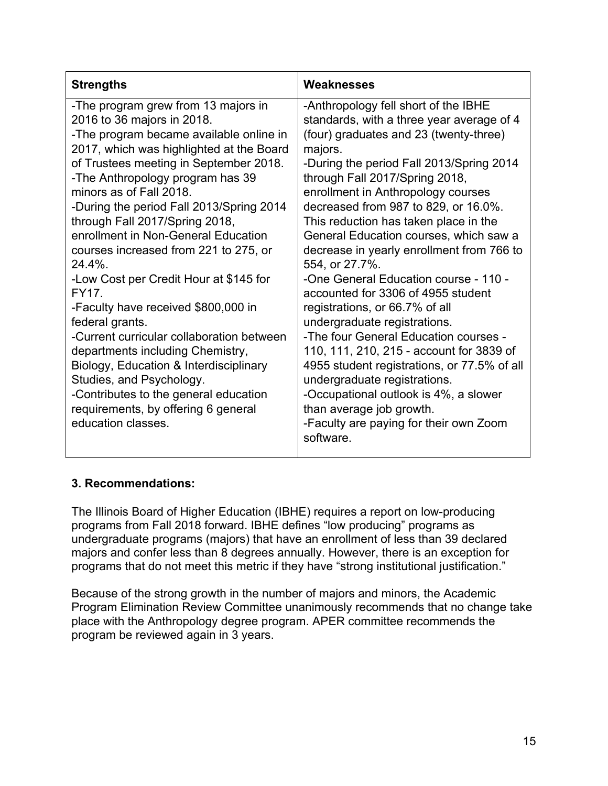| -The program grew from 13 majors in<br>-Anthropology fell short of the IBHE<br>2016 to 36 majors in 2018.<br>standards, with a three year average of 4<br>(four) graduates and 23 (twenty-three)<br>-The program became available online in<br>2017, which was highlighted at the Board<br>majors.<br>of Trustees meeting in September 2018.<br>-During the period Fall 2013/Spring 2014<br>-The Anthropology program has 39<br>through Fall 2017/Spring 2018,<br>minors as of Fall 2018.<br>enrollment in Anthropology courses<br>-During the period Fall 2013/Spring 2014<br>decreased from 987 to 829, or 16.0%.<br>through Fall 2017/Spring 2018,<br>This reduction has taken place in the<br>enrollment in Non-General Education<br>General Education courses, which saw a<br>courses increased from 221 to 275, or<br>decrease in yearly enrollment from 766 to<br>24.4%.<br>554, or 27.7%.<br>-One General Education course - 110 -<br>-Low Cost per Credit Hour at \$145 for<br>FY17.<br>accounted for 3306 of 4955 student<br>-Faculty have received \$800,000 in<br>registrations, or 66.7% of all<br>federal grants.<br>undergraduate registrations.<br>-Current curricular collaboration between<br>-The four General Education courses -<br>110, 111, 210, 215 - account for 3839 of<br>departments including Chemistry,<br>Biology, Education & Interdisciplinary<br>4955 student registrations, or 77.5% of all<br>undergraduate registrations.<br>Studies, and Psychology.<br>-Contributes to the general education<br>-Occupational outlook is 4%, a slower<br>requirements, by offering 6 general<br>than average job growth.<br>education classes. | <b>Strengths</b> | Weaknesses                             |
|-----------------------------------------------------------------------------------------------------------------------------------------------------------------------------------------------------------------------------------------------------------------------------------------------------------------------------------------------------------------------------------------------------------------------------------------------------------------------------------------------------------------------------------------------------------------------------------------------------------------------------------------------------------------------------------------------------------------------------------------------------------------------------------------------------------------------------------------------------------------------------------------------------------------------------------------------------------------------------------------------------------------------------------------------------------------------------------------------------------------------------------------------------------------------------------------------------------------------------------------------------------------------------------------------------------------------------------------------------------------------------------------------------------------------------------------------------------------------------------------------------------------------------------------------------------------------------------------------------------------------------------------------------------------------|------------------|----------------------------------------|
| software.                                                                                                                                                                                                                                                                                                                                                                                                                                                                                                                                                                                                                                                                                                                                                                                                                                                                                                                                                                                                                                                                                                                                                                                                                                                                                                                                                                                                                                                                                                                                                                                                                                                             |                  | -Faculty are paying for their own Zoom |

# **3. Recommendations:**

 The Illinois Board of Higher Education (IBHE) requires a report on low-producing programs from Fall 2018 forward. IBHE defines "low producing" programs as undergraduate programs (majors) that have an enrollment of less than 39 declared majors and confer less than 8 degrees annually. However, there is an exception for programs that do not meet this metric if they have "strong institutional justification."

 Because of the strong growth in the number of majors and minors, the Academic Program Elimination Review Committee unanimously recommends that no change take place with the Anthropology degree program. APER committee recommends the program be reviewed again in 3 years.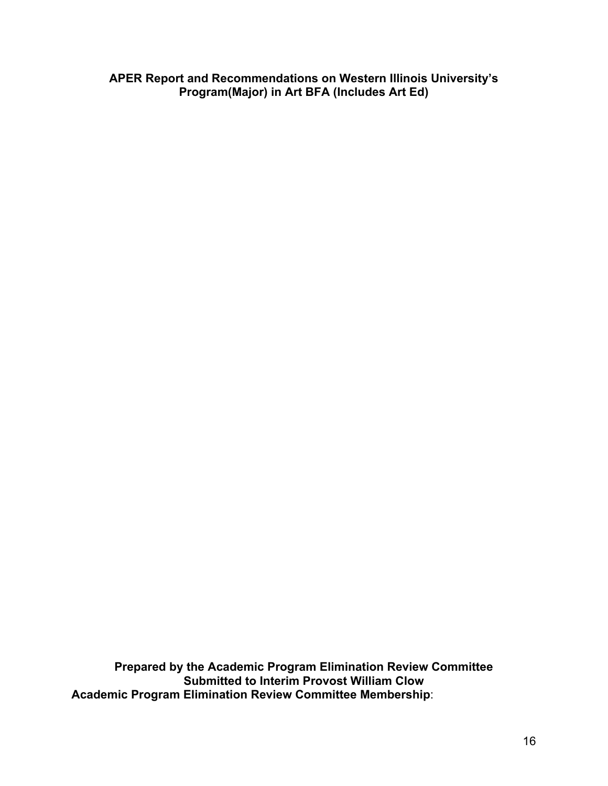**APER Report and Recommendations on Western Illinois University's Program(Major) in Art BFA (Includes Art Ed)** 

 **Prepared by the Academic Program Elimination Review Committee Submitted to Interim Provost William Clow Academic Program Elimination Review Committee Membership**: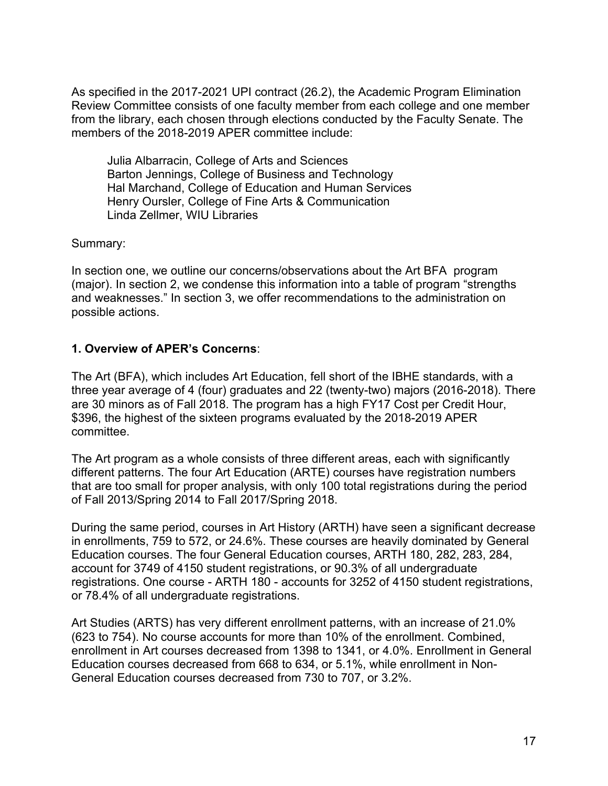As specified in the 2017-2021 UPI contract (26.2), the Academic Program Elimination Review Committee consists of one faculty member from each college and one member from the library, each chosen through elections conducted by the Faculty Senate. The members of the 2018-2019 APER committee include:

 Julia Albarracin, College of Arts and Sciences Barton Jennings, College of Business and Technology Hal Marchand, College of Education and Human Services Henry Oursler, College of Fine Arts & Communication Linda Zellmer, WIU Libraries

Summary:

 In section one, we outline our concerns/observations about the Art BFA program (major). In section 2, we condense this information into a table of program "strengths and weaknesses." In section 3, we offer recommendations to the administration on possible actions.

# **1. Overview of APER's Concerns**:

 The Art (BFA), which includes Art Education, fell short of the IBHE standards, with a three year average of 4 (four) graduates and 22 (twenty-two) majors (2016-2018). There are 30 minors as of Fall 2018. The program has a high FY17 Cost per Credit Hour, \$396, the highest of the sixteen programs evaluated by the 2018-2019 APER committee.

 The Art program as a whole consists of three different areas, each with significantly different patterns. The four Art Education (ARTE) courses have registration numbers that are too small for proper analysis, with only 100 total registrations during the period of Fall 2013/Spring 2014 to Fall 2017/Spring 2018.

 During the same period, courses in Art History (ARTH) have seen a significant decrease in enrollments, 759 to 572, or 24.6%. These courses are heavily dominated by General Education courses. The four General Education courses, ARTH 180, 282, 283, 284, account for 3749 of 4150 student registrations, or 90.3% of all undergraduate registrations. One course - ARTH 180 - accounts for 3252 of 4150 student registrations, or 78.4% of all undergraduate registrations.

 Art Studies (ARTS) has very different enrollment patterns, with an increase of 21.0% (623 to 754). No course accounts for more than 10% of the enrollment. Combined, enrollment in Art courses decreased from 1398 to 1341, or 4.0%. Enrollment in General Education courses decreased from 668 to 634, or 5.1%, while enrollment in Non-General Education courses decreased from 730 to 707, or 3.2%.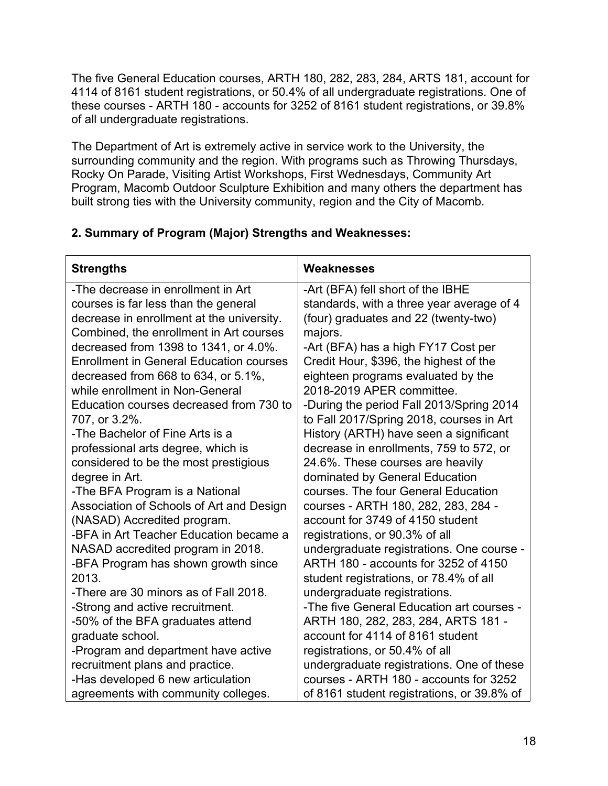The five General Education courses, ARTH 180, 282, 283, 284, ARTS 181, account for 4114 of 8161 student registrations, or 50.4% of all undergraduate registrations. One of these courses - ARTH 180 - accounts for 3252 of 8161 student registrations, or 39.8% of all undergraduate registrations.

 The Department of Art is extremely active in service work to the University, the surrounding community and the region. With programs such as Throwing Thursdays, Rocky On Parade, Visiting Artist Workshops, First Wednesdays, Community Art Program, Macomb Outdoor Sculpture Exhibition and many others the department has built strong ties with the University community, region and the City of Macomb.

# **2. Summary of Program (Major) Strengths and Weaknesses:**

| <b>Strengths</b>                               | Weaknesses                                 |
|------------------------------------------------|--------------------------------------------|
| -The decrease in enrollment in Art             | -Art (BFA) fell short of the IBHE          |
| courses is far less than the general           | standards, with a three year average of 4  |
| decrease in enrollment at the university.      | (four) graduates and 22 (twenty-two)       |
| Combined, the enrollment in Art courses        | majors.                                    |
| decreased from 1398 to 1341, or 4.0%.          | -Art (BFA) has a high FY17 Cost per        |
| <b>Enrollment in General Education courses</b> | Credit Hour, \$396, the highest of the     |
| decreased from 668 to 634, or 5.1%,            | eighteen programs evaluated by the         |
| while enrollment in Non-General                | 2018-2019 APER committee.                  |
| Education courses decreased from 730 to        | -During the period Fall 2013/Spring 2014   |
| 707, or 3.2%.                                  | to Fall 2017/Spring 2018, courses in Art   |
| -The Bachelor of Fine Arts is a                | History (ARTH) have seen a significant     |
| professional arts degree, which is             | decrease in enrollments, 759 to 572, or    |
| considered to be the most prestigious          | 24.6%. These courses are heavily           |
| degree in Art.                                 | dominated by General Education             |
| -The BFA Program is a National                 | courses. The four General Education        |
| Association of Schools of Art and Design       | courses - ARTH 180, 282, 283, 284 -        |
| (NASAD) Accredited program.                    | account for 3749 of 4150 student           |
| -BFA in Art Teacher Education became a         | registrations, or 90.3% of all             |
| NASAD accredited program in 2018.              | undergraduate registrations. One course -  |
| -BFA Program has shown growth since            | ARTH 180 - accounts for 3252 of 4150       |
| 2013.                                          | student registrations, or 78.4% of all     |
| -There are 30 minors as of Fall 2018.          | undergraduate registrations.               |
| -Strong and active recruitment.                | -The five General Education art courses -  |
| -50% of the BFA graduates attend               | ARTH 180, 282, 283, 284, ARTS 181 -        |
| graduate school.                               | account for 4114 of 8161 student           |
| -Program and department have active            | registrations, or 50.4% of all             |
| recruitment plans and practice.                | undergraduate registrations. One of these  |
| -Has developed 6 new articulation              | courses - ARTH 180 - accounts for 3252     |
| agreements with community colleges.            | of 8161 student registrations, or 39.8% of |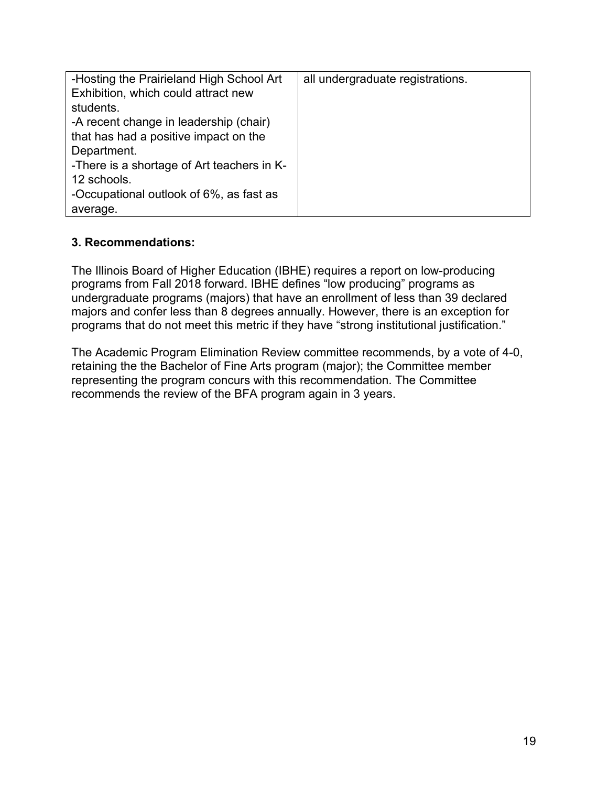| -Hosting the Prairieland High School Art   | all undergraduate registrations. |
|--------------------------------------------|----------------------------------|
| Exhibition, which could attract new        |                                  |
| students.                                  |                                  |
| -A recent change in leadership (chair)     |                                  |
| that has had a positive impact on the      |                                  |
| Department.                                |                                  |
| -There is a shortage of Art teachers in K- |                                  |
| 12 schools.                                |                                  |
| -Occupational outlook of 6%, as fast as    |                                  |
| average.                                   |                                  |

# **3. Recommendations:**

 The Illinois Board of Higher Education (IBHE) requires a report on low-producing programs from Fall 2018 forward. IBHE defines "low producing" programs as undergraduate programs (majors) that have an enrollment of less than 39 declared majors and confer less than 8 degrees annually. However, there is an exception for programs that do not meet this metric if they have "strong institutional justification."

 The Academic Program Elimination Review committee recommends, by a vote of 4-0, retaining the the Bachelor of Fine Arts program (major); the Committee member representing the program concurs with this recommendation. The Committee recommends the review of the BFA program again in 3 years.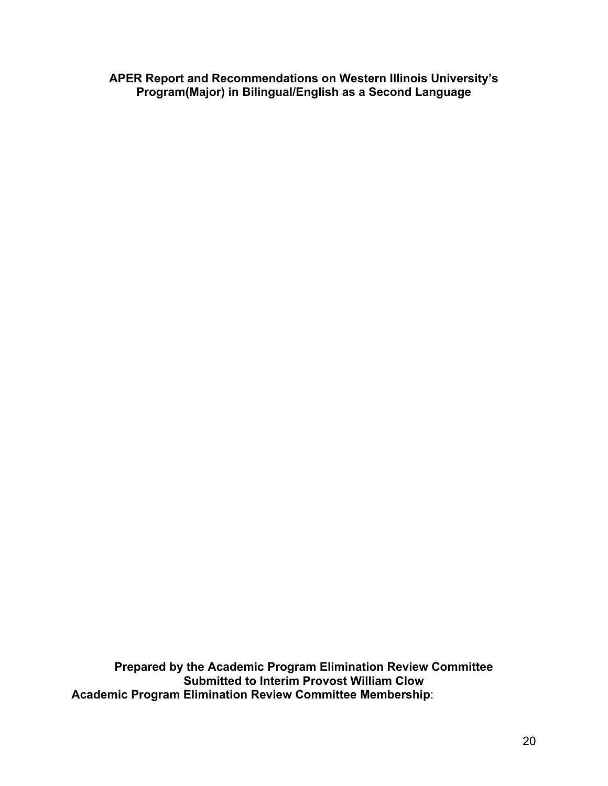**APER Report and Recommendations on Western Illinois University's Program(Major) in Bilingual/English as a Second Language** 

 **Prepared by the Academic Program Elimination Review Committee Submitted to Interim Provost William Clow Academic Program Elimination Review Committee Membership**: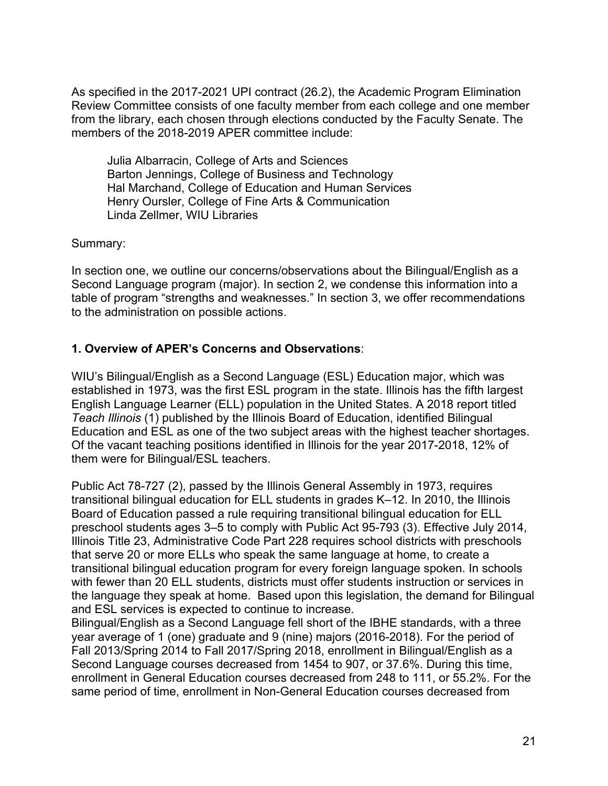As specified in the 2017-2021 UPI contract (26.2), the Academic Program Elimination Review Committee consists of one faculty member from each college and one member from the library, each chosen through elections conducted by the Faculty Senate. The members of the 2018-2019 APER committee include:

 Julia Albarracin, College of Arts and Sciences Barton Jennings, College of Business and Technology Hal Marchand, College of Education and Human Services Henry Oursler, College of Fine Arts & Communication Linda Zellmer, WIU Libraries

### Summary:

 In section one, we outline our concerns/observations about the Bilingual/English as a Second Language program (major). In section 2, we condense this information into a table of program "strengths and weaknesses." In section 3, we offer recommendations to the administration on possible actions.

# **1. Overview of APER's Concerns and Observations**:

 WIU's Bilingual/English as a Second Language (ESL) Education major, which was established in 1973, was the first ESL program in the state. Illinois has the fifth largest English Language Learner (ELL) population in the United States. A 2018 report titled *Teach Illinois* (1) published by the Illinois Board of Education, identified Bilingual Education and ESL as one of the two subject areas with the highest teacher shortages. Of the vacant teaching positions identified in Illinois for the year 2017-2018, 12% of them were for Bilingual/ESL teachers.

 Public Act 78-727 (2), passed by the Illinois General Assembly in 1973, requires transitional bilingual education for ELL students in grades K–12. In 2010, the Illinois Board of Education passed a rule requiring transitional bilingual education for ELL preschool students ages 3–5 to comply with Public Act 95-793 (3). Effective July 2014, Illinois Title 23, Administrative Code Part 228 requires school districts with preschools that serve 20 or more ELLs who speak the same language at home, to create a transitional bilingual education program for every foreign language spoken. In schools with fewer than 20 ELL students, districts must offer students instruction or services in the language they speak at home. Based upon this legislation, the demand for Bilingual and ESL services is expected to continue to increase.

 Bilingual/English as a Second Language fell short of the IBHE standards, with a three year average of 1 (one) graduate and 9 (nine) majors (2016-2018). For the period of Fall 2013/Spring 2014 to Fall 2017/Spring 2018, enrollment in Bilingual/English as a Second Language courses decreased from 1454 to 907, or 37.6%. During this time, enrollment in General Education courses decreased from 248 to 111, or 55.2%. For the same period of time, enrollment in Non-General Education courses decreased from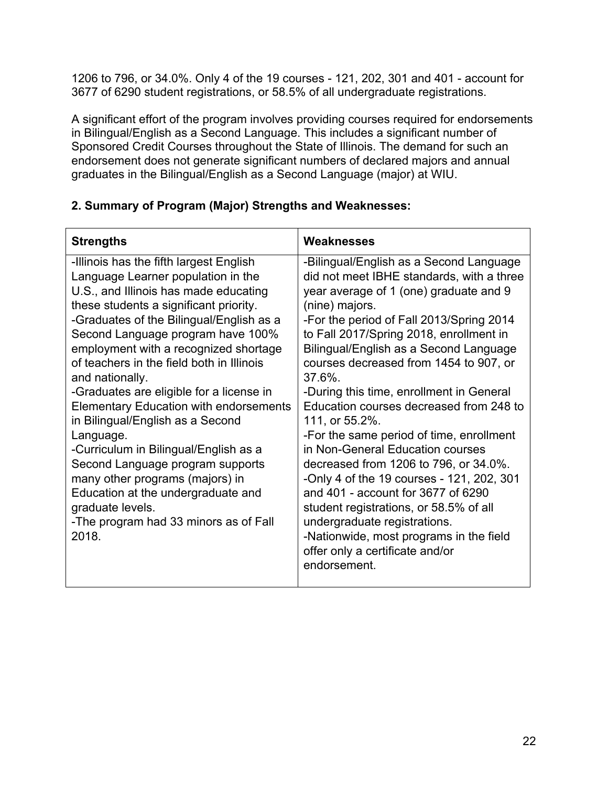1206 to 796, or 34.0%. Only 4 of the 19 courses - 121, 202, 301 and 401 - account for 3677 of 6290 student registrations, or 58.5% of all undergraduate registrations.

 A significant effort of the program involves providing courses required for endorsements in Bilingual/English as a Second Language. This includes a significant number of Sponsored Credit Courses throughout the State of Illinois. The demand for such an endorsement does not generate significant numbers of declared majors and annual graduates in the Bilingual/English as a Second Language (major) at WIU.

# **2. Summary of Program (Major) Strengths and Weaknesses:**

| <b>Strengths</b>                                                                                                                                                                                                                                                                                                                                                                                                                                                                                                                                                                                                                                                                                                                     | Weaknesses                                                                                                                                                                                                                                                                                                                                                                                                                                                                                                                                                                                                                                                                                                                                                                                                                             |
|--------------------------------------------------------------------------------------------------------------------------------------------------------------------------------------------------------------------------------------------------------------------------------------------------------------------------------------------------------------------------------------------------------------------------------------------------------------------------------------------------------------------------------------------------------------------------------------------------------------------------------------------------------------------------------------------------------------------------------------|----------------------------------------------------------------------------------------------------------------------------------------------------------------------------------------------------------------------------------------------------------------------------------------------------------------------------------------------------------------------------------------------------------------------------------------------------------------------------------------------------------------------------------------------------------------------------------------------------------------------------------------------------------------------------------------------------------------------------------------------------------------------------------------------------------------------------------------|
| -Illinois has the fifth largest English<br>Language Learner population in the<br>U.S., and Illinois has made educating<br>these students a significant priority.<br>-Graduates of the Bilingual/English as a<br>Second Language program have 100%<br>employment with a recognized shortage<br>of teachers in the field both in Illinois<br>and nationally.<br>-Graduates are eligible for a license in<br><b>Elementary Education with endorsements</b><br>in Bilingual/English as a Second<br>Language.<br>-Curriculum in Bilingual/English as a<br>Second Language program supports<br>many other programs (majors) in<br>Education at the undergraduate and<br>graduate levels.<br>-The program had 33 minors as of Fall<br>2018. | -Bilingual/English as a Second Language<br>did not meet IBHE standards, with a three<br>year average of 1 (one) graduate and 9<br>(nine) majors.<br>-For the period of Fall 2013/Spring 2014<br>to Fall 2017/Spring 2018, enrollment in<br>Bilingual/English as a Second Language<br>courses decreased from 1454 to 907, or<br>$37.6\%$ .<br>-During this time, enrollment in General<br>Education courses decreased from 248 to<br>111, or 55.2%.<br>-For the same period of time, enrollment<br>in Non-General Education courses<br>decreased from 1206 to 796, or 34.0%.<br>-Only 4 of the 19 courses - 121, 202, 301<br>and 401 - account for 3677 of 6290<br>student registrations, or 58.5% of all<br>undergraduate registrations.<br>-Nationwide, most programs in the field<br>offer only a certificate and/or<br>endorsement. |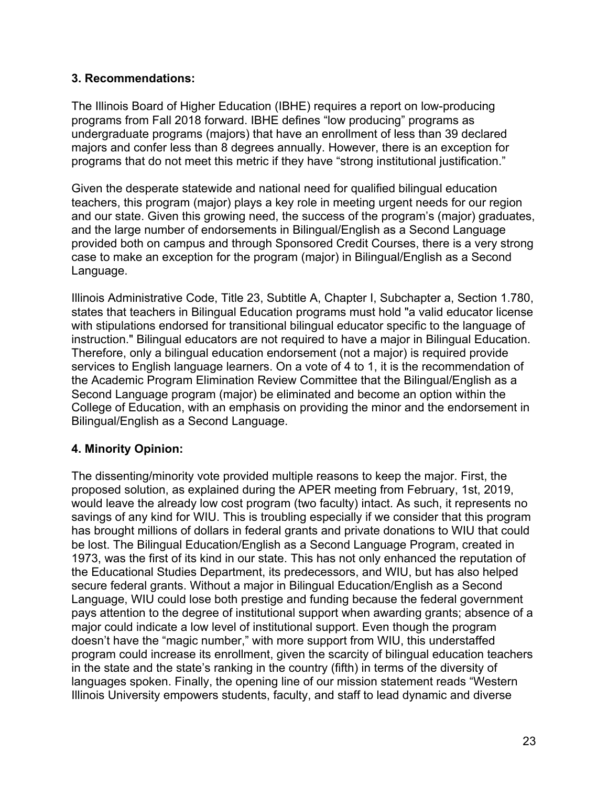# **3. Recommendations:**

 The Illinois Board of Higher Education (IBHE) requires a report on low-producing programs from Fall 2018 forward. IBHE defines "low producing" programs as undergraduate programs (majors) that have an enrollment of less than 39 declared majors and confer less than 8 degrees annually. However, there is an exception for programs that do not meet this metric if they have "strong institutional justification."

 Given the desperate statewide and national need for qualified bilingual education teachers, this program (major) plays a key role in meeting urgent needs for our region and our state. Given this growing need, the success of the program's (major) graduates, and the large number of endorsements in Bilingual/English as a Second Language provided both on campus and through Sponsored Credit Courses, there is a very strong case to make an exception for the program (major) in Bilingual/English as a Second Language.

 Illinois Administrative Code, Title 23, Subtitle A, Chapter I, Subchapter a, Section 1.780, states that teachers in Bilingual Education programs must hold "a valid educator license with stipulations endorsed for transitional bilingual educator specific to the language of instruction." Bilingual educators are not required to have a major in Bilingual Education. Therefore, only a bilingual education endorsement (not a major) is required provide services to English language learners. On a vote of 4 to 1, it is the recommendation of the Academic Program Elimination Review Committee that the Bilingual/English as a Second Language program (major) be eliminated and become an option within the College of Education, with an emphasis on providing the minor and the endorsement in Bilingual/English as a Second Language.

# **4. Minority Opinion:**

 The dissenting/minority vote provided multiple reasons to keep the major. First, the proposed solution, as explained during the APER meeting from February, 1st, 2019, would leave the already low cost program (two faculty) intact. As such, it represents no savings of any kind for WIU. This is troubling especially if we consider that this program has brought millions of dollars in federal grants and private donations to WIU that could be lost. The Bilingual Education/English as a Second Language Program, created in 1973, was the first of its kind in our state. This has not only enhanced the reputation of the Educational Studies Department, its predecessors, and WIU, but has also helped secure federal grants. Without a major in Bilingual Education/English as a Second Language, WIU could lose both prestige and funding because the federal government pays attention to the degree of institutional support when awarding grants; absence of a major could indicate a low level of institutional support. Even though the program doesn't have the "magic number," with more support from WIU, this understaffed program could increase its enrollment, given the scarcity of bilingual education teachers in the state and the state's ranking in the country (fifth) in terms of the diversity of languages spoken. Finally, the opening line of our mission statement reads "Western Illinois University empowers students, faculty, and staff to lead dynamic and diverse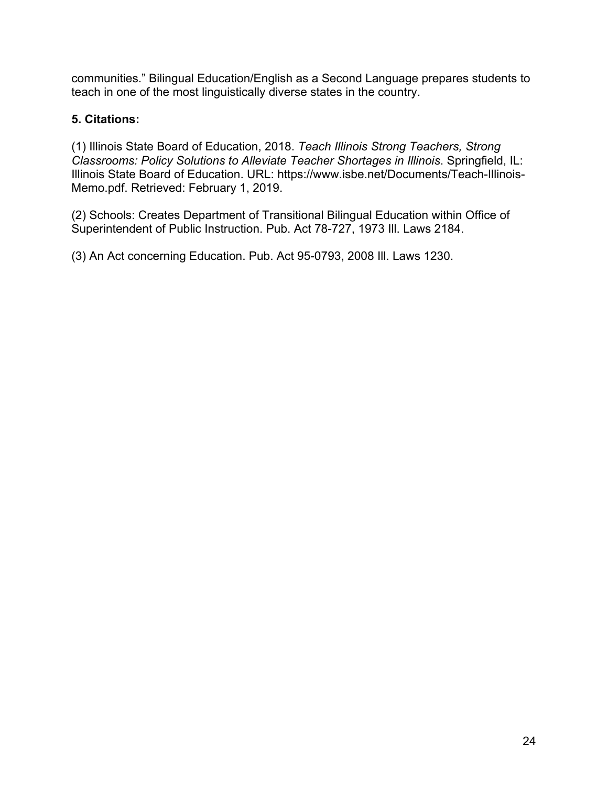communities." Bilingual Education/English as a Second Language prepares students to teach in one of the most linguistically diverse states in the country.

# **5. Citations:**

 (1) Illinois State Board of Education, 2018. *Teach Illinois Strong Teachers, Strong Classrooms: Policy Solutions to Alleviate Teacher Shortages in Illinois*. Springfield, IL: Illinois State Board of Education. URL: [https://www.isbe.net/Documents/Teach-Illinois-](https://www.isbe.net/Documents/Teach-Illinois)Memo.pdf. Retrieved: February 1, 2019.

 (2) Schools: Creates Department of Transitional Bilingual Education within Office of Superintendent of Public Instruction. Pub. Act 78-727, 1973 Ill. Laws 2184.

(3) An Act concerning Education. Pub. Act 95-0793, 2008 Ill. Laws 1230.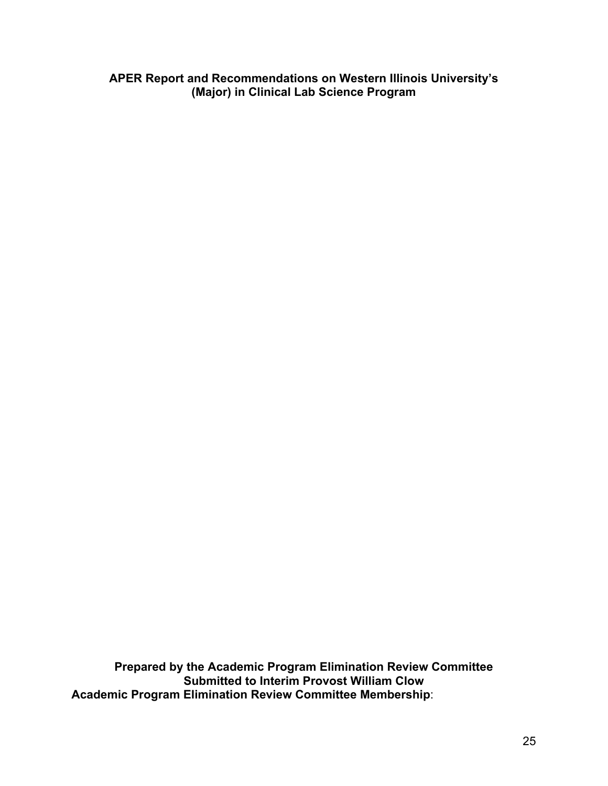**APER Report and Recommendations on Western Illinois University's (Major) in Clinical Lab Science Program** 

 **Prepared by the Academic Program Elimination Review Committee Submitted to Interim Provost William Clow Academic Program Elimination Review Committee Membership**: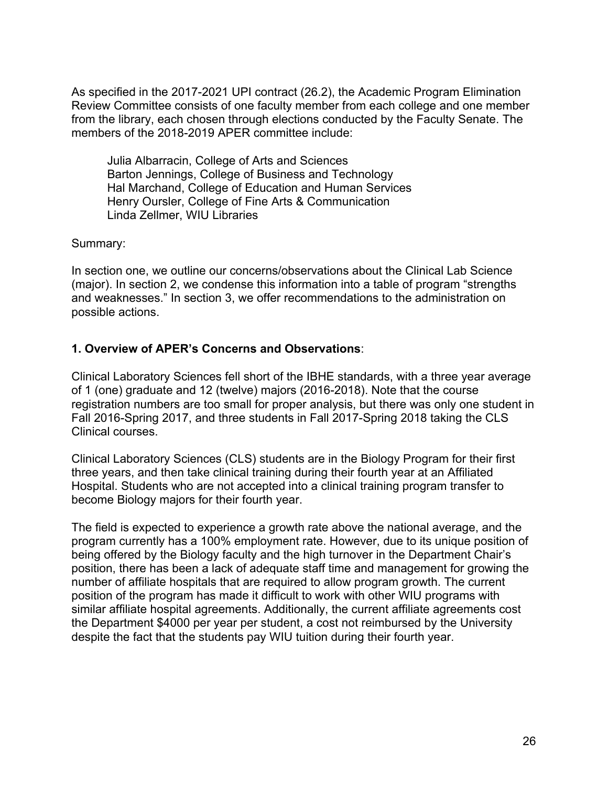As specified in the 2017-2021 UPI contract (26.2), the Academic Program Elimination Review Committee consists of one faculty member from each college and one member from the library, each chosen through elections conducted by the Faculty Senate. The members of the 2018-2019 APER committee include:

 Julia Albarracin, College of Arts and Sciences Barton Jennings, College of Business and Technology Hal Marchand, College of Education and Human Services Henry Oursler, College of Fine Arts & Communication Linda Zellmer, WIU Libraries

Summary:

 In section one, we outline our concerns/observations about the Clinical Lab Science (major). In section 2, we condense this information into a table of program "strengths and weaknesses." In section 3, we offer recommendations to the administration on possible actions.

# **1. Overview of APER's Concerns and Observations**:

 Clinical Laboratory Sciences fell short of the IBHE standards, with a three year average of 1 (one) graduate and 12 (twelve) majors (2016-2018). Note that the course registration numbers are too small for proper analysis, but there was only one student in Fall 2016-Spring 2017, and three students in Fall 2017-Spring 2018 taking the CLS Clinical courses.

 Clinical Laboratory Sciences (CLS) students are in the Biology Program for their first three years, and then take clinical training during their fourth year at an Affiliated Hospital. Students who are not accepted into a clinical training program transfer to become Biology majors for their fourth year.

 The field is expected to experience a growth rate above the national average, and the program currently has a 100% employment rate. However, due to its unique position of being offered by the Biology faculty and the high turnover in the Department Chair's position, there has been a lack of adequate staff time and management for growing the number of affiliate hospitals that are required to allow program growth. The current position of the program has made it difficult to work with other WIU programs with similar affiliate hospital agreements. Additionally, the current affiliate agreements cost the Department \$4000 per year per student, a cost not reimbursed by the University despite the fact that the students pay WIU tuition during their fourth year.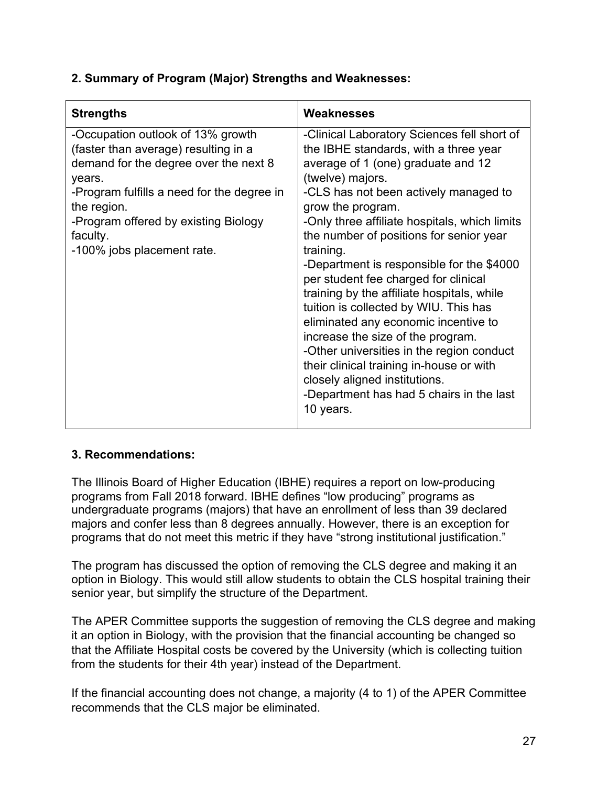# **2. Summary of Program (Major) Strengths and Weaknesses:**

| <b>Strengths</b>                                                                                                                                                                                                                                                            | Weaknesses                                                                                                                                                                                                                                                                                                                                                                                                                                                                                                                                                                                                                                                                                                                                                        |
|-----------------------------------------------------------------------------------------------------------------------------------------------------------------------------------------------------------------------------------------------------------------------------|-------------------------------------------------------------------------------------------------------------------------------------------------------------------------------------------------------------------------------------------------------------------------------------------------------------------------------------------------------------------------------------------------------------------------------------------------------------------------------------------------------------------------------------------------------------------------------------------------------------------------------------------------------------------------------------------------------------------------------------------------------------------|
| -Occupation outlook of 13% growth<br>(faster than average) resulting in a<br>demand for the degree over the next 8<br>years.<br>-Program fulfills a need for the degree in<br>the region.<br>-Program offered by existing Biology<br>faculty.<br>-100% jobs placement rate. | -Clinical Laboratory Sciences fell short of<br>the IBHE standards, with a three year<br>average of 1 (one) graduate and 12<br>(twelve) majors.<br>-CLS has not been actively managed to<br>grow the program.<br>-Only three affiliate hospitals, which limits<br>the number of positions for senior year<br>training.<br>-Department is responsible for the \$4000<br>per student fee charged for clinical<br>training by the affiliate hospitals, while<br>tuition is collected by WIU. This has<br>eliminated any economic incentive to<br>increase the size of the program.<br>-Other universities in the region conduct<br>their clinical training in-house or with<br>closely aligned institutions.<br>-Department has had 5 chairs in the last<br>10 years. |
|                                                                                                                                                                                                                                                                             |                                                                                                                                                                                                                                                                                                                                                                                                                                                                                                                                                                                                                                                                                                                                                                   |

# **3. Recommendations:**

 The Illinois Board of Higher Education (IBHE) requires a report on low-producing programs from Fall 2018 forward. IBHE defines "low producing" programs as undergraduate programs (majors) that have an enrollment of less than 39 declared majors and confer less than 8 degrees annually. However, there is an exception for programs that do not meet this metric if they have "strong institutional justification."

 The program has discussed the option of removing the CLS degree and making it an option in Biology. This would still allow students to obtain the CLS hospital training their senior year, but simplify the structure of the Department.

 The APER Committee supports the suggestion of removing the CLS degree and making it an option in Biology, with the provision that the financial accounting be changed so that the Affiliate Hospital costs be covered by the University (which is collecting tuition from the students for their 4th year) instead of the Department.

 If the financial accounting does not change, a majority (4 to 1) of the APER Committee recommends that the CLS major be eliminated.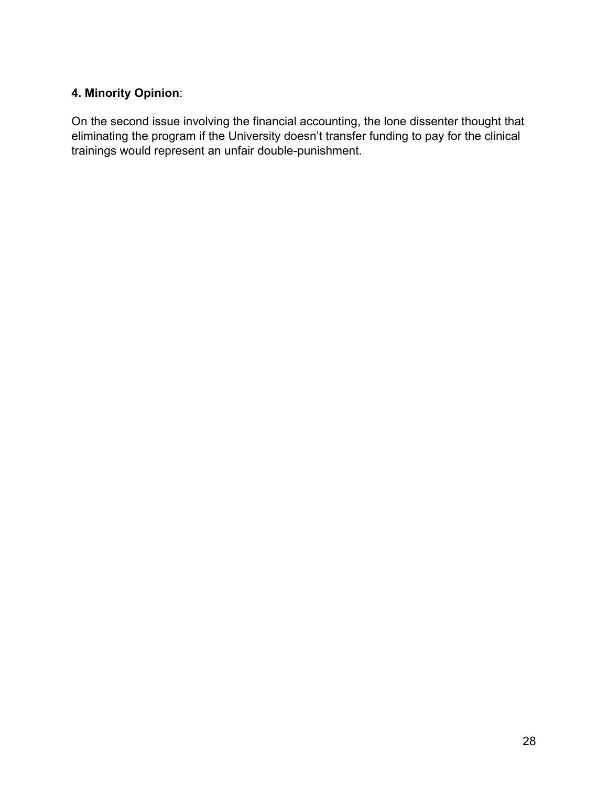# **4. Minority Opinion**:

 On the second issue involving the financial accounting, the lone dissenter thought that eliminating the program if the University doesn't transfer funding to pay for the clinical trainings would represent an unfair double-punishment.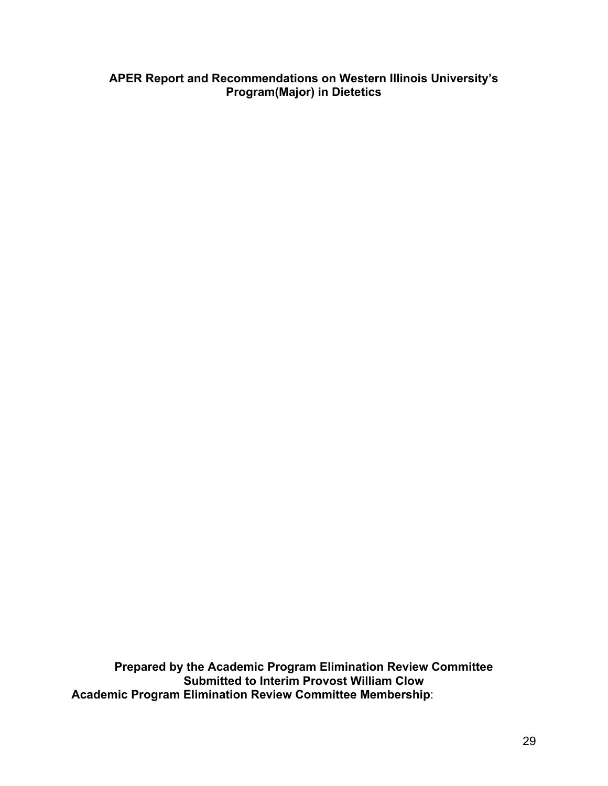#### **APER Report and Recommendations on Western Illinois University's Program(Major) in Dietetics**

 **Prepared by the Academic Program Elimination Review Committee Submitted to Interim Provost William Clow Academic Program Elimination Review Committee Membership**: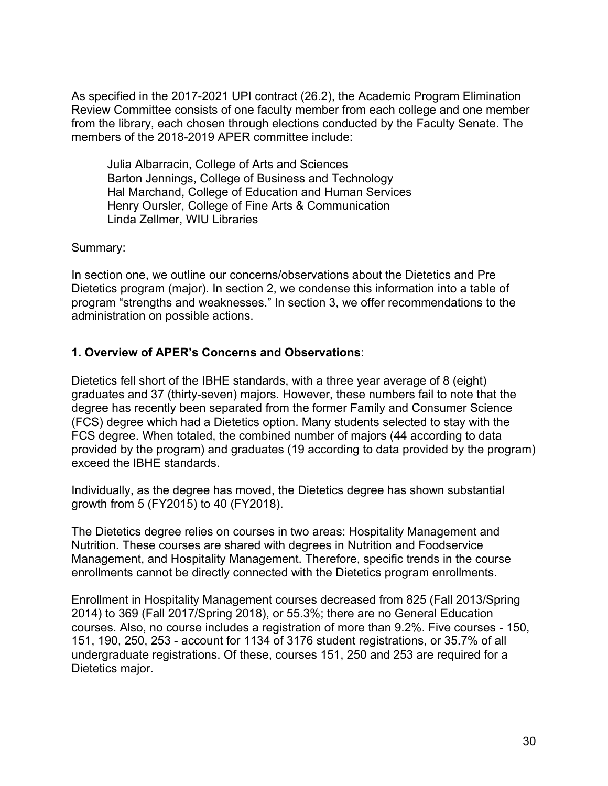As specified in the 2017-2021 UPI contract (26.2), the Academic Program Elimination Review Committee consists of one faculty member from each college and one member from the library, each chosen through elections conducted by the Faculty Senate. The members of the 2018-2019 APER committee include:

 Julia Albarracin, College of Arts and Sciences Barton Jennings, College of Business and Technology Hal Marchand, College of Education and Human Services Henry Oursler, College of Fine Arts & Communication Linda Zellmer, WIU Libraries

Summary:

 In section one, we outline our concerns/observations about the Dietetics and Pre Dietetics program (major). In section 2, we condense this information into a table of program "strengths and weaknesses." In section 3, we offer recommendations to the administration on possible actions.

### **1. Overview of APER's Concerns and Observations**:

 Dietetics fell short of the IBHE standards, with a three year average of 8 (eight) graduates and 37 (thirty-seven) majors. However, these numbers fail to note that the degree has recently been separated from the former Family and Consumer Science (FCS) degree which had a Dietetics option. Many students selected to stay with the FCS degree. When totaled, the combined number of majors (44 according to data provided by the program) and graduates (19 according to data provided by the program) exceed the IBHE standards.

 Individually, as the degree has moved, the Dietetics degree has shown substantial growth from 5 (FY2015) to 40 (FY2018).

 The Dietetics degree relies on courses in two areas: Hospitality Management and Nutrition. These courses are shared with degrees in Nutrition and Foodservice Management, and Hospitality Management. Therefore, specific trends in the course enrollments cannot be directly connected with the Dietetics program enrollments.

 Enrollment in Hospitality Management courses decreased from 825 (Fall 2013/Spring 2014) to 369 (Fall 2017/Spring 2018), or 55.3%; there are no General Education courses. Also, no course includes a registration of more than 9.2%. Five courses - 150, 151, 190, 250, 253 - account for 1134 of 3176 student registrations, or 35.7% of all undergraduate registrations. Of these, courses 151, 250 and 253 are required for a Dietetics major.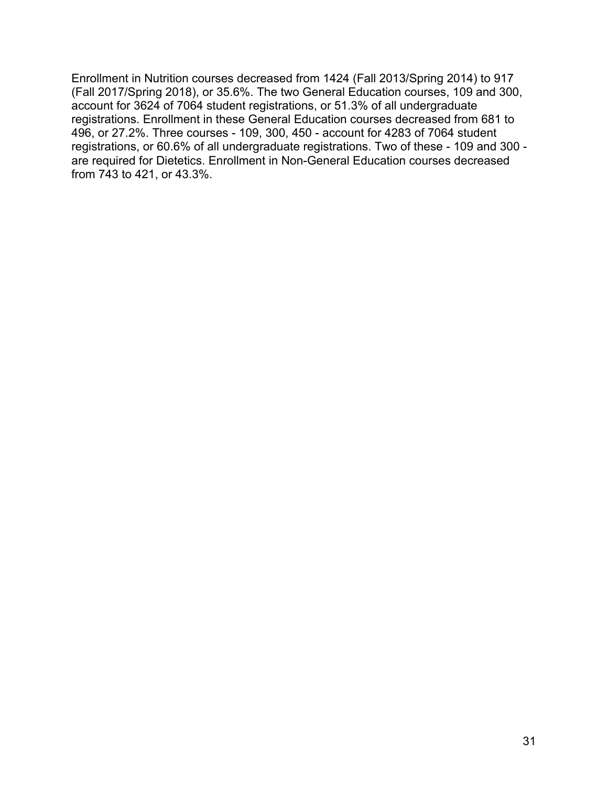Enrollment in Nutrition courses decreased from 1424 (Fall 2013/Spring 2014) to 917 (Fall 2017/Spring 2018), or 35.6%. The two General Education courses, 109 and 300, account for 3624 of 7064 student registrations, or 51.3% of all undergraduate registrations. Enrollment in these General Education courses decreased from 681 to 496, or 27.2%. Three courses - 109, 300, 450 - account for 4283 of 7064 student registrations, or 60.6% of all undergraduate registrations. Two of these - 109 and 300 - are required for Dietetics. Enrollment in Non-General Education courses decreased from 743 to 421, or 43.3%.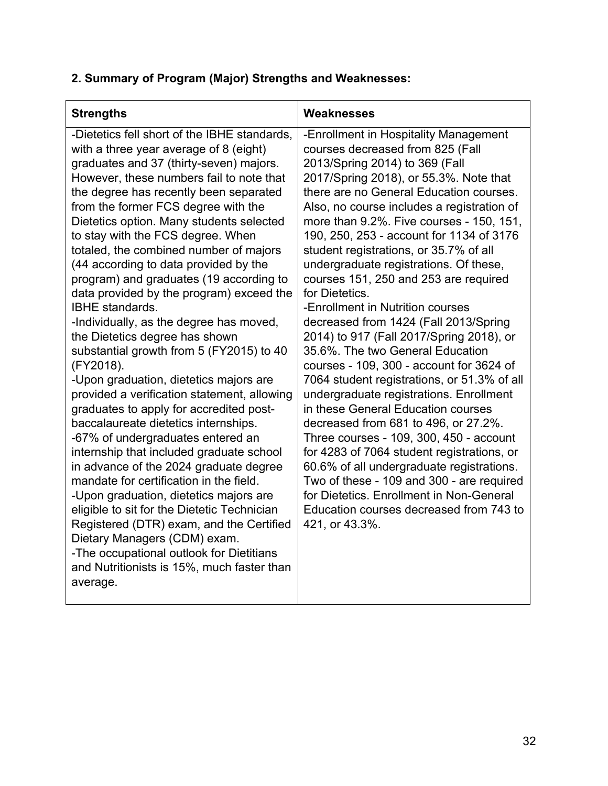# **2. Summary of Program (Major) Strengths and Weaknesses:**

| <b>Strengths</b>                                                                                                                                                                                                                                                                                                                                                                                                                                                                                                                                                                                                                                                                                                                                                                                                                                                                                                                                                                                                                                                                                                                                                                                                                                                                                                       | Weaknesses                                                                                                                                                                                                                                                                                                                                                                                                                                                                                                                                                                                                                                                                                                                                                                                                                                                                                                                                                                                                                                                                                                                                                         |
|------------------------------------------------------------------------------------------------------------------------------------------------------------------------------------------------------------------------------------------------------------------------------------------------------------------------------------------------------------------------------------------------------------------------------------------------------------------------------------------------------------------------------------------------------------------------------------------------------------------------------------------------------------------------------------------------------------------------------------------------------------------------------------------------------------------------------------------------------------------------------------------------------------------------------------------------------------------------------------------------------------------------------------------------------------------------------------------------------------------------------------------------------------------------------------------------------------------------------------------------------------------------------------------------------------------------|--------------------------------------------------------------------------------------------------------------------------------------------------------------------------------------------------------------------------------------------------------------------------------------------------------------------------------------------------------------------------------------------------------------------------------------------------------------------------------------------------------------------------------------------------------------------------------------------------------------------------------------------------------------------------------------------------------------------------------------------------------------------------------------------------------------------------------------------------------------------------------------------------------------------------------------------------------------------------------------------------------------------------------------------------------------------------------------------------------------------------------------------------------------------|
| -Dietetics fell short of the IBHE standards,<br>with a three year average of 8 (eight)<br>graduates and 37 (thirty-seven) majors.<br>However, these numbers fail to note that<br>the degree has recently been separated<br>from the former FCS degree with the<br>Dietetics option. Many students selected<br>to stay with the FCS degree. When<br>totaled, the combined number of majors<br>(44 according to data provided by the<br>program) and graduates (19 according to<br>data provided by the program) exceed the<br><b>IBHE</b> standards.<br>-Individually, as the degree has moved,<br>the Dietetics degree has shown<br>substantial growth from 5 (FY2015) to 40<br>(FY2018).<br>-Upon graduation, dietetics majors are<br>provided a verification statement, allowing<br>graduates to apply for accredited post-<br>baccalaureate dietetics internships.<br>-67% of undergraduates entered an<br>internship that included graduate school<br>in advance of the 2024 graduate degree<br>mandate for certification in the field.<br>-Upon graduation, dietetics majors are<br>eligible to sit for the Dietetic Technician<br>Registered (DTR) exam, and the Certified<br>Dietary Managers (CDM) exam.<br>-The occupational outlook for Dietitians<br>and Nutritionists is 15%, much faster than<br>average. | -Enrollment in Hospitality Management<br>courses decreased from 825 (Fall<br>2013/Spring 2014) to 369 (Fall<br>2017/Spring 2018), or 55.3%. Note that<br>there are no General Education courses.<br>Also, no course includes a registration of<br>more than 9.2%. Five courses - 150, 151,<br>190, 250, 253 - account for 1134 of 3176<br>student registrations, or 35.7% of all<br>undergraduate registrations. Of these,<br>courses 151, 250 and 253 are required<br>for Dietetics.<br>-Enrollment in Nutrition courses<br>decreased from 1424 (Fall 2013/Spring<br>2014) to 917 (Fall 2017/Spring 2018), or<br>35.6%. The two General Education<br>courses - 109, 300 - account for 3624 of<br>7064 student registrations, or 51.3% of all<br>undergraduate registrations. Enrollment<br>in these General Education courses<br>decreased from 681 to 496, or 27.2%.<br>Three courses - 109, 300, 450 - account<br>for 4283 of 7064 student registrations, or<br>60.6% of all undergraduate registrations.<br>Two of these - 109 and 300 - are required<br>for Dietetics. Enrollment in Non-General<br>Education courses decreased from 743 to<br>421, or 43.3%. |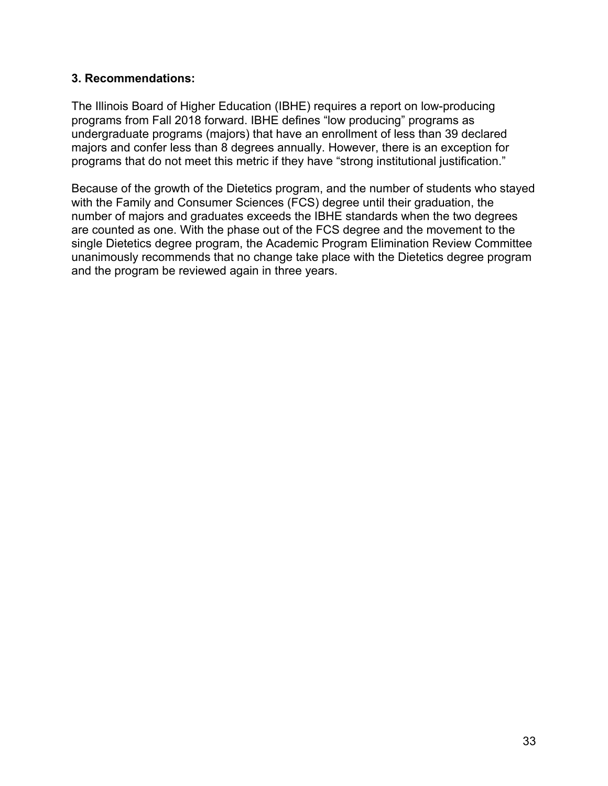### **3. Recommendations:**

 The Illinois Board of Higher Education (IBHE) requires a report on low-producing programs from Fall 2018 forward. IBHE defines "low producing" programs as undergraduate programs (majors) that have an enrollment of less than 39 declared majors and confer less than 8 degrees annually. However, there is an exception for programs that do not meet this metric if they have "strong institutional justification."

 Because of the growth of the Dietetics program, and the number of students who stayed with the Family and Consumer Sciences (FCS) degree until their graduation, the number of majors and graduates exceeds the IBHE standards when the two degrees are counted as one. With the phase out of the FCS degree and the movement to the single Dietetics degree program, the Academic Program Elimination Review Committee unanimously recommends that no change take place with the Dietetics degree program and the program be reviewed again in three years.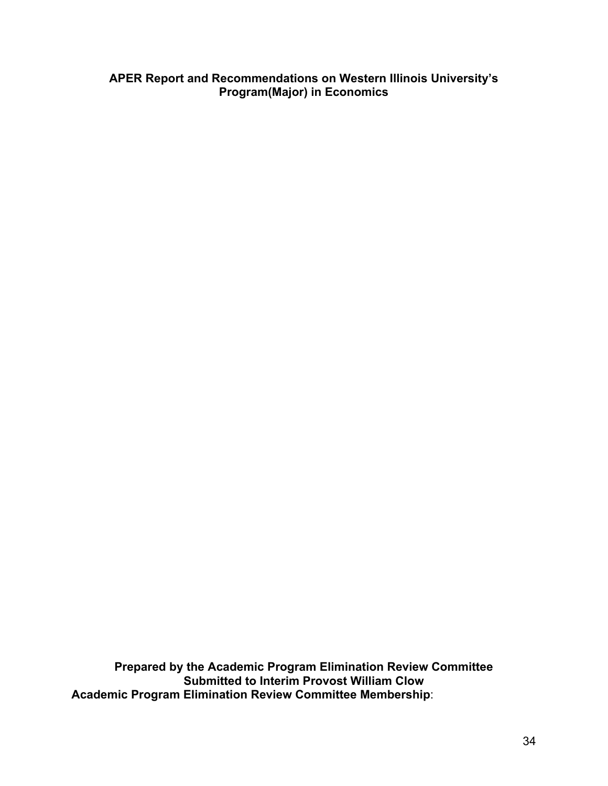**APER Report and Recommendations on Western Illinois University's Program(Major) in Economics** 

 **Prepared by the Academic Program Elimination Review Committee Submitted to Interim Provost William Clow Academic Program Elimination Review Committee Membership**: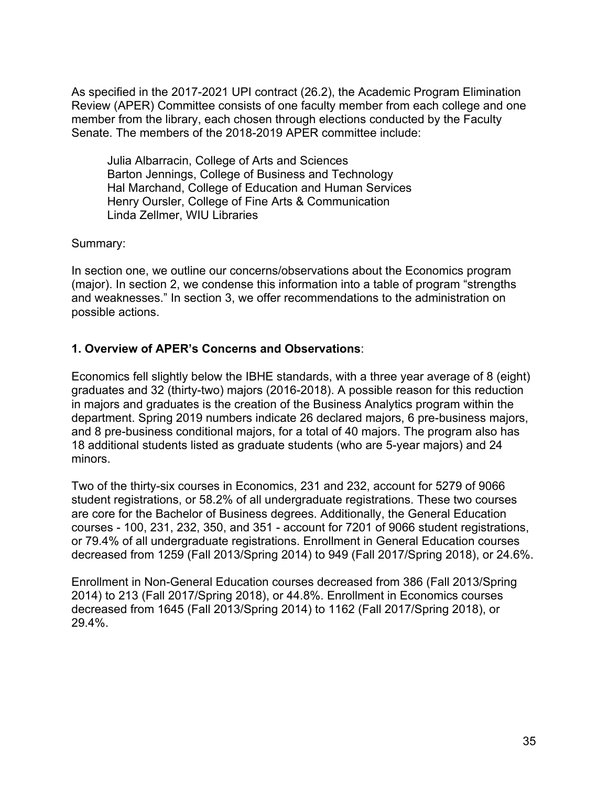As specified in the 2017-2021 UPI contract (26.2), the Academic Program Elimination Review (APER) Committee consists of one faculty member from each college and one member from the library, each chosen through elections conducted by the Faculty Senate. The members of the 2018-2019 APER committee include:

 Julia Albarracin, College of Arts and Sciences Barton Jennings, College of Business and Technology Hal Marchand, College of Education and Human Services Henry Oursler, College of Fine Arts & Communication Linda Zellmer, WIU Libraries

Summary:

 In section one, we outline our concerns/observations about the Economics program (major). In section 2, we condense this information into a table of program "strengths and weaknesses." In section 3, we offer recommendations to the administration on possible actions.

# **1. Overview of APER's Concerns and Observations**:

 Economics fell slightly below the IBHE standards, with a three year average of 8 (eight) graduates and 32 (thirty-two) majors (2016-2018). A possible reason for this reduction in majors and graduates is the creation of the Business Analytics program within the department. Spring 2019 numbers indicate 26 declared majors, 6 pre-business majors, and 8 pre-business conditional majors, for a total of 40 majors. The program also has 18 additional students listed as graduate students (who are 5-year majors) and 24 minors.

 Two of the thirty-six courses in Economics, 231 and 232, account for 5279 of 9066 student registrations, or 58.2% of all undergraduate registrations. These two courses are core for the Bachelor of Business degrees. Additionally, the General Education courses - 100, 231, 232, 350, and 351 - account for 7201 of 9066 student registrations, or 79.4% of all undergraduate registrations. Enrollment in General Education courses decreased from 1259 (Fall 2013/Spring 2014) to 949 (Fall 2017/Spring 2018), or 24.6%.

 Enrollment in Non-General Education courses decreased from 386 (Fall 2013/Spring 2014) to 213 (Fall 2017/Spring 2018), or 44.8%. Enrollment in Economics courses decreased from 1645 (Fall 2013/Spring 2014) to 1162 (Fall 2017/Spring 2018), or 29.4%.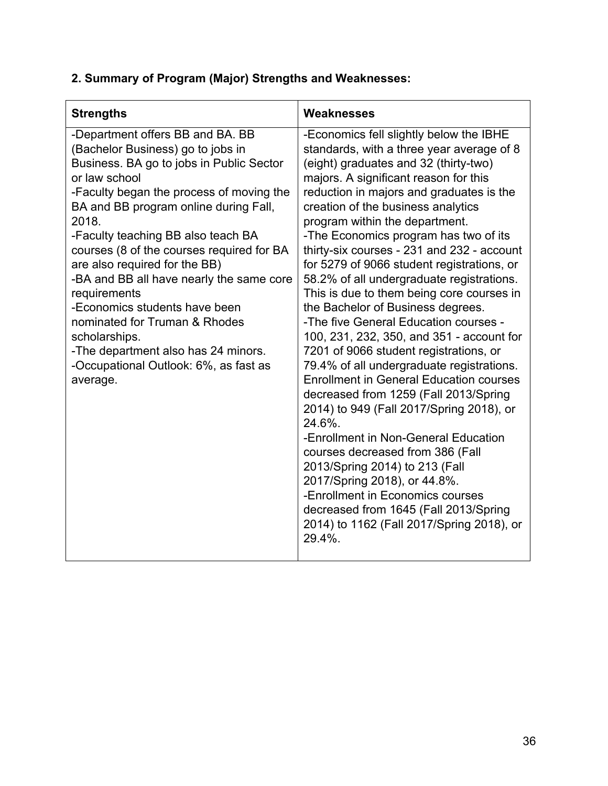| <b>Strengths</b>                                                                                                                                                                                                                                                                                                                                                                                                                                                                                                                                                                                | Weaknesses                                                                                                                                                                                                                                                                                                                                                                                                                                                                                                                                                                                                                                                                                                                                                                                                                                                                                                                                                                                                                                                                                                                                                                     |
|-------------------------------------------------------------------------------------------------------------------------------------------------------------------------------------------------------------------------------------------------------------------------------------------------------------------------------------------------------------------------------------------------------------------------------------------------------------------------------------------------------------------------------------------------------------------------------------------------|--------------------------------------------------------------------------------------------------------------------------------------------------------------------------------------------------------------------------------------------------------------------------------------------------------------------------------------------------------------------------------------------------------------------------------------------------------------------------------------------------------------------------------------------------------------------------------------------------------------------------------------------------------------------------------------------------------------------------------------------------------------------------------------------------------------------------------------------------------------------------------------------------------------------------------------------------------------------------------------------------------------------------------------------------------------------------------------------------------------------------------------------------------------------------------|
| -Department offers BB and BA. BB<br>(Bachelor Business) go to jobs in<br>Business. BA go to jobs in Public Sector<br>or law school<br>-Faculty began the process of moving the<br>BA and BB program online during Fall,<br>2018.<br>-Faculty teaching BB also teach BA<br>courses (8 of the courses required for BA<br>are also required for the BB)<br>-BA and BB all have nearly the same core<br>requirements<br>-Economics students have been<br>nominated for Truman & Rhodes<br>scholarships.<br>-The department also has 24 minors.<br>-Occupational Outlook: 6%, as fast as<br>average. | -Economics fell slightly below the IBHE<br>standards, with a three year average of 8<br>(eight) graduates and 32 (thirty-two)<br>majors. A significant reason for this<br>reduction in majors and graduates is the<br>creation of the business analytics<br>program within the department.<br>-The Economics program has two of its<br>thirty-six courses - 231 and 232 - account<br>for 5279 of 9066 student registrations, or<br>58.2% of all undergraduate registrations.<br>This is due to them being core courses in<br>the Bachelor of Business degrees.<br>-The five General Education courses -<br>100, 231, 232, 350, and 351 - account for<br>7201 of 9066 student registrations, or<br>79.4% of all undergraduate registrations.<br><b>Enrollment in General Education courses</b><br>decreased from 1259 (Fall 2013/Spring<br>2014) to 949 (Fall 2017/Spring 2018), or<br>24.6%.<br>-Enrollment in Non-General Education<br>courses decreased from 386 (Fall<br>2013/Spring 2014) to 213 (Fall<br>2017/Spring 2018), or 44.8%.<br>-Enrollment in Economics courses<br>decreased from 1645 (Fall 2013/Spring<br>2014) to 1162 (Fall 2017/Spring 2018), or<br>29.4%. |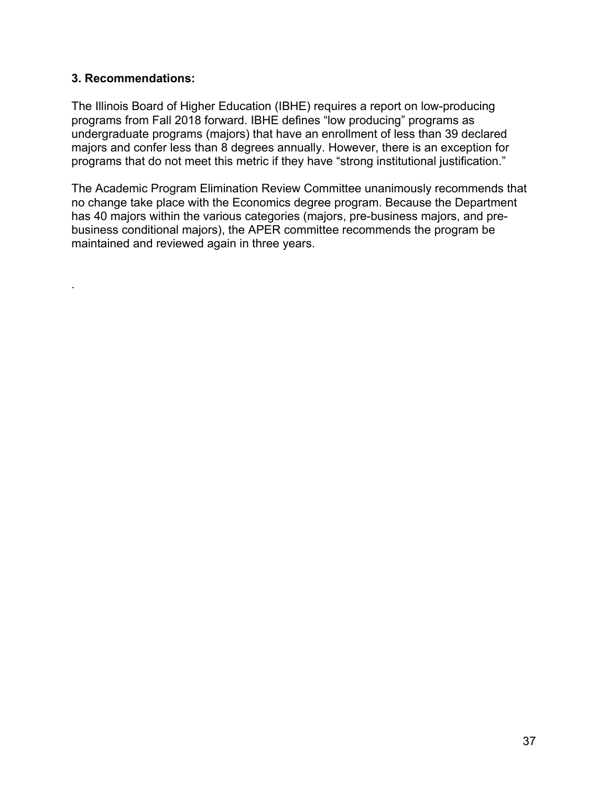### **3. Recommendations:**

.

 The Illinois Board of Higher Education (IBHE) requires a report on low-producing programs from Fall 2018 forward. IBHE defines "low producing" programs as undergraduate programs (majors) that have an enrollment of less than 39 declared majors and confer less than 8 degrees annually. However, there is an exception for programs that do not meet this metric if they have "strong institutional justification."

 The Academic Program Elimination Review Committee unanimously recommends that no change take place with the Economics degree program. Because the Department has 40 majors within the various categories (majors, pre-business majors, and pre- business conditional majors), the APER committee recommends the program be maintained and reviewed again in three years.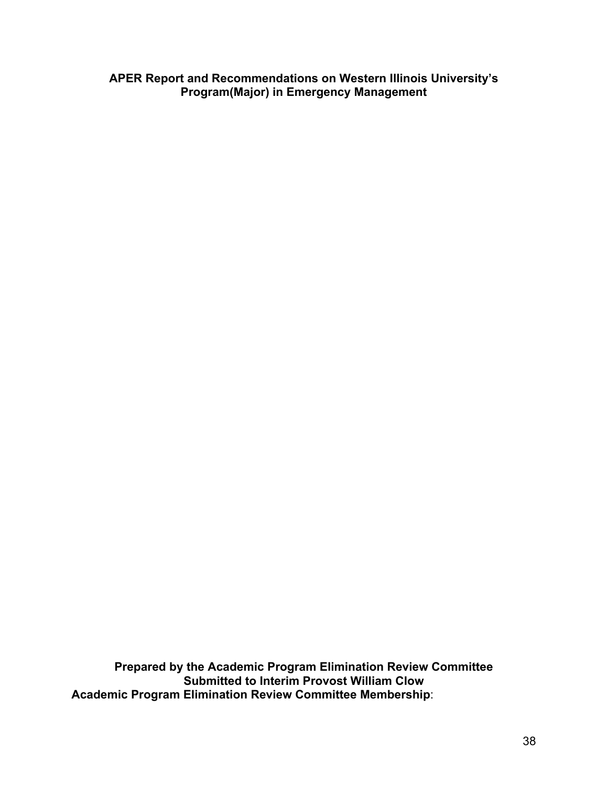**APER Report and Recommendations on Western Illinois University's Program(Major) in Emergency Management**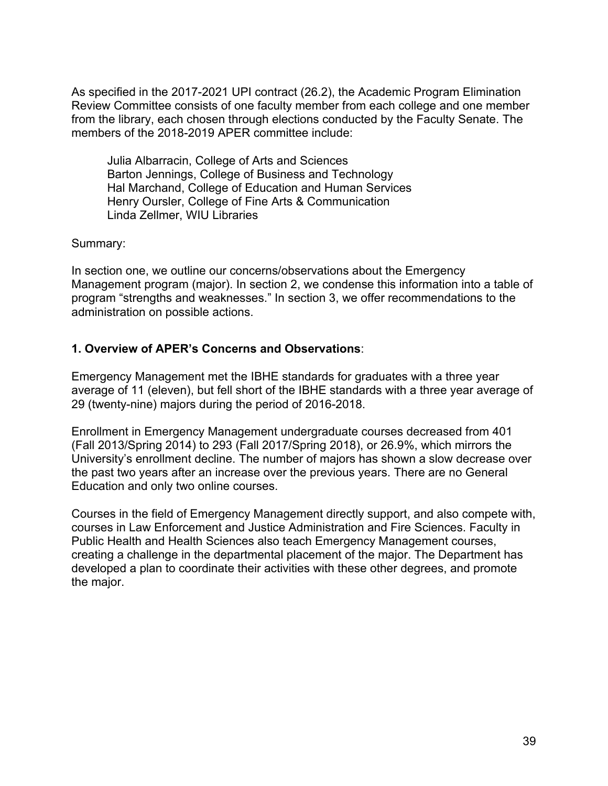Julia Albarracin, College of Arts and Sciences Barton Jennings, College of Business and Technology Hal Marchand, College of Education and Human Services Henry Oursler, College of Fine Arts & Communication Linda Zellmer, WIU Libraries

Summary:

 In section one, we outline our concerns/observations about the Emergency Management program (major). In section 2, we condense this information into a table of program "strengths and weaknesses." In section 3, we offer recommendations to the administration on possible actions.

## **1. Overview of APER's Concerns and Observations**:

 Emergency Management met the IBHE standards for graduates with a three year average of 11 (eleven), but fell short of the IBHE standards with a three year average of 29 (twenty-nine) majors during the period of 2016-2018.

 Enrollment in Emergency Management undergraduate courses decreased from 401 (Fall 2013/Spring 2014) to 293 (Fall 2017/Spring 2018), or 26.9%, which mirrors the University's enrollment decline. The number of majors has shown a slow decrease over the past two years after an increase over the previous years. There are no General Education and only two online courses.

 Courses in the field of Emergency Management directly support, and also compete with, courses in Law Enforcement and Justice Administration and Fire Sciences. Faculty in Public Health and Health Sciences also teach Emergency Management courses, creating a challenge in the departmental placement of the major. The Department has developed a plan to coordinate their activities with these other degrees, and promote the major.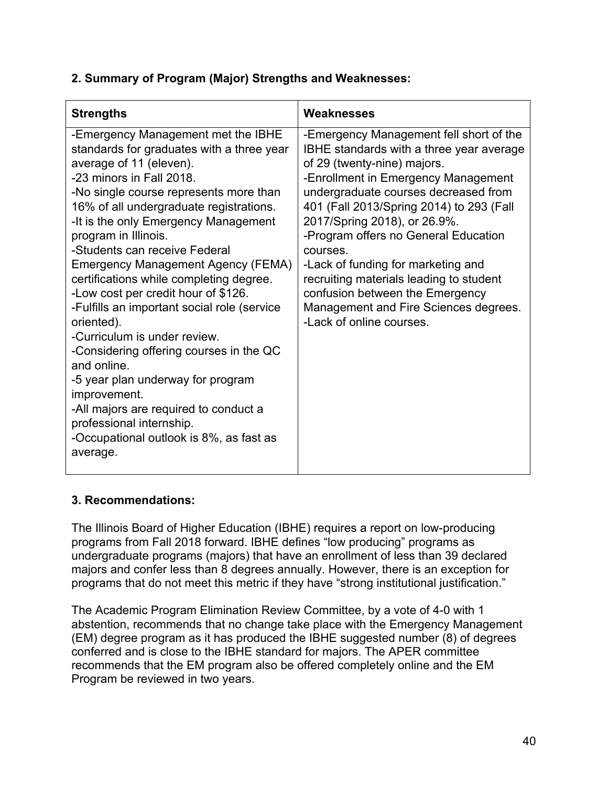| <b>Strengths</b>                                                                                                                                                                                                                                                                                                                                                                                                                                                                                                                                                                                                                                                                                                                                                                                    | Weaknesses                                                                                                                                                                                                                                                                                                                                                                                                                                                                                                                 |
|-----------------------------------------------------------------------------------------------------------------------------------------------------------------------------------------------------------------------------------------------------------------------------------------------------------------------------------------------------------------------------------------------------------------------------------------------------------------------------------------------------------------------------------------------------------------------------------------------------------------------------------------------------------------------------------------------------------------------------------------------------------------------------------------------------|----------------------------------------------------------------------------------------------------------------------------------------------------------------------------------------------------------------------------------------------------------------------------------------------------------------------------------------------------------------------------------------------------------------------------------------------------------------------------------------------------------------------------|
| -Emergency Management met the IBHE<br>standards for graduates with a three year<br>average of 11 (eleven).<br>-23 minors in Fall 2018.<br>-No single course represents more than<br>16% of all undergraduate registrations.<br>-It is the only Emergency Management<br>program in Illinois.<br>-Students can receive Federal<br><b>Emergency Management Agency (FEMA)</b><br>certifications while completing degree.<br>-Low cost per credit hour of \$126.<br>-Fulfills an important social role (service<br>oriented).<br>-Curriculum is under review.<br>-Considering offering courses in the QC<br>and online.<br>-5 year plan underway for program<br>improvement.<br>-All majors are required to conduct a<br>professional internship.<br>-Occupational outlook is 8%, as fast as<br>average. | -Emergency Management fell short of the<br>IBHE standards with a three year average<br>of 29 (twenty-nine) majors.<br>-Enrollment in Emergency Management<br>undergraduate courses decreased from<br>401 (Fall 2013/Spring 2014) to 293 (Fall<br>2017/Spring 2018), or 26.9%.<br>-Program offers no General Education<br>courses.<br>-Lack of funding for marketing and<br>recruiting materials leading to student<br>confusion between the Emergency<br>Management and Fire Sciences degrees.<br>-Lack of online courses. |

## **3. Recommendations:**

 The Illinois Board of Higher Education (IBHE) requires a report on low-producing programs from Fall 2018 forward. IBHE defines "low producing" programs as undergraduate programs (majors) that have an enrollment of less than 39 declared majors and confer less than 8 degrees annually. However, there is an exception for programs that do not meet this metric if they have "strong institutional justification."

 The Academic Program Elimination Review Committee, by a vote of 4-0 with 1 abstention, recommends that no change take place with the Emergency Management (EM) degree program as it has produced the IBHE suggested number (8) of degrees conferred and is close to the IBHE standard for majors. The APER committee recommends that the EM program also be offered completely online and the EM Program be reviewed in two years.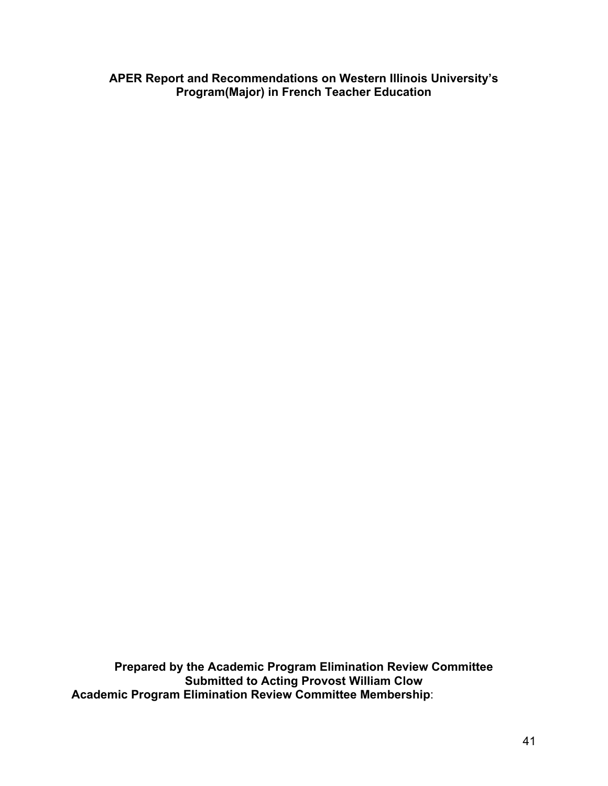**APER Report and Recommendations on Western Illinois University's Program(Major) in French Teacher Education**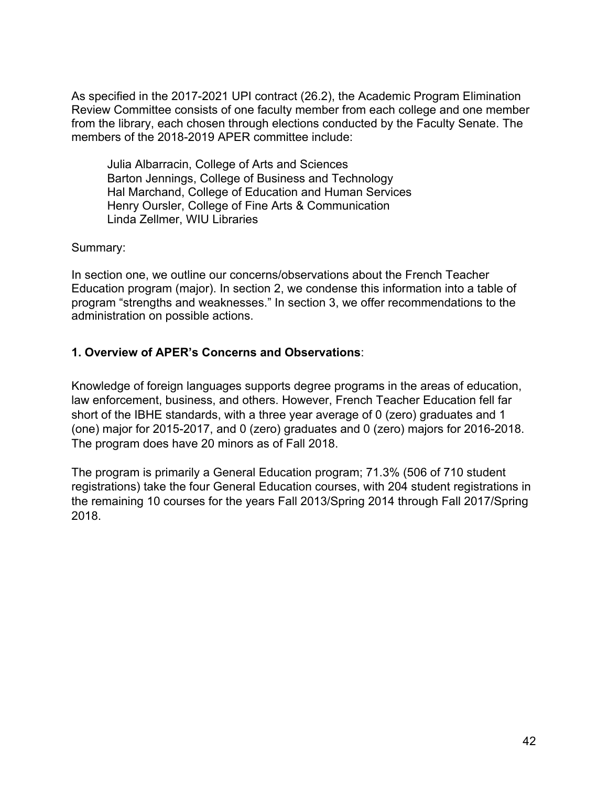Julia Albarracin, College of Arts and Sciences Barton Jennings, College of Business and Technology Hal Marchand, College of Education and Human Services Henry Oursler, College of Fine Arts & Communication Linda Zellmer, WIU Libraries

Summary:

 In section one, we outline our concerns/observations about the French Teacher Education program (major). In section 2, we condense this information into a table of program "strengths and weaknesses." In section 3, we offer recommendations to the administration on possible actions.

# **1. Overview of APER's Concerns and Observations**:

 Knowledge of foreign languages supports degree programs in the areas of education, law enforcement, business, and others. However, French Teacher Education fell far short of the IBHE standards, with a three year average of 0 (zero) graduates and 1 (one) major for 2015-2017, and 0 (zero) graduates and 0 (zero) majors for 2016-2018. The program does have 20 minors as of Fall 2018.

 The program is primarily a General Education program; 71.3% (506 of 710 student registrations) take the four General Education courses, with 204 student registrations in the remaining 10 courses for the years Fall 2013/Spring 2014 through Fall 2017/Spring 2018.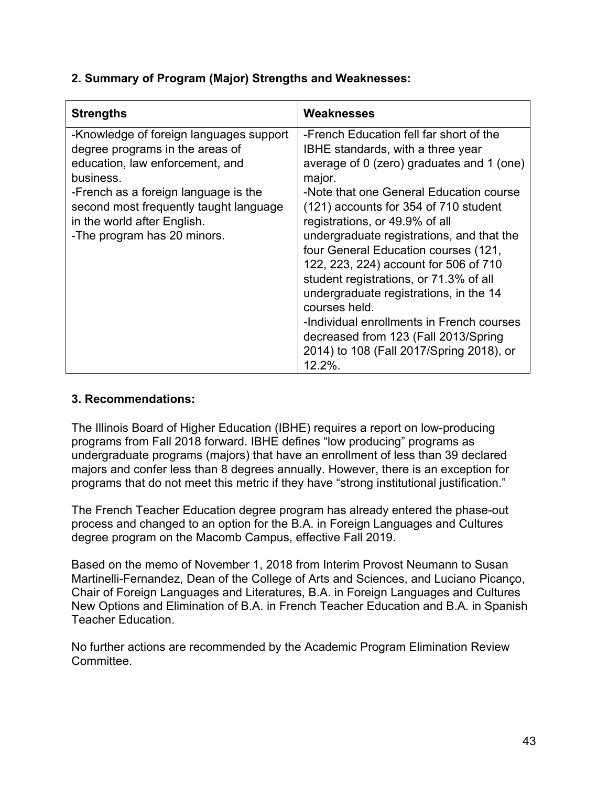| <b>Strengths</b>                                                                                                                                                                                                                                                           | Weaknesses                                                                                                                                                                                                                                                                                                                                                                                                                                                                                                                                                                                                                                         |
|----------------------------------------------------------------------------------------------------------------------------------------------------------------------------------------------------------------------------------------------------------------------------|----------------------------------------------------------------------------------------------------------------------------------------------------------------------------------------------------------------------------------------------------------------------------------------------------------------------------------------------------------------------------------------------------------------------------------------------------------------------------------------------------------------------------------------------------------------------------------------------------------------------------------------------------|
| -Knowledge of foreign languages support<br>degree programs in the areas of<br>education, law enforcement, and<br>business.<br>-French as a foreign language is the<br>second most frequently taught language<br>in the world after English.<br>-The program has 20 minors. | -French Education fell far short of the<br><b>IBHE</b> standards, with a three year<br>average of 0 (zero) graduates and 1 (one)<br>major.<br>-Note that one General Education course<br>(121) accounts for 354 of 710 student<br>registrations, or 49.9% of all<br>undergraduate registrations, and that the<br>four General Education courses (121,<br>122, 223, 224) account for 506 of 710<br>student registrations, or 71.3% of all<br>undergraduate registrations, in the 14<br>courses held.<br>-Individual enrollments in French courses<br>decreased from 123 (Fall 2013/Spring<br>2014) to 108 (Fall 2017/Spring 2018), or<br>$12.2\%$ . |

## **3. Recommendations:**

 The Illinois Board of Higher Education (IBHE) requires a report on low-producing programs from Fall 2018 forward. IBHE defines "low producing" programs as undergraduate programs (majors) that have an enrollment of less than 39 declared majors and confer less than 8 degrees annually. However, there is an exception for programs that do not meet this metric if they have "strong institutional justification."

 The French Teacher Education degree program has already entered the phase-out process and changed to an option for the B.A. in Foreign Languages and Cultures degree program on the Macomb Campus, effective Fall 2019.

 Based on the memo of November 1, 2018 from Interim Provost Neumann to Susan Martinelli-Fernandez, Dean of the College of Arts and Sciences, and Luciano Picanço, Chair of Foreign Languages and Literatures, B.A. in Foreign Languages and Cultures New Options and Elimination of B.A. in French Teacher Education and B.A. in Spanish Teacher Education.

 No further actions are recommended by the Academic Program Elimination Review Committee.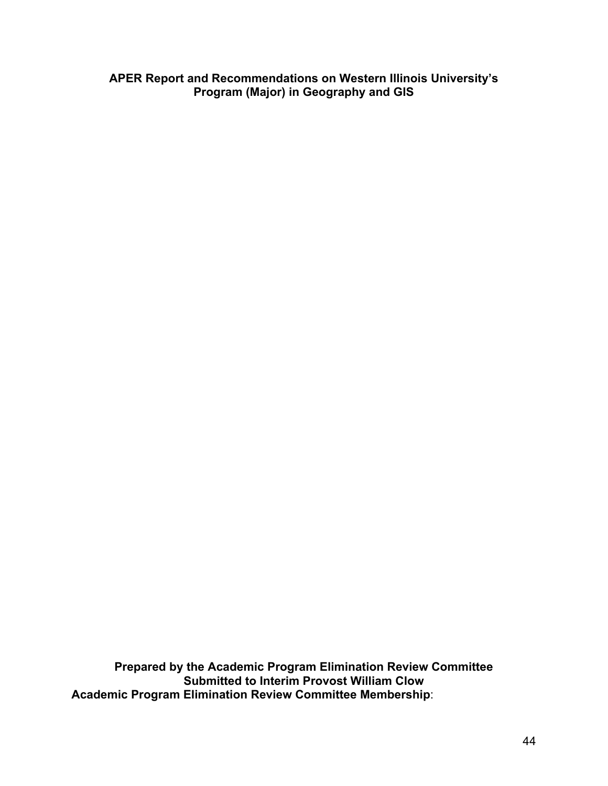**APER Report and Recommendations on Western Illinois University's Program (Major) in Geography and GIS**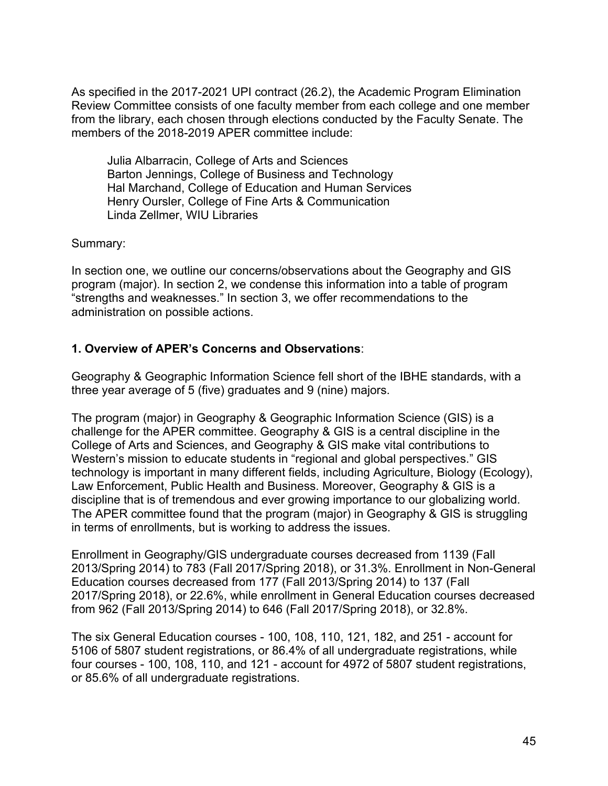Julia Albarracin, College of Arts and Sciences Barton Jennings, College of Business and Technology Hal Marchand, College of Education and Human Services Henry Oursler, College of Fine Arts & Communication Linda Zellmer, WIU Libraries

Summary:

 In section one, we outline our concerns/observations about the Geography and GIS program (major). In section 2, we condense this information into a table of program "strengths and weaknesses." In section 3, we offer recommendations to the administration on possible actions.

## **1. Overview of APER's Concerns and Observations**:

 Geography & Geographic Information Science fell short of the IBHE standards, with a three year average of 5 (five) graduates and 9 (nine) majors.

 The program (major) in Geography & Geographic Information Science (GIS) is a challenge for the APER committee. Geography & GIS is a central discipline in the College of Arts and Sciences, and Geography & GIS make vital contributions to Western's mission to educate students in "regional and global perspectives." GIS technology is important in many different fields, including Agriculture, Biology (Ecology), Law Enforcement, Public Health and Business. Moreover, Geography & GIS is a discipline that is of tremendous and ever growing importance to our globalizing world. The APER committee found that the program (major) in Geography & GIS is struggling in terms of enrollments, but is working to address the issues.

 Enrollment in Geography/GIS undergraduate courses decreased from 1139 (Fall 2013/Spring 2014) to 783 (Fall 2017/Spring 2018), or 31.3%. Enrollment in Non-General Education courses decreased from 177 (Fall 2013/Spring 2014) to 137 (Fall 2017/Spring 2018), or 22.6%, while enrollment in General Education courses decreased from 962 (Fall 2013/Spring 2014) to 646 (Fall 2017/Spring 2018), or 32.8%.

 5106 of 5807 student registrations, or 86.4% of all undergraduate registrations, while four courses - 100, 108, 110, and 121 - account for 4972 of 5807 student registrations, or 85.6% of all undergraduate registrations. The six General Education courses - 100, 108, 110, 121, 182, and 251 - account for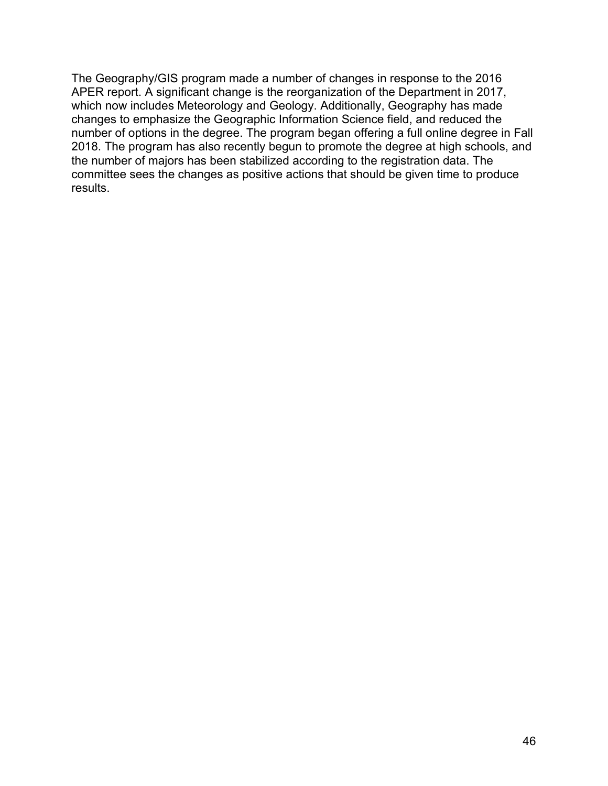The Geography/GIS program made a number of changes in response to the 2016 APER report. A significant change is the reorganization of the Department in 2017, which now includes Meteorology and Geology. Additionally, Geography has made changes to emphasize the Geographic Information Science field, and reduced the number of options in the degree. The program began offering a full online degree in Fall 2018. The program has also recently begun to promote the degree at high schools, and the number of majors has been stabilized according to the registration data. The committee sees the changes as positive actions that should be given time to produce results.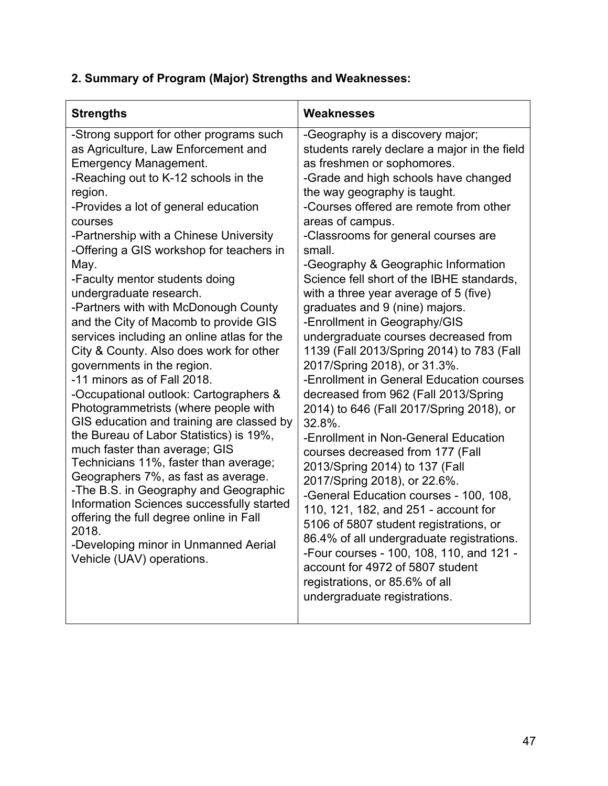| <b>Strengths</b>                                                                                                                                                                                                                                                                                                                                                                                                                                                                                                                                                                                                                                                                                                                                                                                                                                                                                                                                                                                                                                                                                                                 | Weaknesses                                                                                                                                                                                                                                                                                                                                                                                                                                                                                                                                                                                                                                                                                                                                                                                                                                                                                                                                                                                                                                                                                                                                                                                                                                   |
|----------------------------------------------------------------------------------------------------------------------------------------------------------------------------------------------------------------------------------------------------------------------------------------------------------------------------------------------------------------------------------------------------------------------------------------------------------------------------------------------------------------------------------------------------------------------------------------------------------------------------------------------------------------------------------------------------------------------------------------------------------------------------------------------------------------------------------------------------------------------------------------------------------------------------------------------------------------------------------------------------------------------------------------------------------------------------------------------------------------------------------|----------------------------------------------------------------------------------------------------------------------------------------------------------------------------------------------------------------------------------------------------------------------------------------------------------------------------------------------------------------------------------------------------------------------------------------------------------------------------------------------------------------------------------------------------------------------------------------------------------------------------------------------------------------------------------------------------------------------------------------------------------------------------------------------------------------------------------------------------------------------------------------------------------------------------------------------------------------------------------------------------------------------------------------------------------------------------------------------------------------------------------------------------------------------------------------------------------------------------------------------|
| -Strong support for other programs such<br>as Agriculture, Law Enforcement and<br><b>Emergency Management.</b><br>-Reaching out to K-12 schools in the<br>region.<br>-Provides a lot of general education<br>courses<br>-Partnership with a Chinese University<br>-Offering a GIS workshop for teachers in<br>May.<br>-Faculty mentor students doing<br>undergraduate research.<br>-Partners with with McDonough County<br>and the City of Macomb to provide GIS<br>services including an online atlas for the<br>City & County. Also does work for other<br>governments in the region.<br>-11 minors as of Fall 2018.<br>-Occupational outlook: Cartographers &<br>Photogrammetrists (where people with<br>GIS education and training are classed by<br>the Bureau of Labor Statistics) is 19%,<br>much faster than average; GIS<br>Technicians 11%, faster than average;<br>Geographers 7%, as fast as average.<br>-The B.S. in Geography and Geographic<br>Information Sciences successfully started<br>offering the full degree online in Fall<br>2018.<br>-Developing minor in Unmanned Aerial<br>Vehicle (UAV) operations. | -Geography is a discovery major;<br>students rarely declare a major in the field<br>as freshmen or sophomores.<br>-Grade and high schools have changed<br>the way geography is taught.<br>-Courses offered are remote from other<br>areas of campus.<br>-Classrooms for general courses are<br>small.<br>-Geography & Geographic Information<br>Science fell short of the IBHE standards,<br>with a three year average of 5 (five)<br>graduates and 9 (nine) majors.<br>-Enrollment in Geography/GIS<br>undergraduate courses decreased from<br>1139 (Fall 2013/Spring 2014) to 783 (Fall<br>2017/Spring 2018), or 31.3%.<br>-Enrollment in General Education courses<br>decreased from 962 (Fall 2013/Spring<br>2014) to 646 (Fall 2017/Spring 2018), or<br>32.8%.<br>-Enrollment in Non-General Education<br>courses decreased from 177 (Fall<br>2013/Spring 2014) to 137 (Fall<br>2017/Spring 2018), or 22.6%.<br>-General Education courses - 100, 108,<br>110, 121, 182, and 251 - account for<br>5106 of 5807 student registrations, or<br>86.4% of all undergraduate registrations.<br>-Four courses - 100, 108, 110, and 121 -<br>account for 4972 of 5807 student<br>registrations, or 85.6% of all<br>undergraduate registrations. |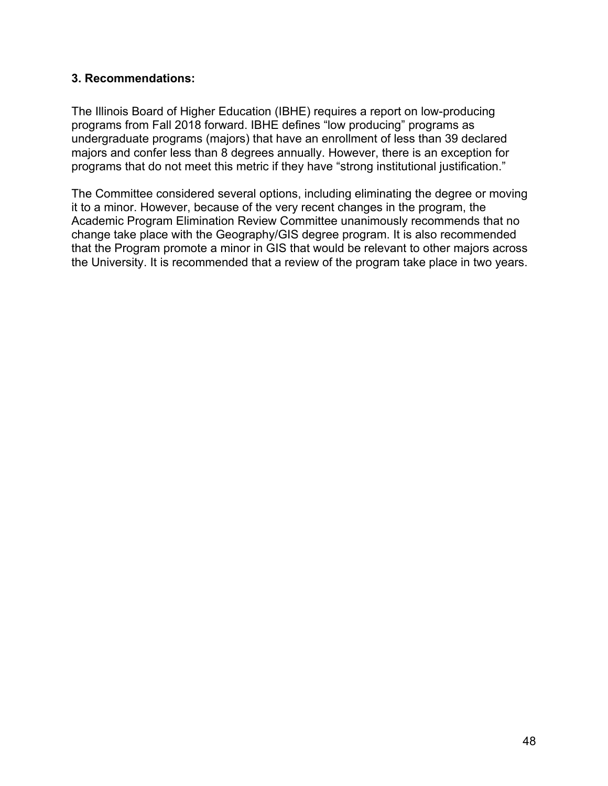### **3. Recommendations:**

 The Illinois Board of Higher Education (IBHE) requires a report on low-producing programs from Fall 2018 forward. IBHE defines "low producing" programs as undergraduate programs (majors) that have an enrollment of less than 39 declared majors and confer less than 8 degrees annually. However, there is an exception for programs that do not meet this metric if they have "strong institutional justification."

 The Committee considered several options, including eliminating the degree or moving it to a minor. However, because of the very recent changes in the program, the Academic Program Elimination Review Committee unanimously recommends that no change take place with the Geography/GIS degree program. It is also recommended that the Program promote a minor in GIS that would be relevant to other majors across the University. It is recommended that a review of the program take place in two years.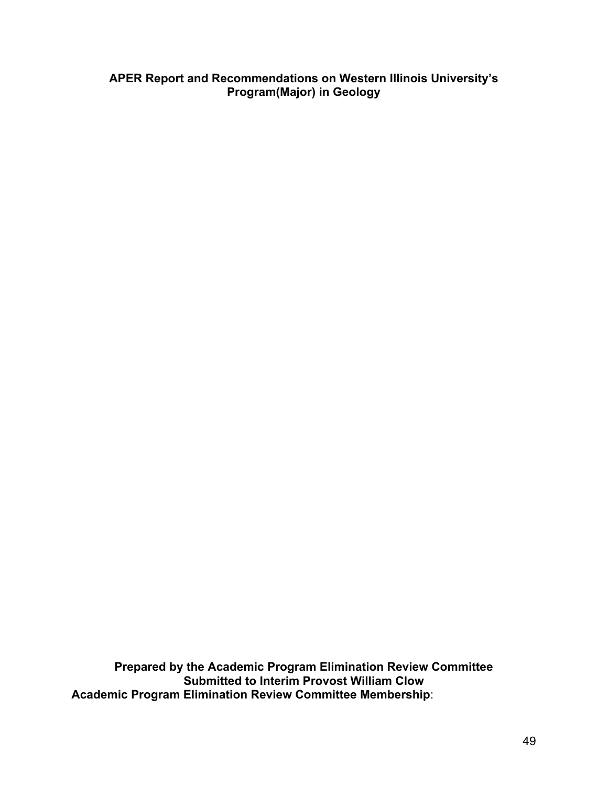#### **APER Report and Recommendations on Western Illinois University's Program(Major) in Geology**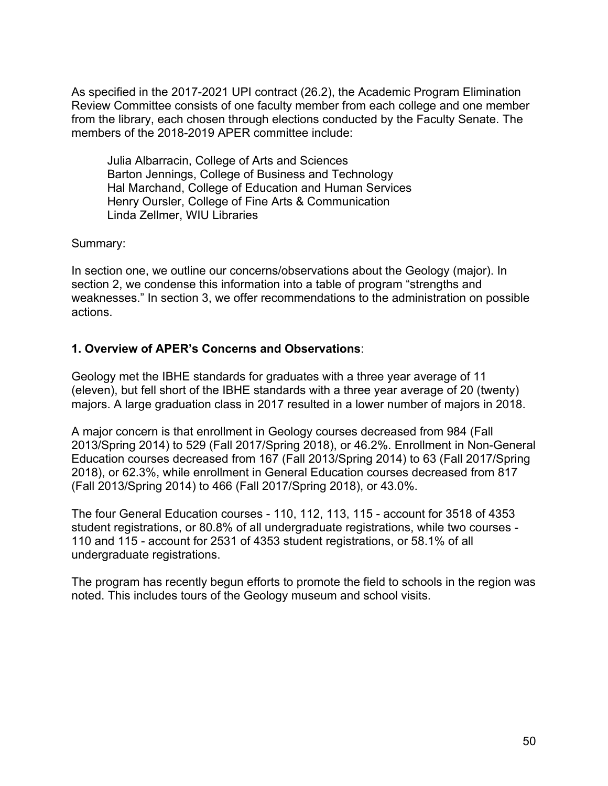Julia Albarracin, College of Arts and Sciences Barton Jennings, College of Business and Technology Hal Marchand, College of Education and Human Services Henry Oursler, College of Fine Arts & Communication Linda Zellmer, WIU Libraries

Summary:

 In section one, we outline our concerns/observations about the Geology (major). In section 2, we condense this information into a table of program "strengths and weaknesses." In section 3, we offer recommendations to the administration on possible actions.

## **1. Overview of APER's Concerns and Observations**:

 Geology met the IBHE standards for graduates with a three year average of 11 (eleven), but fell short of the IBHE standards with a three year average of 20 (twenty) majors. A large graduation class in 2017 resulted in a lower number of majors in 2018.

 A major concern is that enrollment in Geology courses decreased from 984 (Fall 2013/Spring 2014) to 529 (Fall 2017/Spring 2018), or 46.2%. Enrollment in Non-General Education courses decreased from 167 (Fall 2013/Spring 2014) to 63 (Fall 2017/Spring 2018), or 62.3%, while enrollment in General Education courses decreased from 817 (Fall 2013/Spring 2014) to 466 (Fall 2017/Spring 2018), or 43.0%.

 The four General Education courses - 110, 112, 113, 115 - account for 3518 of 4353 student registrations, or 80.8% of all undergraduate registrations, while two courses - 110 and 115 - account for 2531 of 4353 student registrations, or 58.1% of all undergraduate registrations.

 The program has recently begun efforts to promote the field to schools in the region was noted. This includes tours of the Geology museum and school visits.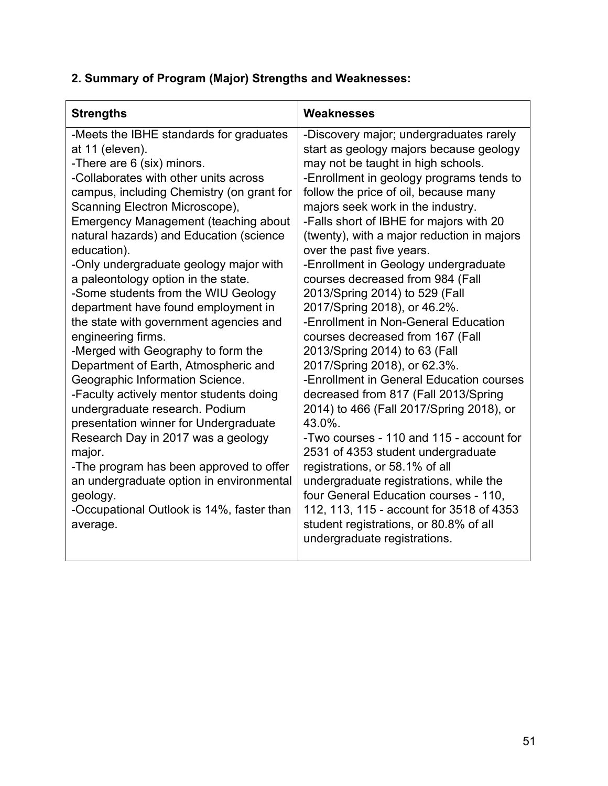| -Meets the IBHE standards for graduates<br>-Discovery major; undergraduates rarely<br>at 11 (eleven).<br>start as geology majors because geology<br>-There are 6 (six) minors.<br>may not be taught in high schools.<br>-Collaborates with other units across<br>-Enrollment in geology programs tends to<br>follow the price of oil, because many<br>campus, including Chemistry (on grant for<br>Scanning Electron Microscope),<br>majors seek work in the industry.<br>Emergency Management (teaching about<br>-Falls short of IBHE for majors with 20<br>natural hazards) and Education (science<br>(twenty), with a major reduction in majors<br>education).<br>over the past five years.<br>-Enrollment in Geology undergraduate<br>-Only undergraduate geology major with<br>a paleontology option in the state.<br>courses decreased from 984 (Fall<br>2013/Spring 2014) to 529 (Fall<br>-Some students from the WIU Geology<br>2017/Spring 2018), or 46.2%.<br>department have found employment in<br>-Enrollment in Non-General Education<br>the state with government agencies and<br>engineering firms.<br>courses decreased from 167 (Fall<br>-Merged with Geography to form the<br>2013/Spring 2014) to 63 (Fall<br>Department of Earth, Atmospheric and<br>2017/Spring 2018), or 62.3%.<br>-Enrollment in General Education courses | <b>Strengths</b>                | Weaknesses |
|----------------------------------------------------------------------------------------------------------------------------------------------------------------------------------------------------------------------------------------------------------------------------------------------------------------------------------------------------------------------------------------------------------------------------------------------------------------------------------------------------------------------------------------------------------------------------------------------------------------------------------------------------------------------------------------------------------------------------------------------------------------------------------------------------------------------------------------------------------------------------------------------------------------------------------------------------------------------------------------------------------------------------------------------------------------------------------------------------------------------------------------------------------------------------------------------------------------------------------------------------------------------------------------------------------------------------------------------------|---------------------------------|------------|
| -Faculty actively mentor students doing<br>decreased from 817 (Fall 2013/Spring<br>2014) to 466 (Fall 2017/Spring 2018), or<br>undergraduate research. Podium<br>43.0%.<br>presentation winner for Undergraduate<br>-Two courses - 110 and 115 - account for<br>Research Day in 2017 was a geology<br>2531 of 4353 student undergraduate<br>major.<br>-The program has been approved to offer<br>registrations, or 58.1% of all<br>an undergraduate option in environmental<br>undergraduate registrations, while the<br>four General Education courses - 110,<br>geology.<br>112, 113, 115 - account for 3518 of 4353<br>-Occupational Outlook is 14%, faster than<br>student registrations, or 80.8% of all<br>average.<br>undergraduate registrations.                                                                                                                                                                                                                                                                                                                                                                                                                                                                                                                                                                                          | Geographic Information Science. |            |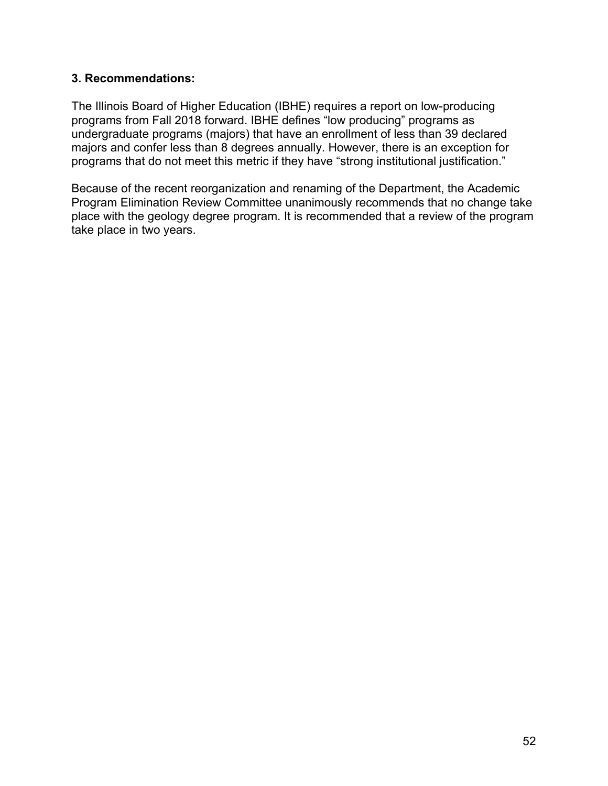### **3. Recommendations:**

 The Illinois Board of Higher Education (IBHE) requires a report on low-producing programs from Fall 2018 forward. IBHE defines "low producing" programs as undergraduate programs (majors) that have an enrollment of less than 39 declared majors and confer less than 8 degrees annually. However, there is an exception for programs that do not meet this metric if they have "strong institutional justification."

 Because of the recent reorganization and renaming of the Department, the Academic Program Elimination Review Committee unanimously recommends that no change take place with the geology degree program. It is recommended that a review of the program take place in two years.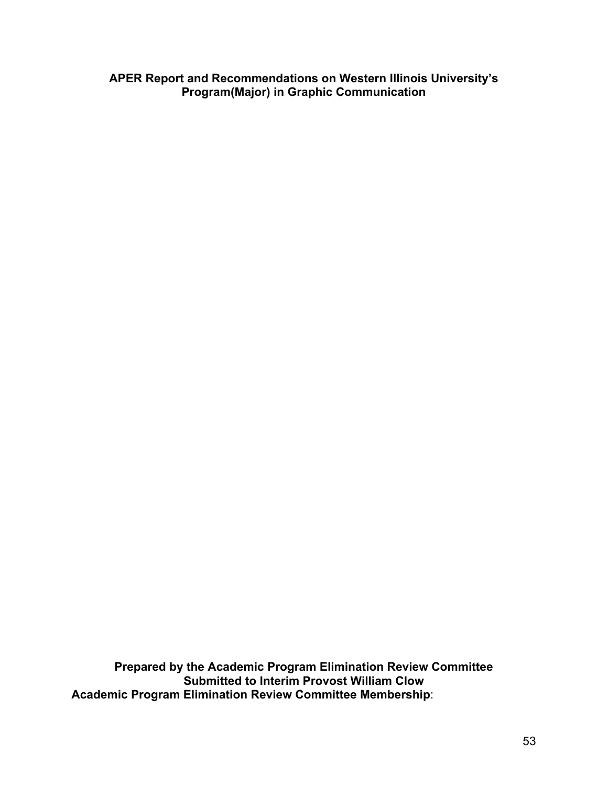**APER Report and Recommendations on Western Illinois University's Program(Major) in Graphic Communication**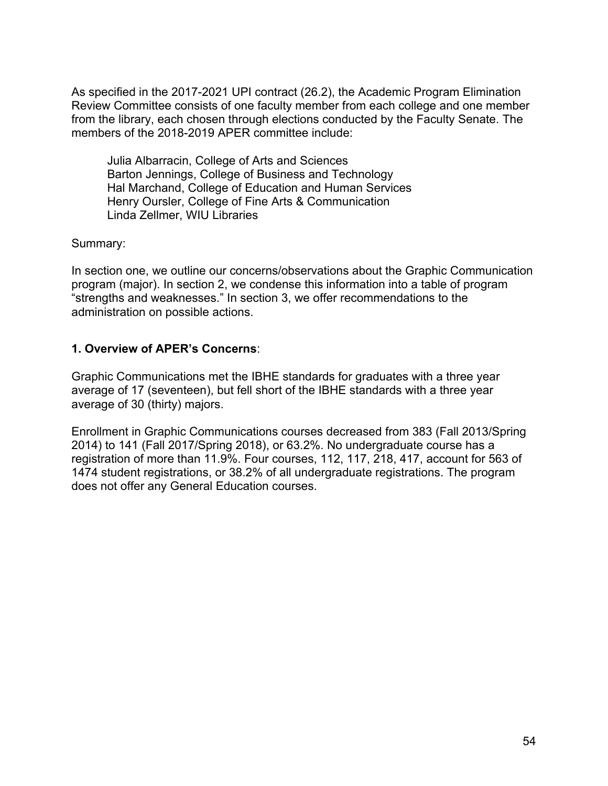Julia Albarracin, College of Arts and Sciences Barton Jennings, College of Business and Technology Hal Marchand, College of Education and Human Services Henry Oursler, College of Fine Arts & Communication Linda Zellmer, WIU Libraries

Summary:

 In section one, we outline our concerns/observations about the Graphic Communication program (major). In section 2, we condense this information into a table of program "strengths and weaknesses." In section 3, we offer recommendations to the administration on possible actions.

#### **1. Overview of APER's Concerns**:

 Graphic Communications met the IBHE standards for graduates with a three year average of 17 (seventeen), but fell short of the IBHE standards with a three year average of 30 (thirty) majors.

 Enrollment in Graphic Communications courses decreased from 383 (Fall 2013/Spring 2014) to 141 (Fall 2017/Spring 2018), or 63.2%. No undergraduate course has a registration of more than 11.9%. Four courses, 112, 117, 218, 417, account for 563 of 1474 student registrations, or 38.2% of all undergraduate registrations. The program does not offer any General Education courses.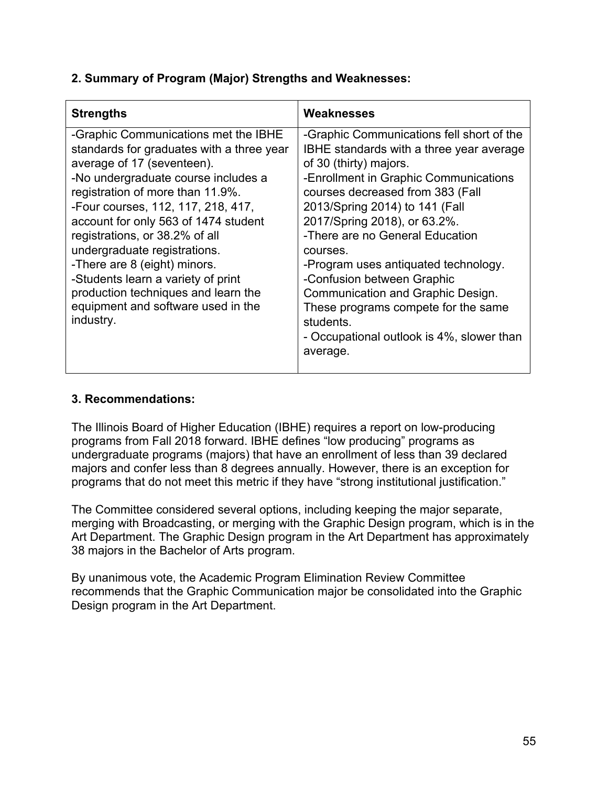| <b>Strengths</b>                                                                                                                                                                                                                                                                                                                                                                                                                                                                                           | Weaknesses                                                                                                                                                                                                                                                                                                                                                                                                                                                                                                                            |
|------------------------------------------------------------------------------------------------------------------------------------------------------------------------------------------------------------------------------------------------------------------------------------------------------------------------------------------------------------------------------------------------------------------------------------------------------------------------------------------------------------|---------------------------------------------------------------------------------------------------------------------------------------------------------------------------------------------------------------------------------------------------------------------------------------------------------------------------------------------------------------------------------------------------------------------------------------------------------------------------------------------------------------------------------------|
| -Graphic Communications met the IBHE<br>standards for graduates with a three year<br>average of 17 (seventeen).<br>-No undergraduate course includes a<br>registration of more than 11.9%.<br>-Four courses, 112, 117, 218, 417,<br>account for only 563 of 1474 student<br>registrations, or 38.2% of all<br>undergraduate registrations.<br>-There are 8 (eight) minors.<br>-Students learn a variety of print<br>production techniques and learn the<br>equipment and software used in the<br>industry. | -Graphic Communications fell short of the<br>IBHE standards with a three year average<br>of 30 (thirty) majors.<br>-Enrollment in Graphic Communications<br>courses decreased from 383 (Fall<br>2013/Spring 2014) to 141 (Fall<br>2017/Spring 2018), or 63.2%.<br>-There are no General Education<br>courses.<br>-Program uses antiquated technology.<br>-Confusion between Graphic<br>Communication and Graphic Design.<br>These programs compete for the same<br>students.<br>- Occupational outlook is 4%, slower than<br>average. |
|                                                                                                                                                                                                                                                                                                                                                                                                                                                                                                            |                                                                                                                                                                                                                                                                                                                                                                                                                                                                                                                                       |

# **3. Recommendations:**

 The Illinois Board of Higher Education (IBHE) requires a report on low-producing programs from Fall 2018 forward. IBHE defines "low producing" programs as undergraduate programs (majors) that have an enrollment of less than 39 declared majors and confer less than 8 degrees annually. However, there is an exception for programs that do not meet this metric if they have "strong institutional justification."

 The Committee considered several options, including keeping the major separate, merging with Broadcasting, or merging with the Graphic Design program, which is in the Art Department. The Graphic Design program in the Art Department has approximately 38 majors in the Bachelor of Arts program.

 By unanimous vote, the Academic Program Elimination Review Committee recommends that the Graphic Communication major be consolidated into the Graphic Design program in the Art Department.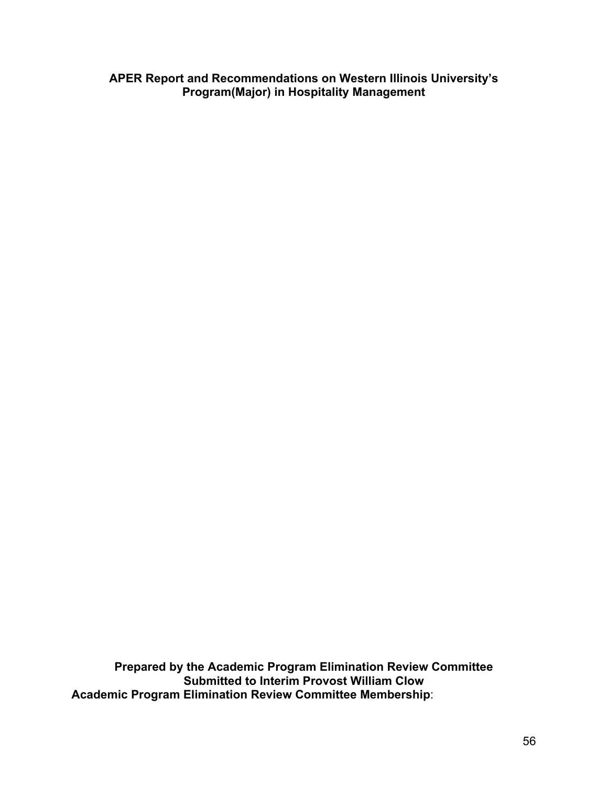**APER Report and Recommendations on Western Illinois University's Program(Major) in Hospitality Management**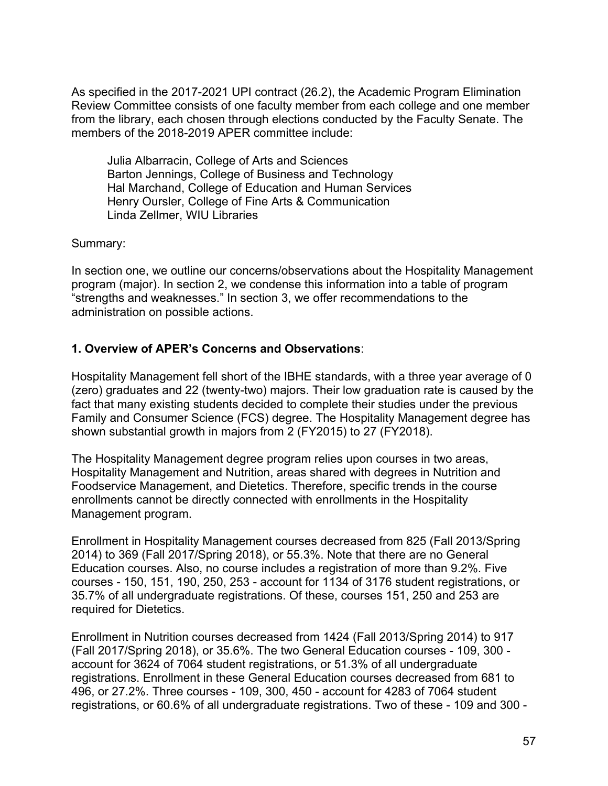Julia Albarracin, College of Arts and Sciences Barton Jennings, College of Business and Technology Hal Marchand, College of Education and Human Services Henry Oursler, College of Fine Arts & Communication Linda Zellmer, WIU Libraries

Summary:

 In section one, we outline our concerns/observations about the Hospitality Management program (major). In section 2, we condense this information into a table of program "strengths and weaknesses." In section 3, we offer recommendations to the administration on possible actions.

## **1. Overview of APER's Concerns and Observations**:

 Hospitality Management fell short of the IBHE standards, with a three year average of 0 (zero) graduates and 22 (twenty-two) majors. Their low graduation rate is caused by the fact that many existing students decided to complete their studies under the previous Family and Consumer Science (FCS) degree. The Hospitality Management degree has shown substantial growth in majors from 2 (FY2015) to 27 (FY2018).

 The Hospitality Management degree program relies upon courses in two areas, Hospitality Management and Nutrition, areas shared with degrees in Nutrition and Foodservice Management, and Dietetics. Therefore, specific trends in the course enrollments cannot be directly connected with enrollments in the Hospitality Management program.

 Enrollment in Hospitality Management courses decreased from 825 (Fall 2013/Spring 2014) to 369 (Fall 2017/Spring 2018), or 55.3%. Note that there are no General Education courses. Also, no course includes a registration of more than 9.2%. Five courses - 150, 151, 190, 250, 253 - account for 1134 of 3176 student registrations, or 35.7% of all undergraduate registrations. Of these, courses 151, 250 and 253 are required for Dietetics.

 Enrollment in Nutrition courses decreased from 1424 (Fall 2013/Spring 2014) to 917 (Fall 2017/Spring 2018), or 35.6%. The two General Education courses - 109, 300 - account for 3624 of 7064 student registrations, or 51.3% of all undergraduate registrations. Enrollment in these General Education courses decreased from 681 to 496, or 27.2%. Three courses - 109, 300, 450 - account for 4283 of 7064 student registrations, or 60.6% of all undergraduate registrations. Two of these - 109 and 300 -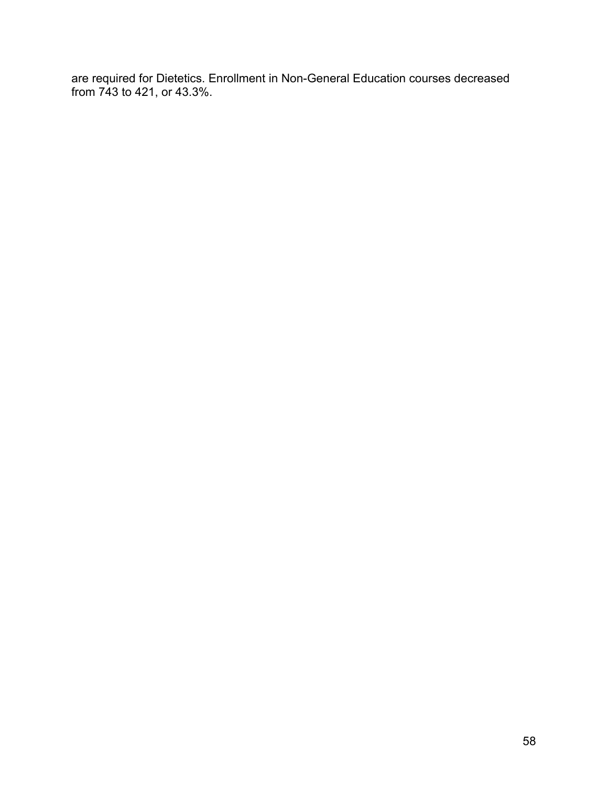are required for Dietetics. Enrollment in Non-General Education courses decreased from 743 to 421, or 43.3%.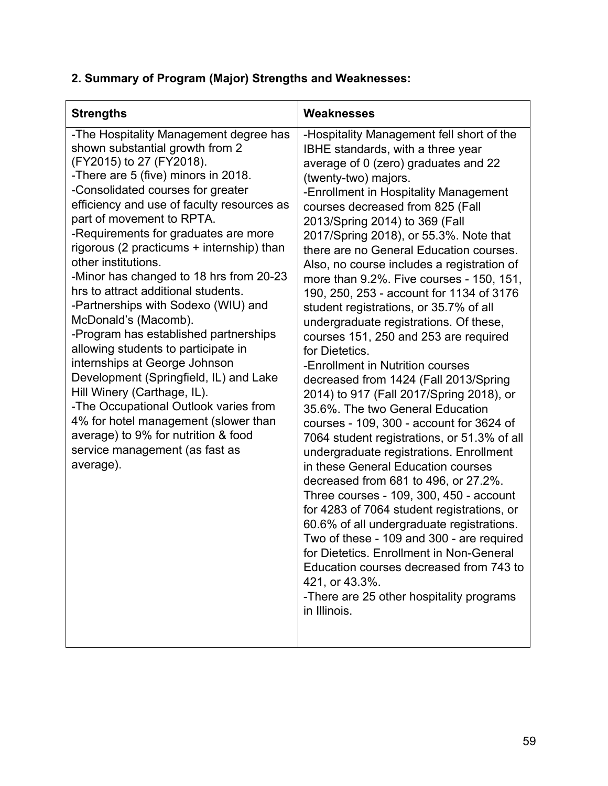| <b>Strengths</b>                                                                                                                                                                                                                                                                                                                                                                                                                                                                                                                                                                                                                                                                                                                                                                                                                                                                           | Weaknesses                                                                                                                                                                                                                                                                                                                                                                                                                                                                                                                                                                                                                                                                                                                                                                                                                                                                                                                                                                                                                                                                                                                                                                                                                                                                                                                                                                       |
|--------------------------------------------------------------------------------------------------------------------------------------------------------------------------------------------------------------------------------------------------------------------------------------------------------------------------------------------------------------------------------------------------------------------------------------------------------------------------------------------------------------------------------------------------------------------------------------------------------------------------------------------------------------------------------------------------------------------------------------------------------------------------------------------------------------------------------------------------------------------------------------------|----------------------------------------------------------------------------------------------------------------------------------------------------------------------------------------------------------------------------------------------------------------------------------------------------------------------------------------------------------------------------------------------------------------------------------------------------------------------------------------------------------------------------------------------------------------------------------------------------------------------------------------------------------------------------------------------------------------------------------------------------------------------------------------------------------------------------------------------------------------------------------------------------------------------------------------------------------------------------------------------------------------------------------------------------------------------------------------------------------------------------------------------------------------------------------------------------------------------------------------------------------------------------------------------------------------------------------------------------------------------------------|
| -The Hospitality Management degree has<br>shown substantial growth from 2<br>(FY2015) to 27 (FY2018).<br>-There are 5 (five) minors in 2018.<br>-Consolidated courses for greater<br>efficiency and use of faculty resources as<br>part of movement to RPTA.<br>-Requirements for graduates are more<br>rigorous (2 practicums + internship) than<br>other institutions.<br>-Minor has changed to 18 hrs from 20-23<br>hrs to attract additional students.<br>-Partnerships with Sodexo (WIU) and<br>McDonald's (Macomb).<br>-Program has established partnerships<br>allowing students to participate in<br>internships at George Johnson<br>Development (Springfield, IL) and Lake<br>Hill Winery (Carthage, IL).<br>-The Occupational Outlook varies from<br>4% for hotel management (slower than<br>average) to 9% for nutrition & food<br>service management (as fast as<br>average). | -Hospitality Management fell short of the<br>IBHE standards, with a three year<br>average of 0 (zero) graduates and 22<br>(twenty-two) majors.<br>-Enrollment in Hospitality Management<br>courses decreased from 825 (Fall<br>2013/Spring 2014) to 369 (Fall<br>2017/Spring 2018), or 55.3%. Note that<br>there are no General Education courses.<br>Also, no course includes a registration of<br>more than 9.2%. Five courses - 150, 151,<br>190, 250, 253 - account for 1134 of 3176<br>student registrations, or 35.7% of all<br>undergraduate registrations. Of these,<br>courses 151, 250 and 253 are required<br>for Dietetics.<br>-Enrollment in Nutrition courses<br>decreased from 1424 (Fall 2013/Spring<br>2014) to 917 (Fall 2017/Spring 2018), or<br>35.6%. The two General Education<br>courses - 109, 300 - account for 3624 of<br>7064 student registrations, or 51.3% of all<br>undergraduate registrations. Enrollment<br>in these General Education courses<br>decreased from 681 to 496, or 27.2%.<br>Three courses - 109, 300, 450 - account<br>for 4283 of 7064 student registrations, or<br>60.6% of all undergraduate registrations.<br>Two of these - 109 and 300 - are required<br>for Dietetics. Enrollment in Non-General<br>Education courses decreased from 743 to<br>421, or 43.3%.<br>-There are 25 other hospitality programs<br>in Illinois. |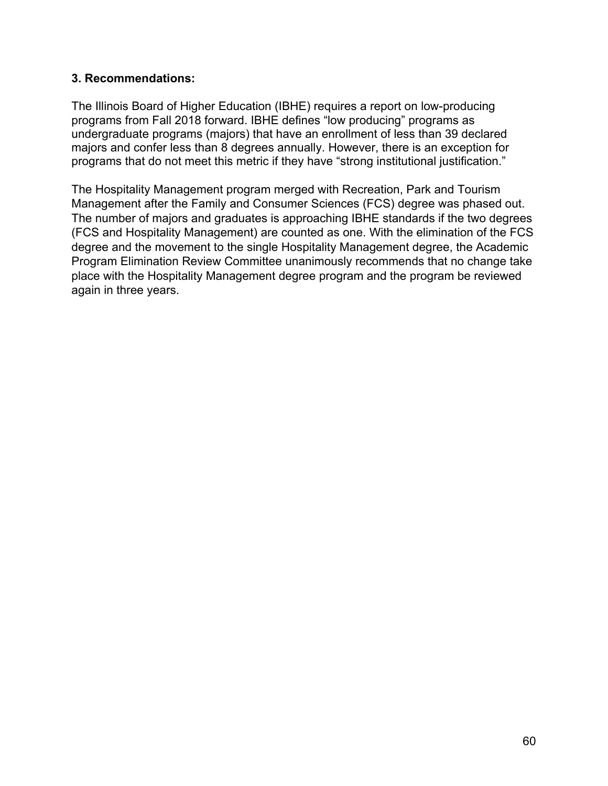### **3. Recommendations:**

 The Illinois Board of Higher Education (IBHE) requires a report on low-producing programs from Fall 2018 forward. IBHE defines "low producing" programs as undergraduate programs (majors) that have an enrollment of less than 39 declared majors and confer less than 8 degrees annually. However, there is an exception for programs that do not meet this metric if they have "strong institutional justification."

 The Hospitality Management program merged with Recreation, Park and Tourism Management after the Family and Consumer Sciences (FCS) degree was phased out. The number of majors and graduates is approaching IBHE standards if the two degrees (FCS and Hospitality Management) are counted as one. With the elimination of the FCS degree and the movement to the single Hospitality Management degree, the Academic Program Elimination Review Committee unanimously recommends that no change take place with the Hospitality Management degree program and the program be reviewed again in three years.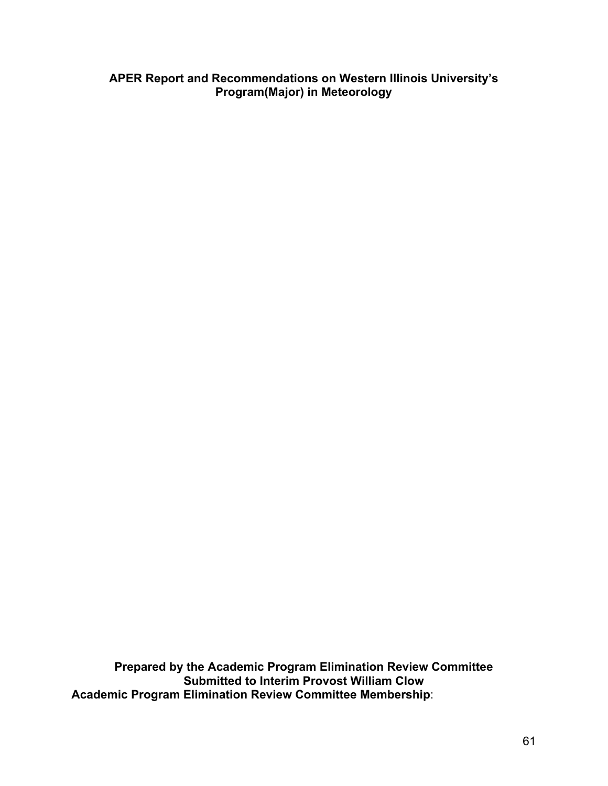**APER Report and Recommendations on Western Illinois University's Program(Major) in Meteorology**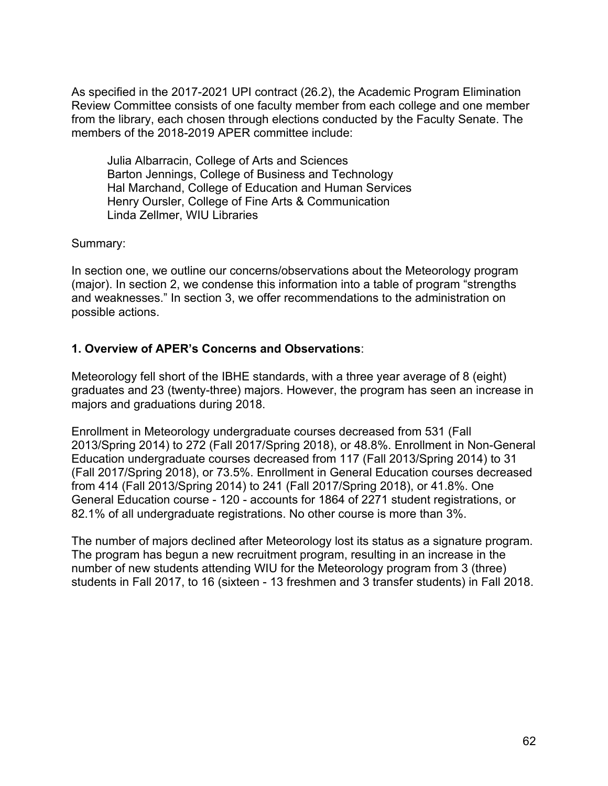Julia Albarracin, College of Arts and Sciences Barton Jennings, College of Business and Technology Hal Marchand, College of Education and Human Services Henry Oursler, College of Fine Arts & Communication Linda Zellmer, WIU Libraries

Summary:

 In section one, we outline our concerns/observations about the Meteorology program (major). In section 2, we condense this information into a table of program "strengths and weaknesses." In section 3, we offer recommendations to the administration on possible actions.

## **1. Overview of APER's Concerns and Observations**:

 Meteorology fell short of the IBHE standards, with a three year average of 8 (eight) graduates and 23 (twenty-three) majors. However, the program has seen an increase in majors and graduations during 2018.

 Enrollment in Meteorology undergraduate courses decreased from 531 (Fall 2013/Spring 2014) to 272 (Fall 2017/Spring 2018), or 48.8%. Enrollment in Non-General Education undergraduate courses decreased from 117 (Fall 2013/Spring 2014) to 31 (Fall 2017/Spring 2018), or 73.5%. Enrollment in General Education courses decreased from 414 (Fall 2013/Spring 2014) to 241 (Fall 2017/Spring 2018), or 41.8%. One General Education course - 120 - accounts for 1864 of 2271 student registrations, or 82.1% of all undergraduate registrations. No other course is more than 3%.

 The number of majors declined after Meteorology lost its status as a signature program. The program has begun a new recruitment program, resulting in an increase in the number of new students attending WIU for the Meteorology program from 3 (three) students in Fall 2017, to 16 (sixteen - 13 freshmen and 3 transfer students) in Fall 2018.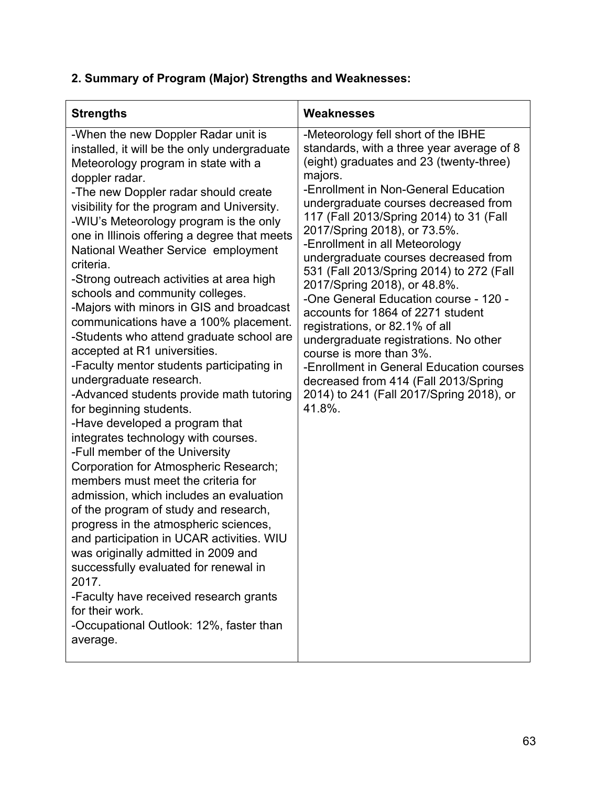| <b>Strengths</b>                                                                                                                                                                                                                                                                                                                                                                                                                                                                                                                                                                                                                                                                                                                                                                                                                                                                                                                                                                                                                                                                                                                                                                                                                                                                                                                                                 | Weaknesses                                                                                                                                                                                                                                                                                                                                                                                                                                                                                                                                                                                                                                                                                                                                                                            |
|------------------------------------------------------------------------------------------------------------------------------------------------------------------------------------------------------------------------------------------------------------------------------------------------------------------------------------------------------------------------------------------------------------------------------------------------------------------------------------------------------------------------------------------------------------------------------------------------------------------------------------------------------------------------------------------------------------------------------------------------------------------------------------------------------------------------------------------------------------------------------------------------------------------------------------------------------------------------------------------------------------------------------------------------------------------------------------------------------------------------------------------------------------------------------------------------------------------------------------------------------------------------------------------------------------------------------------------------------------------|---------------------------------------------------------------------------------------------------------------------------------------------------------------------------------------------------------------------------------------------------------------------------------------------------------------------------------------------------------------------------------------------------------------------------------------------------------------------------------------------------------------------------------------------------------------------------------------------------------------------------------------------------------------------------------------------------------------------------------------------------------------------------------------|
| -When the new Doppler Radar unit is<br>installed, it will be the only undergraduate<br>Meteorology program in state with a<br>doppler radar.<br>-The new Doppler radar should create<br>visibility for the program and University.<br>-WIU's Meteorology program is the only<br>one in Illinois offering a degree that meets<br>National Weather Service employment<br>criteria.<br>-Strong outreach activities at area high<br>schools and community colleges.<br>-Majors with minors in GIS and broadcast<br>communications have a 100% placement.<br>-Students who attend graduate school are<br>accepted at R1 universities.<br>-Faculty mentor students participating in<br>undergraduate research.<br>-Advanced students provide math tutoring<br>for beginning students.<br>-Have developed a program that<br>integrates technology with courses.<br>-Full member of the University<br>Corporation for Atmospheric Research;<br>members must meet the criteria for<br>admission, which includes an evaluation<br>of the program of study and research,<br>progress in the atmospheric sciences,<br>and participation in UCAR activities. WIU<br>was originally admitted in 2009 and<br>successfully evaluated for renewal in<br>2017.<br>-Faculty have received research grants<br>for their work.<br>-Occupational Outlook: 12%, faster than<br>average. | -Meteorology fell short of the IBHE<br>standards, with a three year average of 8<br>(eight) graduates and 23 (twenty-three)<br>majors.<br>-Enrollment in Non-General Education<br>undergraduate courses decreased from<br>117 (Fall 2013/Spring 2014) to 31 (Fall<br>2017/Spring 2018), or 73.5%.<br>-Enrollment in all Meteorology<br>undergraduate courses decreased from<br>531 (Fall 2013/Spring 2014) to 272 (Fall<br>2017/Spring 2018), or 48.8%.<br>-One General Education course - 120 -<br>accounts for 1864 of 2271 student<br>registrations, or 82.1% of all<br>undergraduate registrations. No other<br>course is more than 3%.<br>-Enrollment in General Education courses<br>decreased from 414 (Fall 2013/Spring<br>2014) to 241 (Fall 2017/Spring 2018), or<br>41.8%. |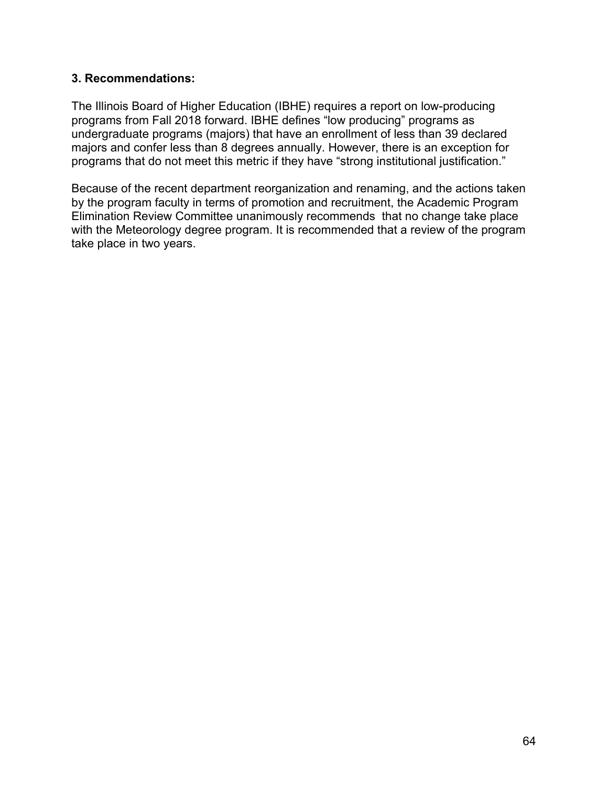### **3. Recommendations:**

 The Illinois Board of Higher Education (IBHE) requires a report on low-producing programs from Fall 2018 forward. IBHE defines "low producing" programs as undergraduate programs (majors) that have an enrollment of less than 39 declared majors and confer less than 8 degrees annually. However, there is an exception for programs that do not meet this metric if they have "strong institutional justification."

 Because of the recent department reorganization and renaming, and the actions taken by the program faculty in terms of promotion and recruitment, the Academic Program Elimination Review Committee unanimously recommends that no change take place with the Meteorology degree program. It is recommended that a review of the program take place in two years.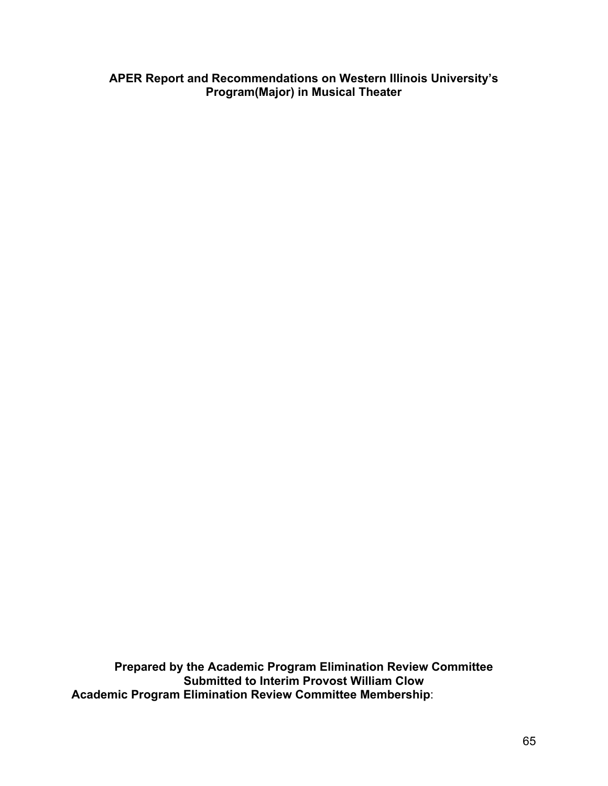**APER Report and Recommendations on Western Illinois University's Program(Major) in Musical Theater**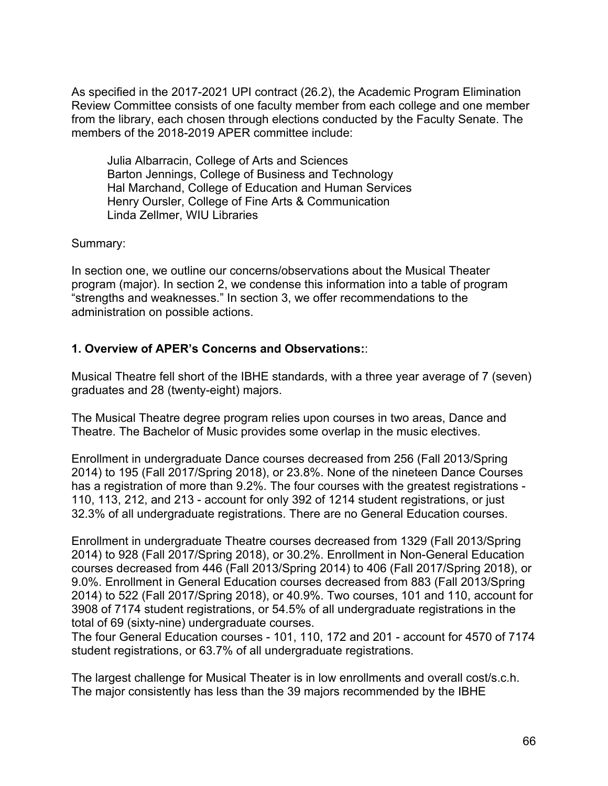Julia Albarracin, College of Arts and Sciences Barton Jennings, College of Business and Technology Hal Marchand, College of Education and Human Services Henry Oursler, College of Fine Arts & Communication Linda Zellmer, WIU Libraries

Summary:

 In section one, we outline our concerns/observations about the Musical Theater program (major). In section 2, we condense this information into a table of program "strengths and weaknesses." In section 3, we offer recommendations to the administration on possible actions.

## **1. Overview of APER's Concerns and Observations:**:

 Musical Theatre fell short of the IBHE standards, with a three year average of 7 (seven) graduates and 28 (twenty-eight) majors.

 The Musical Theatre degree program relies upon courses in two areas, Dance and Theatre. The Bachelor of Music provides some overlap in the music electives.

 Enrollment in undergraduate Dance courses decreased from 256 (Fall 2013/Spring 2014) to 195 (Fall 2017/Spring 2018), or 23.8%. None of the nineteen Dance Courses has a registration of more than 9.2%. The four courses with the greatest registrations - 110, 113, 212, and 213 - account for only 392 of 1214 student registrations, or just 32.3% of all undergraduate registrations. There are no General Education courses.

 Enrollment in undergraduate Theatre courses decreased from 1329 (Fall 2013/Spring 2014) to 928 (Fall 2017/Spring 2018), or 30.2%. Enrollment in Non-General Education courses decreased from 446 (Fall 2013/Spring 2014) to 406 (Fall 2017/Spring 2018), or 9.0%. Enrollment in General Education courses decreased from 883 (Fall 2013/Spring 2014) to 522 (Fall 2017/Spring 2018), or 40.9%. Two courses, 101 and 110, account for 3908 of 7174 student registrations, or 54.5% of all undergraduate registrations in the total of 69 (sixty-nine) undergraduate courses.

 The four General Education courses - 101, 110, 172 and 201 - account for 4570 of 7174 student registrations, or 63.7% of all undergraduate registrations.

 The largest challenge for Musical Theater is in low enrollments and overall cost/s.c.h. The major consistently has less than the 39 majors recommended by the IBHE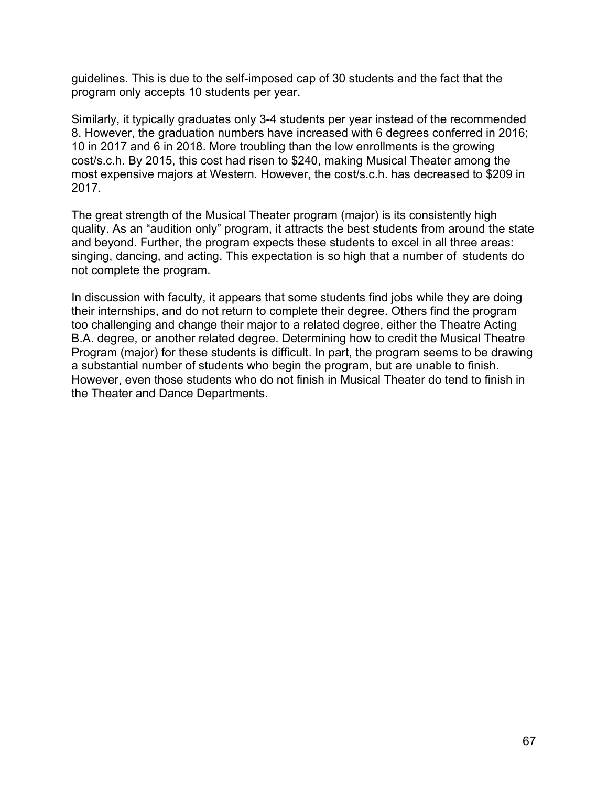guidelines. This is due to the self-imposed cap of 30 students and the fact that the program only accepts 10 students per year.

 Similarly, it typically graduates only 3-4 students per year instead of the recommended 8. However, the graduation numbers have increased with 6 degrees conferred in 2016; 10 in 2017 and 6 in 2018. More troubling than the low enrollments is the growing cost/s.c.h. By 2015, this cost had risen to \$240, making Musical Theater among the most expensive majors at Western. However, the cost/s.c.h. has decreased to \$209 in 2017.

 The great strength of the Musical Theater program (major) is its consistently high quality. As an "audition only" program, it attracts the best students from around the state and beyond. Further, the program expects these students to excel in all three areas: singing, dancing, and acting. This expectation is so high that a number of students do not complete the program.

 In discussion with faculty, it appears that some students find jobs while they are doing their internships, and do not return to complete their degree. Others find the program too challenging and change their major to a related degree, either the Theatre Acting B.A. degree, or another related degree. Determining how to credit the Musical Theatre Program (major) for these students is difficult. In part, the program seems to be drawing a substantial number of students who begin the program, but are unable to finish. However, even those students who do not finish in Musical Theater do tend to finish in the Theater and Dance Departments.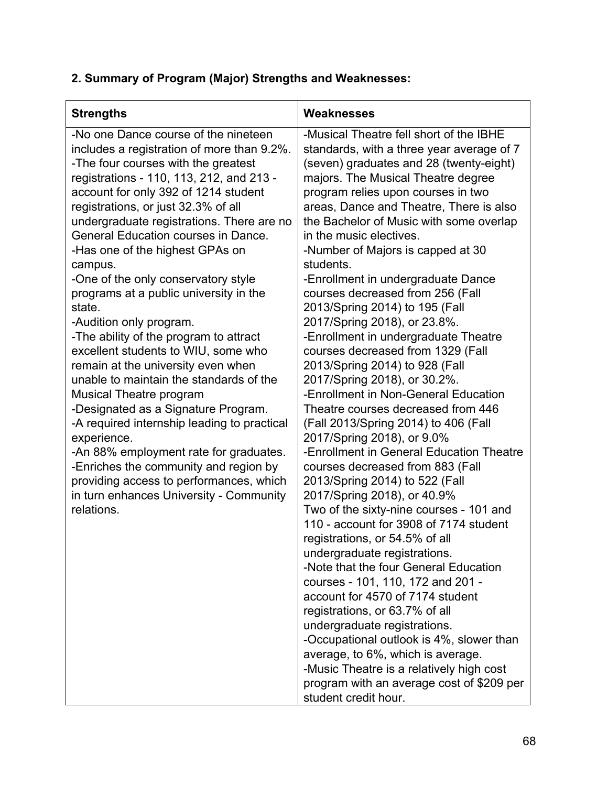| <b>Strengths</b>                                                                                                                                                                                                                                                                                                                                                                                                                                                                                                                                                                                                                                                                                                                                                                                                                                                                                                                                                                                      | Weaknesses                                                                                                                                                                                                                                                                                                                                                                                                                                                                                                                                                                                                                                                                                                                                                                                                                                                                                                                                                                                                                                                                                                                                                                                                                                                                                                                                                                                                                                                                                                                  |
|-------------------------------------------------------------------------------------------------------------------------------------------------------------------------------------------------------------------------------------------------------------------------------------------------------------------------------------------------------------------------------------------------------------------------------------------------------------------------------------------------------------------------------------------------------------------------------------------------------------------------------------------------------------------------------------------------------------------------------------------------------------------------------------------------------------------------------------------------------------------------------------------------------------------------------------------------------------------------------------------------------|-----------------------------------------------------------------------------------------------------------------------------------------------------------------------------------------------------------------------------------------------------------------------------------------------------------------------------------------------------------------------------------------------------------------------------------------------------------------------------------------------------------------------------------------------------------------------------------------------------------------------------------------------------------------------------------------------------------------------------------------------------------------------------------------------------------------------------------------------------------------------------------------------------------------------------------------------------------------------------------------------------------------------------------------------------------------------------------------------------------------------------------------------------------------------------------------------------------------------------------------------------------------------------------------------------------------------------------------------------------------------------------------------------------------------------------------------------------------------------------------------------------------------------|
| -No one Dance course of the nineteen<br>includes a registration of more than 9.2%.<br>-The four courses with the greatest<br>registrations - 110, 113, 212, and 213 -<br>account for only 392 of 1214 student<br>registrations, or just 32.3% of all<br>undergraduate registrations. There are no<br>General Education courses in Dance.<br>-Has one of the highest GPAs on<br>campus.<br>-One of the only conservatory style<br>programs at a public university in the<br>state.<br>-Audition only program.<br>-The ability of the program to attract<br>excellent students to WIU, some who<br>remain at the university even when<br>unable to maintain the standards of the<br>Musical Theatre program<br>-Designated as a Signature Program.<br>-A required internship leading to practical<br>experience.<br>-An 88% employment rate for graduates.<br>-Enriches the community and region by<br>providing access to performances, which<br>in turn enhances University - Community<br>relations. | -Musical Theatre fell short of the IBHE<br>standards, with a three year average of 7<br>(seven) graduates and 28 (twenty-eight)<br>majors. The Musical Theatre degree<br>program relies upon courses in two<br>areas, Dance and Theatre, There is also<br>the Bachelor of Music with some overlap<br>in the music electives.<br>-Number of Majors is capped at 30<br>students.<br>-Enrollment in undergraduate Dance<br>courses decreased from 256 (Fall<br>2013/Spring 2014) to 195 (Fall<br>2017/Spring 2018), or 23.8%.<br>-Enrollment in undergraduate Theatre<br>courses decreased from 1329 (Fall<br>2013/Spring 2014) to 928 (Fall<br>2017/Spring 2018), or 30.2%.<br>-Enrollment in Non-General Education<br>Theatre courses decreased from 446<br>(Fall 2013/Spring 2014) to 406 (Fall<br>2017/Spring 2018), or 9.0%<br>-Enrollment in General Education Theatre<br>courses decreased from 883 (Fall<br>2013/Spring 2014) to 522 (Fall<br>2017/Spring 2018), or 40.9%<br>Two of the sixty-nine courses - 101 and<br>110 - account for 3908 of 7174 student<br>registrations, or 54.5% of all<br>undergraduate registrations.<br>-Note that the four General Education<br>courses - 101, 110, 172 and 201 -<br>account for 4570 of 7174 student<br>registrations, or 63.7% of all<br>undergraduate registrations.<br>-Occupational outlook is 4%, slower than<br>average, to 6%, which is average.<br>-Music Theatre is a relatively high cost<br>program with an average cost of \$209 per<br>student credit hour. |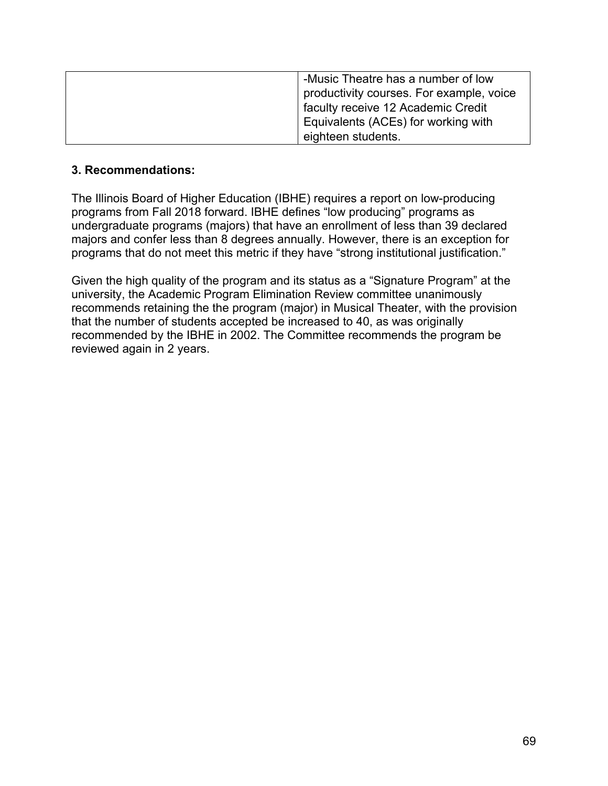| -Music Theatre has a number of low       |
|------------------------------------------|
| productivity courses. For example, voice |
| faculty receive 12 Academic Credit       |
| Equivalents (ACEs) for working with      |
| eighteen students.                       |

### **3. Recommendations:**

 The Illinois Board of Higher Education (IBHE) requires a report on low-producing programs from Fall 2018 forward. IBHE defines "low producing" programs as undergraduate programs (majors) that have an enrollment of less than 39 declared majors and confer less than 8 degrees annually. However, there is an exception for programs that do not meet this metric if they have "strong institutional justification."

 Given the high quality of the program and its status as a "Signature Program" at the university, the Academic Program Elimination Review committee unanimously recommends retaining the the program (major) in Musical Theater, with the provision that the number of students accepted be increased to 40, as was originally recommended by the IBHE in 2002. The Committee recommends the program be reviewed again in 2 years.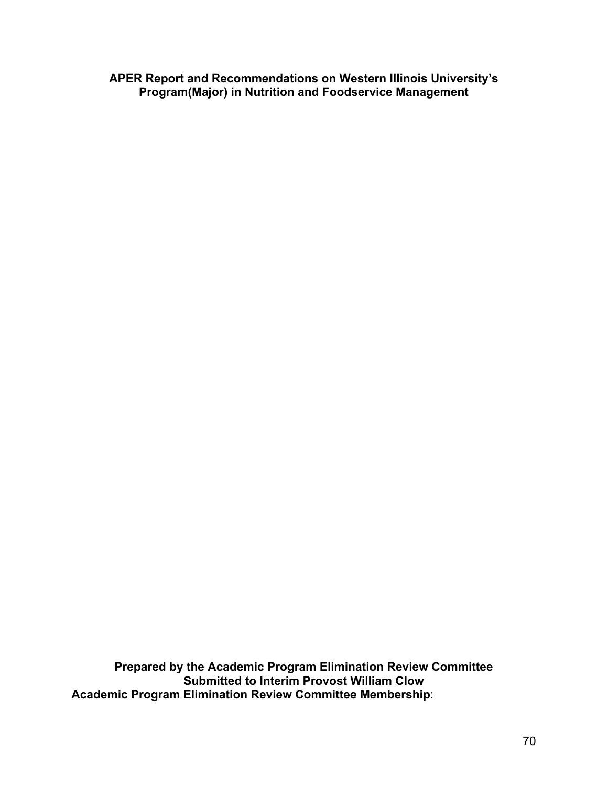**APER Report and Recommendations on Western Illinois University's Program(Major) in Nutrition and Foodservice Management**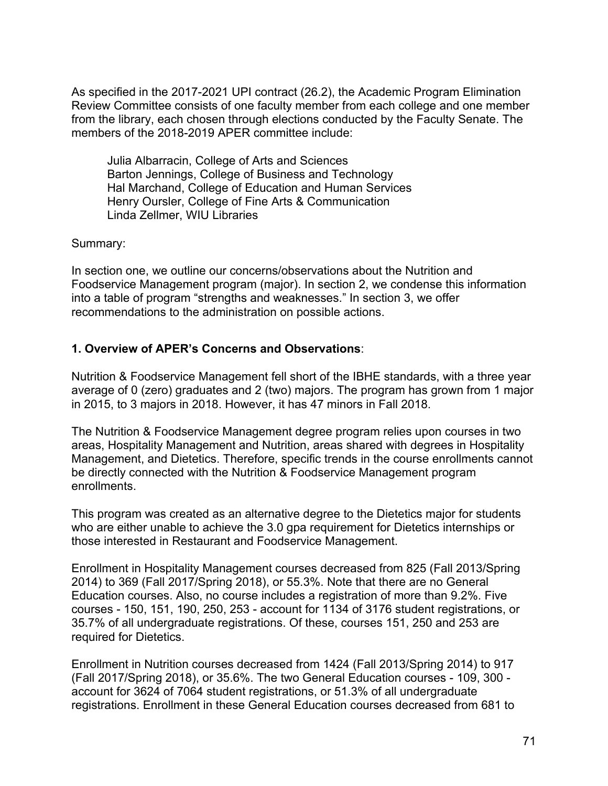Julia Albarracin, College of Arts and Sciences Barton Jennings, College of Business and Technology Hal Marchand, College of Education and Human Services Henry Oursler, College of Fine Arts & Communication Linda Zellmer, WIU Libraries

Summary:

 In section one, we outline our concerns/observations about the Nutrition and Foodservice Management program (major). In section 2, we condense this information into a table of program "strengths and weaknesses." In section 3, we offer recommendations to the administration on possible actions.

## **1. Overview of APER's Concerns and Observations**:

 Nutrition & Foodservice Management fell short of the IBHE standards, with a three year average of 0 (zero) graduates and 2 (two) majors. The program has grown from 1 major in 2015, to 3 majors in 2018. However, it has 47 minors in Fall 2018.

 The Nutrition & Foodservice Management degree program relies upon courses in two areas, Hospitality Management and Nutrition, areas shared with degrees in Hospitality Management, and Dietetics. Therefore, specific trends in the course enrollments cannot be directly connected with the Nutrition & Foodservice Management program enrollments.

 This program was created as an alternative degree to the Dietetics major for students who are either unable to achieve the 3.0 gpa requirement for Dietetics internships or those interested in Restaurant and Foodservice Management.

 Enrollment in Hospitality Management courses decreased from 825 (Fall 2013/Spring 2014) to 369 (Fall 2017/Spring 2018), or 55.3%. Note that there are no General Education courses. Also, no course includes a registration of more than 9.2%. Five courses - 150, 151, 190, 250, 253 - account for 1134 of 3176 student registrations, or 35.7% of all undergraduate registrations. Of these, courses 151, 250 and 253 are required for Dietetics.

 Enrollment in Nutrition courses decreased from 1424 (Fall 2013/Spring 2014) to 917 (Fall 2017/Spring 2018), or 35.6%. The two General Education courses - 109, 300 - account for 3624 of 7064 student registrations, or 51.3% of all undergraduate registrations. Enrollment in these General Education courses decreased from 681 to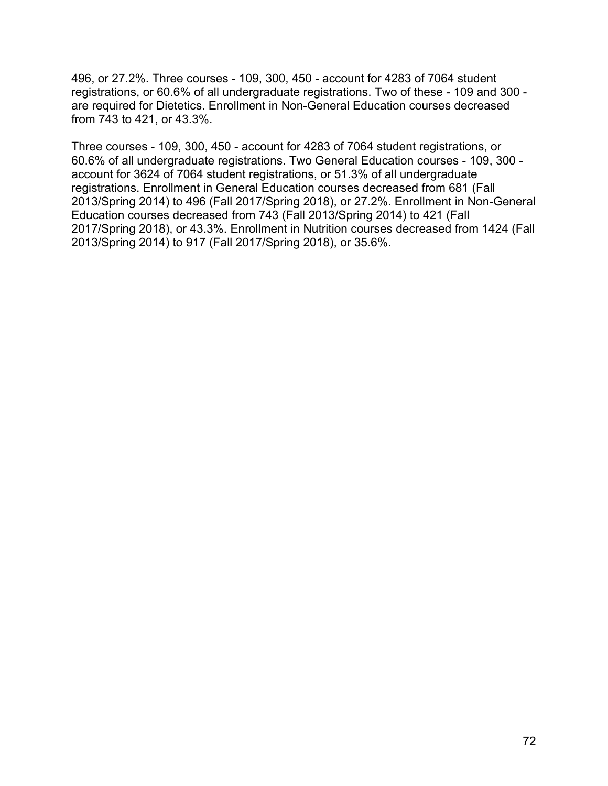496, or 27.2%. Three courses - 109, 300, 450 - account for 4283 of 7064 student registrations, or 60.6% of all undergraduate registrations. Two of these - 109 and 300 - are required for Dietetics. Enrollment in Non-General Education courses decreased from 743 to 421, or 43.3%.

 Three courses - 109, 300, 450 - account for 4283 of 7064 student registrations, or 60.6% of all undergraduate registrations. Two General Education courses - 109, 300 - account for 3624 of 7064 student registrations, or 51.3% of all undergraduate registrations. Enrollment in General Education courses decreased from 681 (Fall 2013/Spring 2014) to 496 (Fall 2017/Spring 2018), or 27.2%. Enrollment in Non-General Education courses decreased from 743 (Fall 2013/Spring 2014) to 421 (Fall 2017/Spring 2018), or 43.3%. Enrollment in Nutrition courses decreased from 1424 (Fall 2013/Spring 2014) to 917 (Fall 2017/Spring 2018), or 35.6%.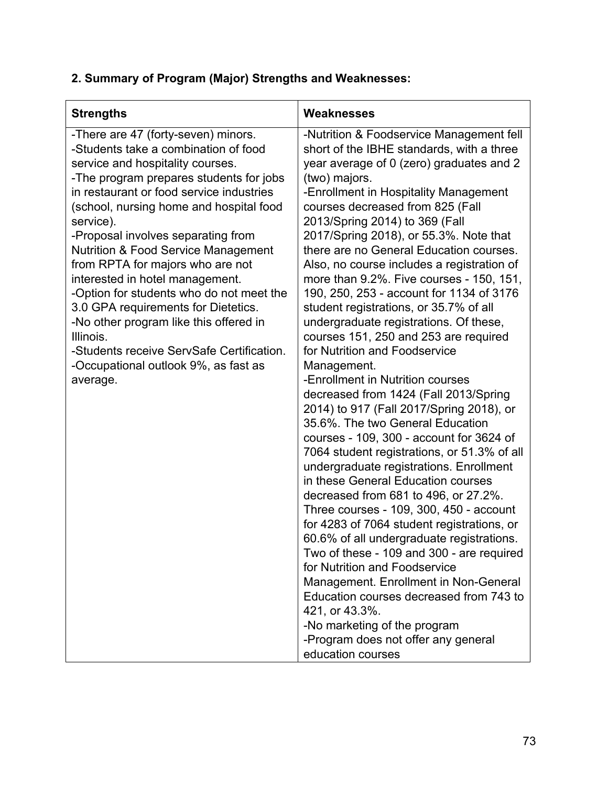# **2. Summary of Program (Major) Strengths and Weaknesses:**

| <b>Strengths</b>                                                                                                                                                                                                                                                                                                                                                                                                                                                                                                                                                                                                                                                         | Weaknesses                                                                                                                                                                                                                                                                                                                                                                                                                                                                                                                                                                                                                                                                                                                                                                                                                                                                                                                                                                                                                                                                                                                                                                                                                                                                                                                                                                                                                                                                       |
|--------------------------------------------------------------------------------------------------------------------------------------------------------------------------------------------------------------------------------------------------------------------------------------------------------------------------------------------------------------------------------------------------------------------------------------------------------------------------------------------------------------------------------------------------------------------------------------------------------------------------------------------------------------------------|----------------------------------------------------------------------------------------------------------------------------------------------------------------------------------------------------------------------------------------------------------------------------------------------------------------------------------------------------------------------------------------------------------------------------------------------------------------------------------------------------------------------------------------------------------------------------------------------------------------------------------------------------------------------------------------------------------------------------------------------------------------------------------------------------------------------------------------------------------------------------------------------------------------------------------------------------------------------------------------------------------------------------------------------------------------------------------------------------------------------------------------------------------------------------------------------------------------------------------------------------------------------------------------------------------------------------------------------------------------------------------------------------------------------------------------------------------------------------------|
| -There are 47 (forty-seven) minors.<br>-Students take a combination of food<br>service and hospitality courses.<br>-The program prepares students for jobs<br>in restaurant or food service industries<br>(school, nursing home and hospital food<br>service).<br>-Proposal involves separating from<br><b>Nutrition &amp; Food Service Management</b><br>from RPTA for majors who are not<br>interested in hotel management.<br>-Option for students who do not meet the<br>3.0 GPA requirements for Dietetics.<br>-No other program like this offered in<br>Illinois.<br>-Students receive ServSafe Certification.<br>-Occupational outlook 9%, as fast as<br>average. | -Nutrition & Foodservice Management fell<br>short of the IBHE standards, with a three<br>year average of 0 (zero) graduates and 2<br>(two) majors.<br>-Enrollment in Hospitality Management<br>courses decreased from 825 (Fall<br>2013/Spring 2014) to 369 (Fall<br>2017/Spring 2018), or 55.3%. Note that<br>there are no General Education courses.<br>Also, no course includes a registration of<br>more than 9.2%. Five courses - 150, 151,<br>190, 250, 253 - account for 1134 of 3176<br>student registrations, or 35.7% of all<br>undergraduate registrations. Of these,<br>courses 151, 250 and 253 are required<br>for Nutrition and Foodservice<br>Management.<br>-Enrollment in Nutrition courses<br>decreased from 1424 (Fall 2013/Spring<br>2014) to 917 (Fall 2017/Spring 2018), or<br>35.6%. The two General Education<br>courses - 109, 300 - account for 3624 of<br>7064 student registrations, or 51.3% of all<br>undergraduate registrations. Enrollment<br>in these General Education courses<br>decreased from 681 to 496, or 27.2%.<br>Three courses - 109, 300, 450 - account<br>for 4283 of 7064 student registrations, or<br>60.6% of all undergraduate registrations.<br>Two of these - 109 and 300 - are required<br>for Nutrition and Foodservice<br>Management. Enrollment in Non-General<br>Education courses decreased from 743 to<br>421, or 43.3%.<br>-No marketing of the program<br>-Program does not offer any general<br>education courses |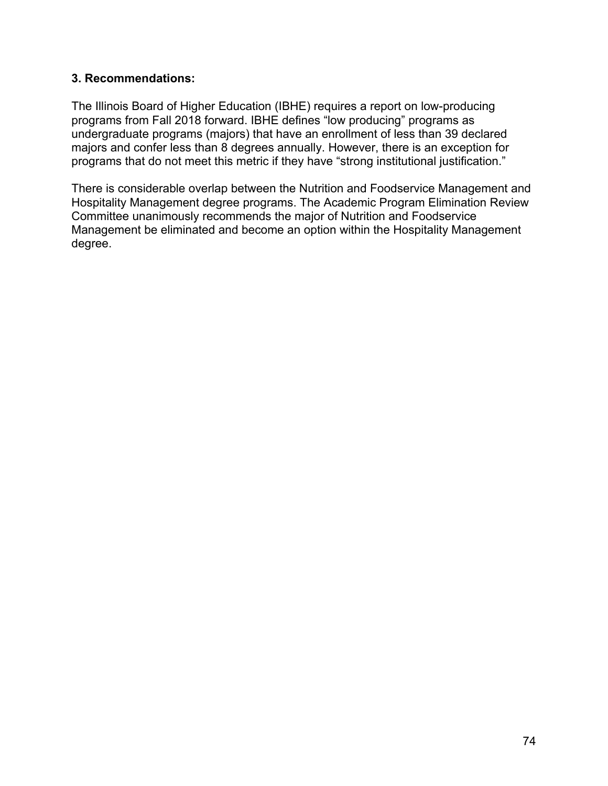#### **3. Recommendations:**

 The Illinois Board of Higher Education (IBHE) requires a report on low-producing programs from Fall 2018 forward. IBHE defines "low producing" programs as undergraduate programs (majors) that have an enrollment of less than 39 declared majors and confer less than 8 degrees annually. However, there is an exception for programs that do not meet this metric if they have "strong institutional justification."

 There is considerable overlap between the Nutrition and Foodservice Management and Hospitality Management degree programs. The Academic Program Elimination Review Committee unanimously recommends the major of Nutrition and Foodservice Management be eliminated and become an option within the Hospitality Management degree.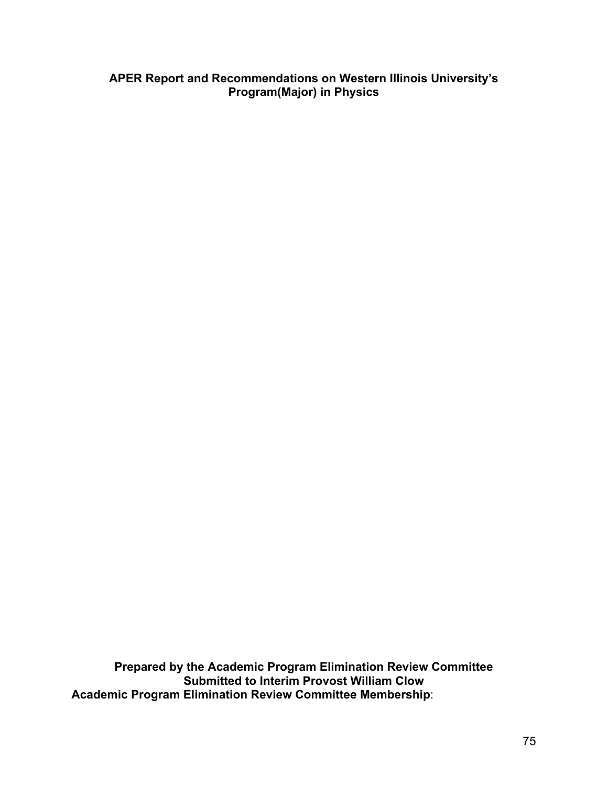#### **APER Report and Recommendations on Western Illinois University's Program(Major) in Physics**

 **Prepared by the Academic Program Elimination Review Committee Submitted to Interim Provost William Clow Academic Program Elimination Review Committee Membership**: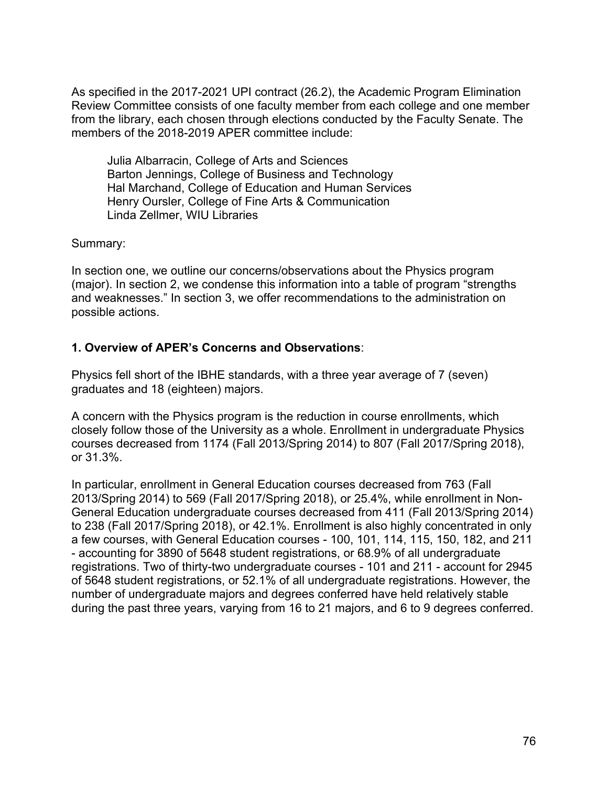As specified in the 2017-2021 UPI contract (26.2), the Academic Program Elimination Review Committee consists of one faculty member from each college and one member from the library, each chosen through elections conducted by the Faculty Senate. The members of the 2018-2019 APER committee include:

 Julia Albarracin, College of Arts and Sciences Barton Jennings, College of Business and Technology Hal Marchand, College of Education and Human Services Henry Oursler, College of Fine Arts & Communication Linda Zellmer, WIU Libraries

Summary:

 In section one, we outline our concerns/observations about the Physics program (major). In section 2, we condense this information into a table of program "strengths and weaknesses." In section 3, we offer recommendations to the administration on possible actions.

## **1. Overview of APER's Concerns and Observations**:

 Physics fell short of the IBHE standards, with a three year average of 7 (seven) graduates and 18 (eighteen) majors.

 A concern with the Physics program is the reduction in course enrollments, which closely follow those of the University as a whole. Enrollment in undergraduate Physics courses decreased from 1174 (Fall 2013/Spring 2014) to 807 (Fall 2017/Spring 2018), or 31.3%.

 In particular, enrollment in General Education courses decreased from 763 (Fall 2013/Spring 2014) to 569 (Fall 2017/Spring 2018), or 25.4%, while enrollment in Non- General Education undergraduate courses decreased from 411 (Fall 2013/Spring 2014) to 238 (Fall 2017/Spring 2018), or 42.1%. Enrollment is also highly concentrated in only a few courses, with General Education courses - 100, 101, 114, 115, 150, 182, and 211 - accounting for 3890 of 5648 student registrations, or 68.9% of all undergraduate registrations. Two of thirty-two undergraduate courses - 101 and 211 - account for 2945 of 5648 student registrations, or 52.1% of all undergraduate registrations. However, the number of undergraduate majors and degrees conferred have held relatively stable during the past three years, varying from 16 to 21 majors, and 6 to 9 degrees conferred.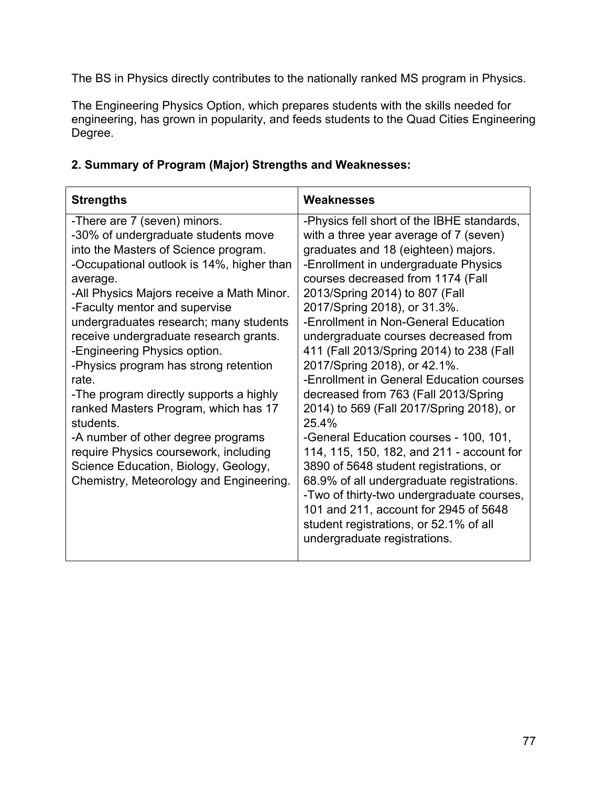The BS in Physics directly contributes to the nationally ranked MS program in Physics.

The Engineering Physics Option, which prepares students with the skills needed for engineering, has grown in popularity, and feeds students to the Quad Cities Engineering Degree.

| 2. Summary of Program (Major) Strengths and Weaknesses: |
|---------------------------------------------------------|
|---------------------------------------------------------|

| <b>Strengths</b>                                                                                                                                                                                                                                                                                                                                                                                                                                                                                                                                                                                                                                                                           | Weaknesses                                                                                                                                                                                                                                                                                                                                                                                                                                                                                                                                                                                                                                                                                                                                                                                                                                                                                                                    |
|--------------------------------------------------------------------------------------------------------------------------------------------------------------------------------------------------------------------------------------------------------------------------------------------------------------------------------------------------------------------------------------------------------------------------------------------------------------------------------------------------------------------------------------------------------------------------------------------------------------------------------------------------------------------------------------------|-------------------------------------------------------------------------------------------------------------------------------------------------------------------------------------------------------------------------------------------------------------------------------------------------------------------------------------------------------------------------------------------------------------------------------------------------------------------------------------------------------------------------------------------------------------------------------------------------------------------------------------------------------------------------------------------------------------------------------------------------------------------------------------------------------------------------------------------------------------------------------------------------------------------------------|
| -There are 7 (seven) minors.<br>-30% of undergraduate students move<br>into the Masters of Science program.<br>-Occupational outlook is 14%, higher than<br>average.<br>-All Physics Majors receive a Math Minor.<br>-Faculty mentor and supervise<br>undergraduates research; many students<br>receive undergraduate research grants.<br>-Engineering Physics option.<br>-Physics program has strong retention<br>rate.<br>-The program directly supports a highly<br>ranked Masters Program, which has 17<br>students.<br>-A number of other degree programs<br>require Physics coursework, including<br>Science Education, Biology, Geology,<br>Chemistry, Meteorology and Engineering. | -Physics fell short of the IBHE standards,<br>with a three year average of 7 (seven)<br>graduates and 18 (eighteen) majors.<br>-Enrollment in undergraduate Physics<br>courses decreased from 1174 (Fall<br>2013/Spring 2014) to 807 (Fall<br>2017/Spring 2018), or 31.3%.<br>-Enrollment in Non-General Education<br>undergraduate courses decreased from<br>411 (Fall 2013/Spring 2014) to 238 (Fall<br>2017/Spring 2018), or 42.1%.<br>-Enrollment in General Education courses<br>decreased from 763 (Fall 2013/Spring<br>2014) to 569 (Fall 2017/Spring 2018), or<br>25.4%<br>-General Education courses - 100, 101,<br>114, 115, 150, 182, and 211 - account for<br>3890 of 5648 student registrations, or<br>68.9% of all undergraduate registrations.<br>-Two of thirty-two undergraduate courses,<br>101 and 211, account for 2945 of 5648<br>student registrations, or 52.1% of all<br>undergraduate registrations. |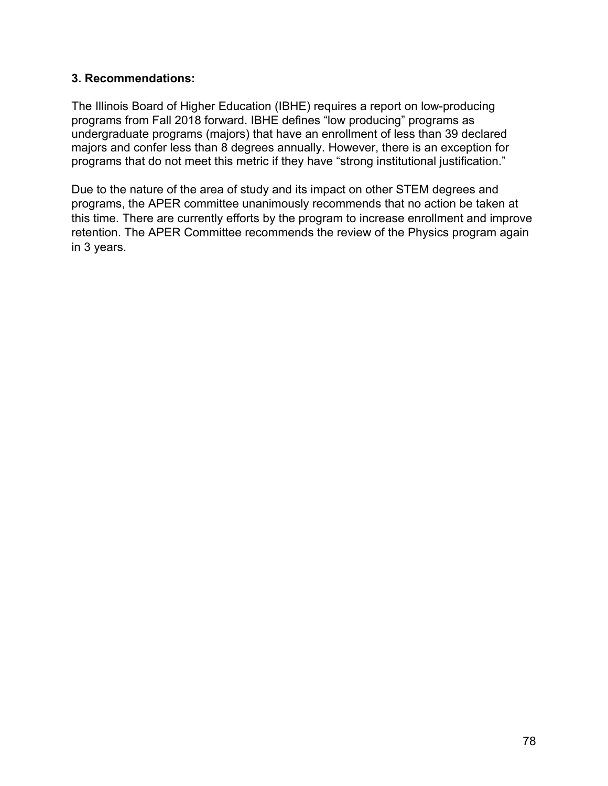#### **3. Recommendations:**

 The Illinois Board of Higher Education (IBHE) requires a report on low-producing programs from Fall 2018 forward. IBHE defines "low producing" programs as undergraduate programs (majors) that have an enrollment of less than 39 declared majors and confer less than 8 degrees annually. However, there is an exception for programs that do not meet this metric if they have "strong institutional justification."

 Due to the nature of the area of study and its impact on other STEM degrees and programs, the APER committee unanimously recommends that no action be taken at this time. There are currently efforts by the program to increase enrollment and improve retention. The APER Committee recommends the review of the Physics program again in 3 years.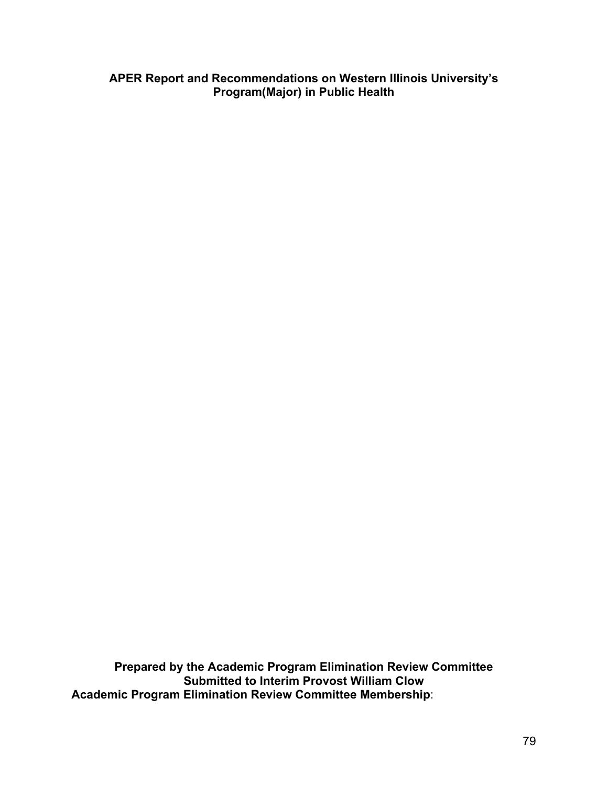**APER Report and Recommendations on Western Illinois University's Program(Major) in Public Health** 

 **Prepared by the Academic Program Elimination Review Committee Submitted to Interim Provost William Clow Academic Program Elimination Review Committee Membership**: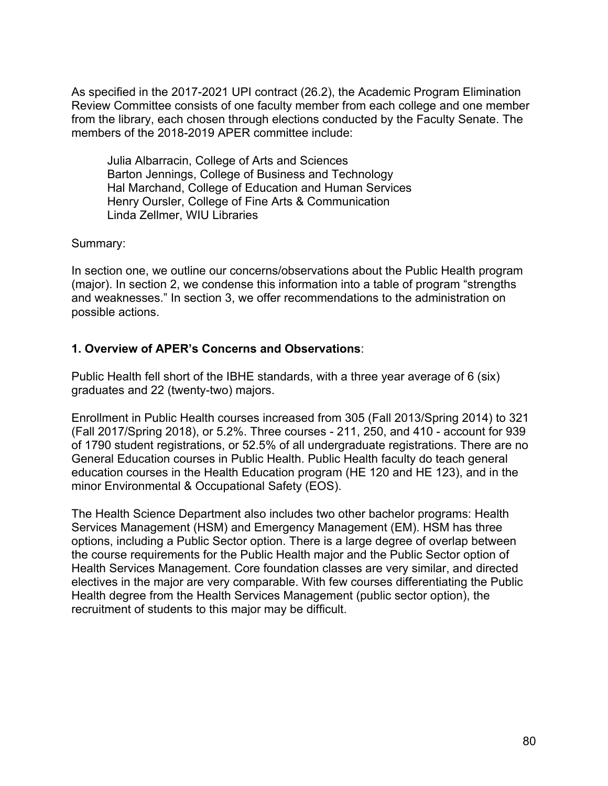As specified in the 2017-2021 UPI contract (26.2), the Academic Program Elimination Review Committee consists of one faculty member from each college and one member from the library, each chosen through elections conducted by the Faculty Senate. The members of the 2018-2019 APER committee include:

 Julia Albarracin, College of Arts and Sciences Barton Jennings, College of Business and Technology Hal Marchand, College of Education and Human Services Henry Oursler, College of Fine Arts & Communication Linda Zellmer, WIU Libraries

Summary:

 In section one, we outline our concerns/observations about the Public Health program (major). In section 2, we condense this information into a table of program "strengths and weaknesses." In section 3, we offer recommendations to the administration on possible actions.

## **1. Overview of APER's Concerns and Observations**:

 Public Health fell short of the IBHE standards, with a three year average of 6 (six) graduates and 22 (twenty-two) majors.

 Enrollment in Public Health courses increased from 305 (Fall 2013/Spring 2014) to 321 (Fall 2017/Spring 2018), or 5.2%. Three courses - 211, 250, and 410 - account for 939 of 1790 student registrations, or 52.5% of all undergraduate registrations. There are no General Education courses in Public Health. Public Health faculty do teach general education courses in the Health Education program (HE 120 and HE 123), and in the minor Environmental & Occupational Safety (EOS).

 The Health Science Department also includes two other bachelor programs: Health Services Management (HSM) and Emergency Management (EM). HSM has three options, including a Public Sector option. There is a large degree of overlap between the course requirements for the Public Health major and the Public Sector option of Health Services Management. Core foundation classes are very similar, and directed electives in the major are very comparable. With few courses differentiating the Public Health degree from the Health Services Management (public sector option), the recruitment of students to this major may be difficult.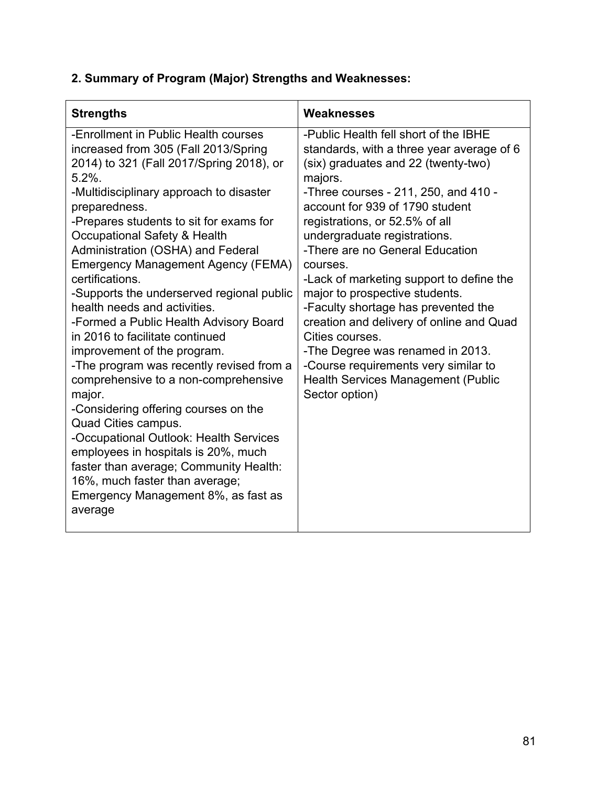## **2. Summary of Program (Major) Strengths and Weaknesses:**

| <b>Strengths</b>                                                                                                                                                                                                                                                                                                                                                                                                                                                                                                                                                                                                                                                                                                                                                                                                                                                                                                                                      | Weaknesses                                                                                                                                                                                                                                                                                                                                                                                                                                                                                                                                                                                                                                               |
|-------------------------------------------------------------------------------------------------------------------------------------------------------------------------------------------------------------------------------------------------------------------------------------------------------------------------------------------------------------------------------------------------------------------------------------------------------------------------------------------------------------------------------------------------------------------------------------------------------------------------------------------------------------------------------------------------------------------------------------------------------------------------------------------------------------------------------------------------------------------------------------------------------------------------------------------------------|----------------------------------------------------------------------------------------------------------------------------------------------------------------------------------------------------------------------------------------------------------------------------------------------------------------------------------------------------------------------------------------------------------------------------------------------------------------------------------------------------------------------------------------------------------------------------------------------------------------------------------------------------------|
| -Enrollment in Public Health courses<br>increased from 305 (Fall 2013/Spring<br>2014) to 321 (Fall 2017/Spring 2018), or<br>$5.2%$ .<br>-Multidisciplinary approach to disaster<br>preparedness.<br>-Prepares students to sit for exams for<br>Occupational Safety & Health<br>Administration (OSHA) and Federal<br><b>Emergency Management Agency (FEMA)</b><br>certifications.<br>-Supports the underserved regional public<br>health needs and activities.<br>-Formed a Public Health Advisory Board<br>in 2016 to facilitate continued<br>improvement of the program.<br>-The program was recently revised from a<br>comprehensive to a non-comprehensive<br>major.<br>-Considering offering courses on the<br>Quad Cities campus.<br>-Occupational Outlook: Health Services<br>employees in hospitals is 20%, much<br>faster than average; Community Health:<br>16%, much faster than average;<br>Emergency Management 8%, as fast as<br>average | -Public Health fell short of the IBHE<br>standards, with a three year average of 6<br>(six) graduates and 22 (twenty-two)<br>majors.<br>-Three courses - 211, 250, and 410 -<br>account for 939 of 1790 student<br>registrations, or 52.5% of all<br>undergraduate registrations.<br>-There are no General Education<br>courses.<br>-Lack of marketing support to define the<br>major to prospective students.<br>-Faculty shortage has prevented the<br>creation and delivery of online and Quad<br>Cities courses.<br>-The Degree was renamed in 2013.<br>-Course requirements very similar to<br>Health Services Management (Public<br>Sector option) |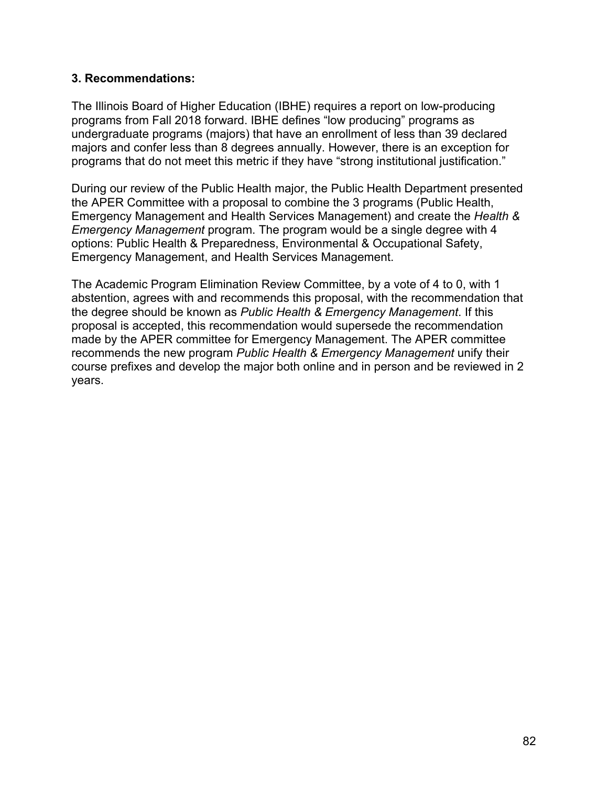#### **3. Recommendations:**

 The Illinois Board of Higher Education (IBHE) requires a report on low-producing programs from Fall 2018 forward. IBHE defines "low producing" programs as undergraduate programs (majors) that have an enrollment of less than 39 declared majors and confer less than 8 degrees annually. However, there is an exception for programs that do not meet this metric if they have "strong institutional justification."

 During our review of the Public Health major, the Public Health Department presented the APER Committee with a proposal to combine the 3 programs (Public Health, Emergency Management and Health Services Management) and create the *Health & Emergency Management* program. The program would be a single degree with 4 options: Public Health & Preparedness, Environmental & Occupational Safety, Emergency Management, and Health Services Management.

 The Academic Program Elimination Review Committee, by a vote of 4 to 0, with 1 abstention, agrees with and recommends this proposal, with the recommendation that the degree should be known as *Public Health & Emergency Management*. If this proposal is accepted, this recommendation would supersede the recommendation made by the APER committee for Emergency Management. The APER committee recommends the new program *Public Health & Emergency Management* unify their course prefixes and develop the major both online and in person and be reviewed in 2 years.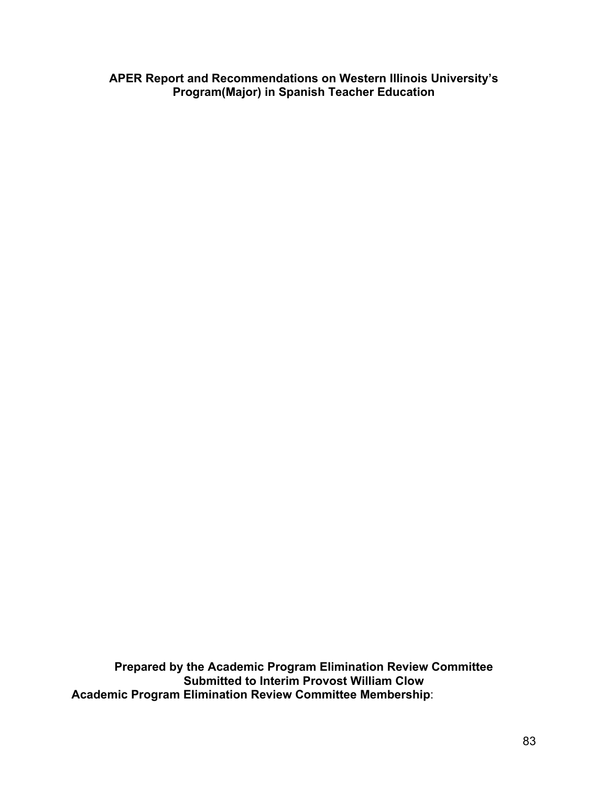**APER Report and Recommendations on Western Illinois University's Program(Major) in Spanish Teacher Education** 

 **Prepared by the Academic Program Elimination Review Committee Submitted to Interim Provost William Clow Academic Program Elimination Review Committee Membership**: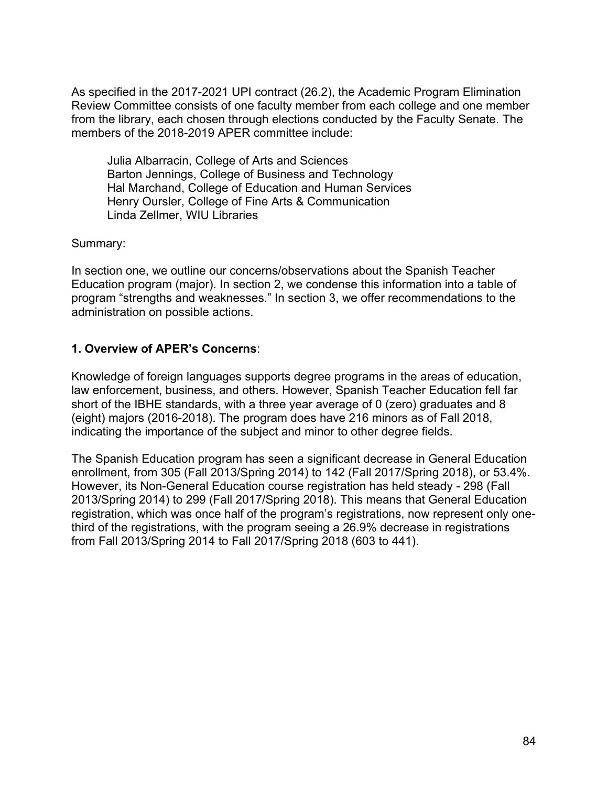As specified in the 2017-2021 UPI contract (26.2), the Academic Program Elimination Review Committee consists of one faculty member from each college and one member from the library, each chosen through elections conducted by the Faculty Senate. The members of the 2018-2019 APER committee include:

 Julia Albarracin, College of Arts and Sciences Barton Jennings, College of Business and Technology Hal Marchand, College of Education and Human Services Henry Oursler, College of Fine Arts & Communication Linda Zellmer, WIU Libraries

Summary:

 In section one, we outline our concerns/observations about the Spanish Teacher Education program (major). In section 2, we condense this information into a table of program "strengths and weaknesses." In section 3, we offer recommendations to the administration on possible actions.

## **1. Overview of APER's Concerns**:

 Knowledge of foreign languages supports degree programs in the areas of education, law enforcement, business, and others. However, Spanish Teacher Education fell far short of the IBHE standards, with a three year average of 0 (zero) graduates and 8 (eight) majors (2016-2018). The program does have 216 minors as of Fall 2018, indicating the importance of the subject and minor to other degree fields.

 The Spanish Education program has seen a significant decrease in General Education enrollment, from 305 (Fall 2013/Spring 2014) to 142 (Fall 2017/Spring 2018), or 53.4%. However, its Non-General Education course registration has held steady - 298 (Fall 2013/Spring 2014) to 299 (Fall 2017/Spring 2018). This means that General Education registration, which was once half of the program's registrations, now represent only one- third of the registrations, with the program seeing a 26.9% decrease in registrations from Fall 2013/Spring 2014 to Fall 2017/Spring 2018 (603 to 441).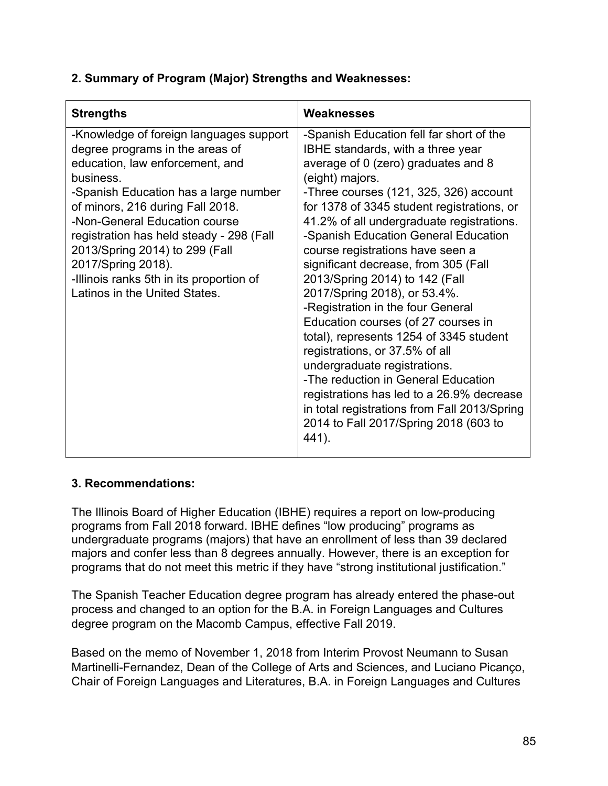# **2. Summary of Program (Major) Strengths and Weaknesses:**

| <b>Strengths</b>                                                                                                                                                                                                                                                                                                                                                                                                          | Weaknesses                                                                                                                                                                                                                                                                                                                                                                                                                                                                                                                                                                                                                                                                                                                                                                                                                                               |
|---------------------------------------------------------------------------------------------------------------------------------------------------------------------------------------------------------------------------------------------------------------------------------------------------------------------------------------------------------------------------------------------------------------------------|----------------------------------------------------------------------------------------------------------------------------------------------------------------------------------------------------------------------------------------------------------------------------------------------------------------------------------------------------------------------------------------------------------------------------------------------------------------------------------------------------------------------------------------------------------------------------------------------------------------------------------------------------------------------------------------------------------------------------------------------------------------------------------------------------------------------------------------------------------|
| -Knowledge of foreign languages support<br>degree programs in the areas of<br>education, law enforcement, and<br>business.<br>-Spanish Education has a large number<br>of minors, 216 during Fall 2018.<br>-Non-General Education course<br>registration has held steady - 298 (Fall<br>2013/Spring 2014) to 299 (Fall<br>2017/Spring 2018).<br>-Illinois ranks 5th in its proportion of<br>Latinos in the United States. | -Spanish Education fell far short of the<br><b>IBHE</b> standards, with a three year<br>average of 0 (zero) graduates and 8<br>(eight) majors.<br>-Three courses (121, 325, 326) account<br>for 1378 of 3345 student registrations, or<br>41.2% of all undergraduate registrations.<br>-Spanish Education General Education<br>course registrations have seen a<br>significant decrease, from 305 (Fall<br>2013/Spring 2014) to 142 (Fall<br>2017/Spring 2018), or 53.4%.<br>-Registration in the four General<br>Education courses (of 27 courses in<br>total), represents 1254 of 3345 student<br>registrations, or 37.5% of all<br>undergraduate registrations.<br>-The reduction in General Education<br>registrations has led to a 26.9% decrease<br>in total registrations from Fall 2013/Spring<br>2014 to Fall 2017/Spring 2018 (603 to<br>441). |

## **3. Recommendations:**

 The Illinois Board of Higher Education (IBHE) requires a report on low-producing programs from Fall 2018 forward. IBHE defines "low producing" programs as undergraduate programs (majors) that have an enrollment of less than 39 declared majors and confer less than 8 degrees annually. However, there is an exception for programs that do not meet this metric if they have "strong institutional justification."

 The Spanish Teacher Education degree program has already entered the phase-out process and changed to an option for the B.A. in Foreign Languages and Cultures degree program on the Macomb Campus, effective Fall 2019.

 Based on the memo of November 1, 2018 from Interim Provost Neumann to Susan Martinelli-Fernandez, Dean of the College of Arts and Sciences, and Luciano Picanço, Chair of Foreign Languages and Literatures, B.A. in Foreign Languages and Cultures